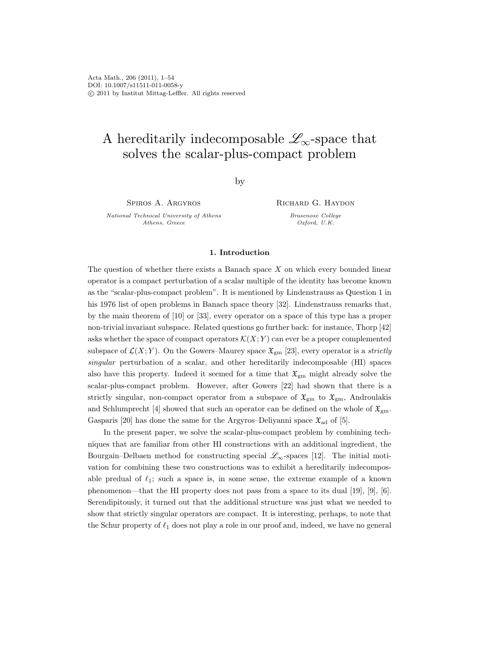# A hereditarily indecomposable  $\mathscr{L}_{\infty}$ -space that solves the scalar-plus-compact problem

by

Spiros A. Argyros

National Technical University of Athens Athens, Greece

Richard G. Haydon

Brasenose College Oxford, U.K.

# 1. Introduction

The question of whether there exists a Banach space  $X$  on which every bounded linear operator is a compact perturbation of a scalar multiple of the identity has become known as the "scalar-plus-compact problem". It is mentioned by Lindenstrauss as Question 1 in his 1976 list of open problems in Banach space theory [32]. Lindenstrauss remarks that, by the main theorem of [10] or [33], every operator on a space of this type has a proper non-trivial invariant subspace. Related questions go further back: for instance, Thorp [42] asks whether the space of compact operators  $\mathcal{K}(X; Y)$  can ever be a proper complemented subspace of  $\mathcal{L}(X; Y)$ . On the Gowers–Maurey space  $\mathfrak{X}_{gm}$  [23], every operator is a *strictly* singular perturbation of a scalar, and other hereditarily indecomposable (HI) spaces also have this property. Indeed it seemed for a time that  $\mathfrak{X}_{gm}$  might already solve the scalar-plus-compact problem. However, after Gowers [22] had shown that there is a strictly singular, non-compact operator from a subspace of  $\mathfrak{X}_{gm}$  to  $\mathfrak{X}_{gm}$ , Androulakis and Schlumprecht [4] showed that such an operator can be defined on the whole of  $\mathfrak{X}_{gm}$ . Gasparis [20] has done the same for the Argyros–Deliyanni space  $\mathfrak{X}_{\text{ad}}$  of [5].

In the present paper, we solve the scalar-plus-compact problem by combining techniques that are familiar from other HI constructions with an additional ingredient, the Bourgain–Delbaen method for constructing special  $\mathscr{L}_{\infty}$ -spaces [12]. The initial motivation for combining these two constructions was to exhibit a hereditarily indecomposable predual of  $\ell_1$ ; such a space is, in some sense, the extreme example of a known phenomenon—that the HI property does not pass from a space to its dual [19], [9], [6]. Serendipitously, it turned out that the additional structure was just what we needed to show that strictly singular operators are compact. It is interesting, perhaps, to note that the Schur property of  $\ell_1$  does not play a role in our proof and, indeed, we have no general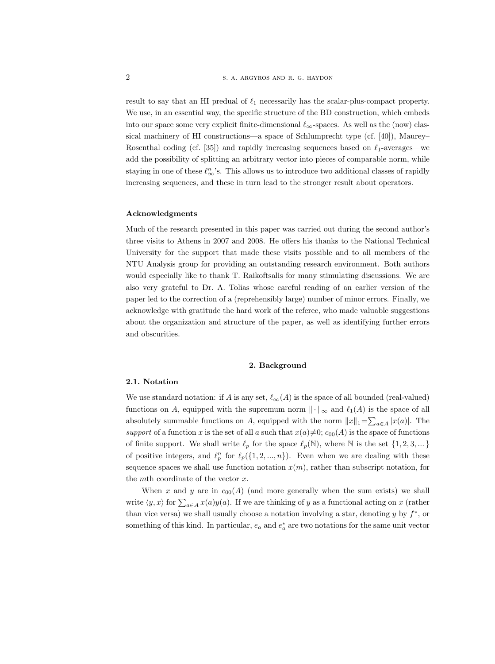result to say that an HI predual of  $\ell_1$  necessarily has the scalar-plus-compact property. We use, in an essential way, the specific structure of the BD construction, which embeds into our space some very explicit finite-dimensional  $\ell_{\infty}$ -spaces. As well as the (now) classical machinery of HI constructions—a space of Schlumprecht type (cf. [40]), Maurey– Rosenthal coding (cf. [35]) and rapidly increasing sequences based on  $\ell_1$ -averages—we add the possibility of splitting an arbitrary vector into pieces of comparable norm, while staying in one of these  $\ell_{\infty}^n$ 's. This allows us to introduce two additional classes of rapidly increasing sequences, and these in turn lead to the stronger result about operators.

#### Acknowledgments

Much of the research presented in this paper was carried out during the second author's three visits to Athens in 2007 and 2008. He offers his thanks to the National Technical University for the support that made these visits possible and to all members of the NTU Analysis group for providing an outstanding research environment. Both authors would especially like to thank T. Raikoftsalis for many stimulating discussions. We are also very grateful to Dr. A. Tolias whose careful reading of an earlier version of the paper led to the correction of a (reprehensibly large) number of minor errors. Finally, we acknowledge with gratitude the hard work of the referee, who made valuable suggestions about the organization and structure of the paper, as well as identifying further errors and obscurities.

## 2. Background

## 2.1. Notation

We use standard notation: if A is any set,  $\ell_{\infty}(A)$  is the space of all bounded (real-valued) functions on A, equipped with the supremum norm  $\|\cdot\|_{\infty}$  and  $\ell_1(A)$  is the space of all absolutely summable functions on A, equipped with the norm  $||x||_1 = \sum_{a \in A} |x(a)|$ . The support of a function x is the set of all a such that  $x(a) \neq 0$ ;  $c_{00}(A)$  is the space of functions of finite support. We shall write  $\ell_p$  for the space  $\ell_p(\mathbb{N})$ , where  $\mathbb N$  is the set  $\{1, 2, 3, ...\}$ of positive integers, and  $\ell_p^n$  for  $\ell_p({1, 2, ..., n})$ . Even when we are dealing with these sequence spaces we shall use function notation  $x(m)$ , rather than subscript notation, for the *mth* coordinate of the vector  $x$ .

When x and y are in  $c_{00}(A)$  (and more generally when the sum exists) we shall write  $\langle y, x \rangle$  for  $\sum_{a \in A} x(a)y(a)$ . If we are thinking of y as a functional acting on x (rather than vice versa) we shall usually choose a notation involving a star, denoting  $y$  by  $f^*$ , or something of this kind. In particular,  $e_a$  and  $e_a^*$  are two notations for the same unit vector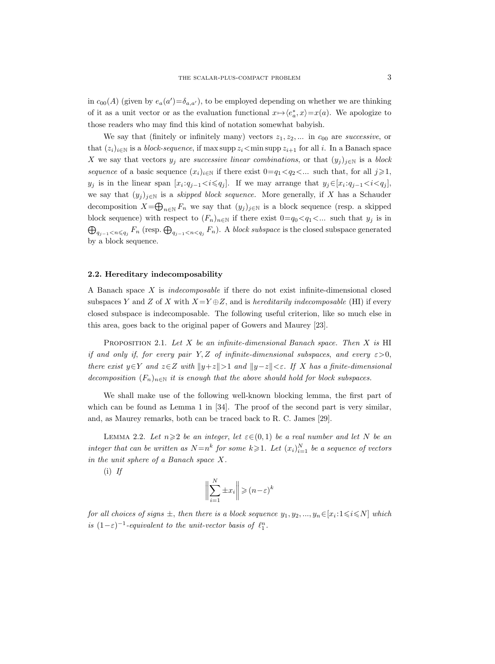in  $c_{00}(A)$  (given by  $e_a(a') = \delta_{a,a'}$ ), to be employed depending on whether we are thinking of it as a unit vector or as the evaluation functional  $x \mapsto \langle e_a^*, x \rangle = x(a)$ . We apologize to those readers who may find this kind of notation somewhat babyish.

We say that (finitely or infinitely many) vectors  $z_1, z_2, \ldots$  in  $c_{00}$  are *successive*, or that  $(z_i)_{i\in\mathbb{N}}$  is a *block-sequence*, if max supp  $z_i$  < min supp  $z_{i+1}$  for all i. In a Banach space X we say that vectors  $y_j$  are *successive linear combinations*, or that  $(y_j)_{j\in\mathbb{N}}$  is a block sequence of a basic sequence  $(x_i)_{i\in\mathbb{N}}$  if there exist  $0=q_1\langle q_2\langle\ldots\rangle$  such that, for all  $j\geqslant 1$ ,  $y_j$  is in the linear span  $[x_i:q_{j-1} < i \leqslant q_j]$ . If we may arrange that  $y_j \in [x_i:q_{j-1} < i < q_j]$ , we say that  $(y_j)_{j\in\mathbb{N}}$  is a *skipped block sequence*. More generally, if X has a Schauder decomposition  $X = \bigoplus_{n \in \mathbb{N}} F_n$  we say that  $(y_j)_{j \in \mathbb{N}}$  is a block sequence (resp. a skipped block sequence) with respect to  $(F_n)_{n\in\mathbb{N}}$  if there exist  $0=q_0\lt q_1\lt\ldots$  such that  $y_i$  is in  $\bigoplus_{q_{j-1} < n \leqslant q_j} F_n$  (resp.  $\bigoplus_{q_{j-1} < n < q_j} F_n$ ). A block subspace is the closed subspace generated by a block sequence.

## 2.2. Hereditary indecomposability

A Banach space X is indecomposable if there do not exist infinite-dimensional closed subspaces Y and Z of X with  $X=Y\oplus Z$ , and is hereditarily indecomposable (HI) if every closed subspace is indecomposable. The following useful criterion, like so much else in this area, goes back to the original paper of Gowers and Maurey [23].

PROPOSITION 2.1. Let X be an infinite-dimensional Banach space. Then X is HI if and only if, for every pair Y, Z of infinite-dimensional subspaces, and every  $\varepsilon > 0$ , there exist  $y \in Y$  and  $z \in Z$  with  $||y+z||>1$  and  $||y-z||<\varepsilon$ . If X has a finite-dimensional decomposition  $(F_n)_{n\in\mathbb{N}}$  it is enough that the above should hold for block subspaces.

We shall make use of the following well-known blocking lemma, the first part of which can be found as Lemma 1 in [34]. The proof of the second part is very similar, and, as Maurey remarks, both can be traced back to R. C. James [29].

LEMMA 2.2. Let  $n \geq 2$  be an integer, let  $\varepsilon \in (0,1)$  be a real number and let N be an integer that can be written as  $N=n^k$  for some  $k\geqslant 1$ . Let  $(x_i)_{i=1}^N$  be a sequence of vectors in the unit sphere of a Banach space X.

 $(i)$  If

$$
\bigg\|\sum_{i=1}^N \pm x_i\bigg\| \geqslant (n-\varepsilon)^k
$$

for all choices of signs  $\pm$ , then there is a block sequence  $y_1, y_2, ..., y_n \in [x_i : 1 \leq i \leq N]$  which is  $(1-\varepsilon)^{-1}$ -equivalent to the unit-vector basis of  $\ell_1^n$ .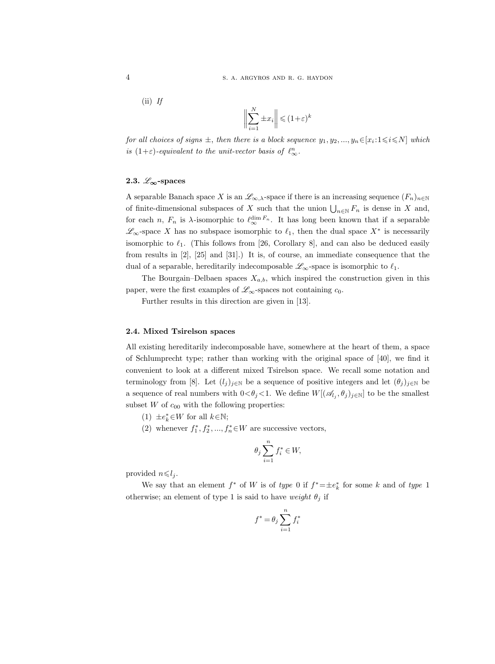$$
(ii) \, \text{ If } \,
$$

$$
\left\| \sum_{i=1}^{N} \pm x_i \right\| \leqslant (1+\varepsilon)^k
$$

for all choices of signs  $\pm$ , then there is a block sequence  $y_1, y_2, ..., y_n \in [x_i : 1 \leq i \leq N]$  which is  $(1+\varepsilon)$ -equivalent to the unit-vector basis of  $\ell_{\infty}^n$ .

# 2.3.  $\mathscr{L}_{\infty}$ -spaces

A separable Banach space X is an  $\mathscr{L}_{\infty,\lambda}$ -space if there is an increasing sequence  $(F_n)_{n\in\mathbb{N}}$ of finite-dimensional subspaces of X such that the union  $\bigcup_{n\in\mathbb{N}} F_n$  is dense in X and, for each *n*,  $F_n$  is  $\lambda$ -isomorphic to  $\ell_{\infty}^{\dim F_n}$ . It has long been known that if a separable  $\mathscr{L}_{\infty}$ -space X has no subspace isomorphic to  $\ell_1$ , then the dual space X<sup>∗</sup> is necessarily isomorphic to  $\ell_1$ . (This follows from [26, Corollary 8], and can also be deduced easily from results in [2], [25] and [31].) It is, of course, an immediate consequence that the dual of a separable, hereditarily indecomposable  $\mathscr{L}_{\infty}$ -space is isomorphic to  $\ell_1$ .

The Bourgain–Delbaen spaces  $X_{a,b}$ , which inspired the construction given in this paper, were the first examples of  $\mathscr{L}_{\infty}$ -spaces not containing  $c_0$ .

Further results in this direction are given in [13].

## 2.4. Mixed Tsirelson spaces

All existing hereditarily indecomposable have, somewhere at the heart of them, a space of Schlumprecht type; rather than working with the original space of [40], we find it convenient to look at a different mixed Tsirelson space. We recall some notation and terminology from [8]. Let  $(l_i)_{i\in\mathbb{N}}$  be a sequence of positive integers and let  $(\theta_i)_{i\in\mathbb{N}}$  be a sequence of real numbers with  $0<\theta_j<1$ . We define  $W[(\mathscr{A}_{l_j},\theta_j)_{j\in\mathbb{N}}]$  to be the smallest subset  $W$  of  $c_{00}$  with the following properties:

- (1)  $\pm e_k^* \in W$  for all  $k \in \mathbb{N}$ ;
- (2) whenever  $f_1^*, f_2^*, ..., f_n^* \in W$  are successive vectors,

$$
\theta_j\sum_{i=1}^nf_i^*\in W,
$$

provided  $n \leq l_i$ .

We say that an element  $f^*$  of W is of type 0 if  $f^* = \pm e_k^*$  for some k and of type 1 otherwise; an element of type 1 is said to have weight  $\theta_i$  if

$$
f^* = \theta_j \sum_{i=1}^n f_i^*
$$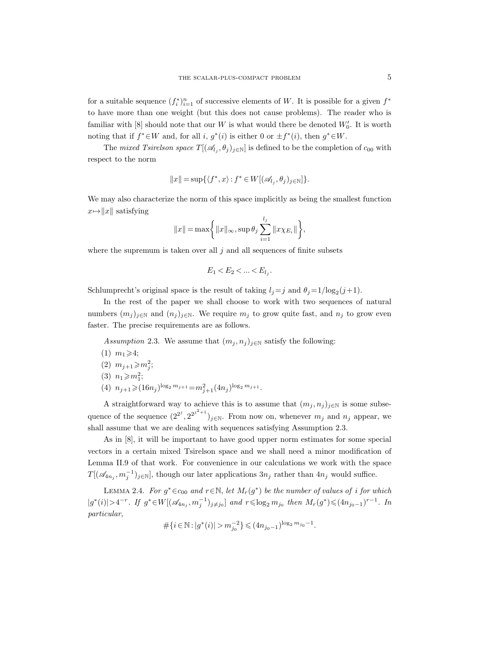for a suitable sequence  $(f_i^*)_{i=1}^n$  of successive elements of W. It is possible for a given  $f^*$ to have more than one weight (but this does not cause problems). The reader who is familiar with [8] should note that our  $W$  is what would there be denoted  $W'_0$ . It is worth noting that if  $f^* \in W$  and, for all i,  $g^*(i)$  is either 0 or  $\pm f^*(i)$ , then  $g^* \in W$ .

The *mixed Tsirelson space*  $T[(\mathscr{A}_{l_j}, \theta_j)_{j \in \mathbb{N}}]$  is defined to be the completion of  $c_{00}$  with respect to the norm

$$
||x|| = \sup\{\langle f^*, x\rangle : f^* \in W[(\mathscr{A}_{l_j}, \theta_j)_{j \in \mathbb{N}}]\}.
$$

We may also characterize the norm of this space implicitly as being the smallest function  $x \mapsto ||x||$  satisfying

$$
||x|| = \max \left\{ ||x||_{\infty}, \sup \theta_j \sum_{i=1}^{l_j} ||x \chi_{E_i}|| \right\},\
$$

where the supremum is taken over all  $j$  and all sequences of finite subsets

$$
E_1 < E_2 < \ldots < E_{l_j}.
$$

Schlumprecht's original space is the result of taking  $l_j = j$  and  $\theta_j = 1/\log_2(j+1)$ .

In the rest of the paper we shall choose to work with two sequences of natural numbers  $(m_j)_{j\in\mathbb{N}}$  and  $(n_j)_{j\in\mathbb{N}}$ . We require  $m_j$  to grow quite fast, and  $n_j$  to grow even faster. The precise requirements are as follows.

Assumption 2.3. We assume that  $(m_i, n_j)_{i\in\mathbb{N}}$  satisfy the following:

- $(1)$   $m_1 \geq 4$ ;
- (2)  $m_{j+1} \geq m_j^2;$
- (3)  $n_1 \geqslant m_1^2$ ;
- (4)  $n_{j+1} \geqslant (16n_j)^{\log_2 m_{j+1}} = m_{j+1}^2 (4n_j)^{\log_2 m_{j+1}}.$

A straightforward way to achieve this is to assume that  $(m_j, n_j)_{j\in\mathbb{N}}$  is some subsequence of the sequence  $(2^{2^j}, 2^{2^{j^2+1}})_{j\in\mathbb{N}}$ . From now on, whenever  $m_j$  and  $n_j$  appear, we shall assume that we are dealing with sequences satisfying Assumption 2.3.

As in [8], it will be important to have good upper norm estimates for some special vectors in a certain mixed Tsirelson space and we shall need a minor modification of Lemma II.9 of that work. For convenience in our calculations we work with the space  $T[(\mathscr{A}_{4n_j}, m_j^{-1})_{j\in\mathbb{N}}]$ , though our later applications  $3n_j$  rather than  $4n_j$  would suffice.

LEMMA 2.4. For  $g^* \in c_{00}$  and  $r \in \mathbb{N}$ , let  $M_r(g^*)$  be the number of values of i for which  $|g^*(i)|>4^{-r}$ . If  $g^*\in W[(\mathscr{A}_{4n_j},m_j^{-1})_{j\neq j_0}]$  and  $r\leqslant \log_2 m_{j_0}$  then  $M_r(g^*)\leqslant (4n_{j_0-1})^{r-1}$ . In particular,

$$
\# \{ i \in \mathbb{N} : |g^*(i)| > m_{j_0}^{-2} \} \leqslant (4n_{j_0-1})^{\log_2 m_{j_0}-1}.
$$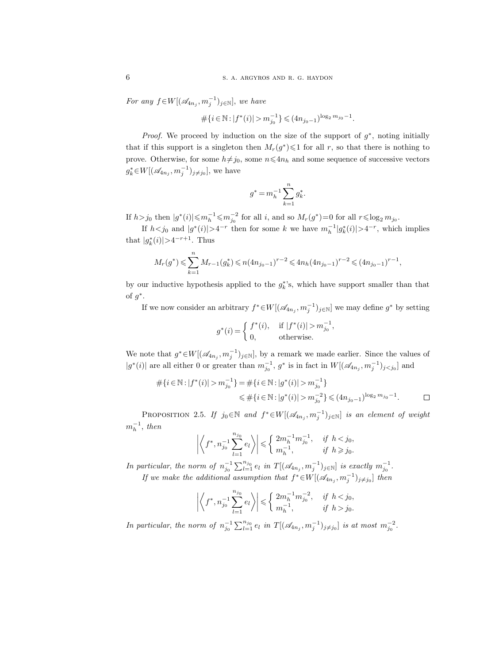For any  $f \in W[(\mathcal{A}_{4n_j}, m_j^{-1})_{j \in \mathbb{N}}]$ , we have

$$
\#\{i\in\mathbb{N}:|f^*(i)|>m_{j_0}^{-1}\}\leqslant (4n_{j_0-1})^{\log_2 m_{j_0}-1}.
$$

*Proof.* We proceed by induction on the size of the support of  $g^*$ , noting initially that if this support is a singleton then  $M_r(g^*)\leqslant 1$  for all r, so that there is nothing to prove. Otherwise, for some  $h\neq j_0$ , some  $n\leq 4n_h$  and some sequence of successive vectors  $g_k^* \in W[(\mathscr{A}_{4n_j}, m_j^{-1})_{j \neq j_0}],$  we have

$$
g^* = m_h^{-1} \sum_{k=1}^n g_k^*.
$$

If  $h > j_0$  then  $|g^*(i)| \leq m_h^{-1} \leq m_{j_0}^{-2}$  for all i, and so  $M_r(g^*)=0$  for all  $r \leq \log_2 m_{j_0}$ .

If  $h < j_0$  and  $|g^*(i)| > 4^{-r}$  then for some k we have  $m_h^{-1}|g^*_k(i)| > 4^{-r}$ , which implies that  $|g_k^*(i)| > 4^{-r+1}$ . Thus

$$
M_r(g^*) \leqslant \sum_{k=1}^n M_{r-1}(g_k^*) \leqslant n(4n_{j_0-1})^{r-2} \leqslant 4n_h (4n_{j_0-1})^{r-2} \leqslant (4n_{j_0-1})^{r-1},
$$

by our inductive hypothesis applied to the  $g_k^*$ 's, which have support smaller than that of  $g^*$ .

If we now consider an arbitrary  $f^* \in W[(\mathscr{A}_{4n_j}, m_j^{-1})_{j \in \mathbb{N}}]$  we may define  $g^*$  by setting

,

$$
g^*(i) = \begin{cases} f^*(i), & \text{if } |f^*(i)| > m_{j_0}^{-1} \\ 0, & \text{otherwise.} \end{cases}
$$

We note that  $g^* \in W[(\mathscr{A}_{4n_j}, m_j^{-1})_{j \in \mathbb{N}}]$ , by a remark we made earlier. Since the values of  $|g^*(i)|$  are all either 0 or greater than  $m_{j_0}^{-1}$ ,  $g^*$  is in fact in  $W[(\mathscr{A}_{4n_j}, m_j^{-1})_{j \leq j_0}]$  and

$$
\begin{aligned} \# \{i \in \mathbb{N} : |f^*(i)| > m_{j_0}^{-1}\} &= \# \{i \in \mathbb{N} : |g^*(i)| > m_{j_0}^{-1}\} \\ &\leqslant \# \{i \in \mathbb{N} : |g^*(i)| > m_{j_0}^{-2}\} \leqslant (4n_{j_0-1})^{\log_2 m_{j_0}-1}. \end{aligned} \qquad \qquad \Box
$$

PROPOSITION 2.5. If  $j_0 \in \mathbb{N}$  and  $f^* \in W[(\mathscr{A}_{4n_j}, m_j^{-1})_{j \in \mathbb{N}}]$  is an element of weight  $m_h^{-1}$ , then

$$
\left| \left\langle f^*, n_{j_0}^{-1} \sum_{l=1}^{n_{j_0}} e_l \right\rangle \right| \leqslant \left\{ \begin{array}{ll} 2m_h^{-1} m_{j_0}^{-1}, & \text{ if } h < j_0, \\ m_h^{-1}, & \text{ if } h \geqslant j_0. \end{array} \right.
$$

In particular, the norm of  $n_{j_0}^{-1} \sum_{l=1}^{n_{j_0}} e_l$  in  $T[(\mathscr{A}_{4n_j}, m_j^{-1})_{j \in \mathbb{N}}]$  is exactly  $m_{j_0}^{-1}$ . If we make the additional assumption that  $f^* \in W[(\mathscr{A}_{4n_j}, m_j^{-1})_{j \neq j_0}]$  then

$$
\left| \left\langle f^*, n_{j_0}^{-1} \sum_{l=1}^{n_{j_0}} e_l \right\rangle \right| \leq \left\{ \begin{array}{ll} 2m_h^{-1} m_{j_0}^{-2}, & \text{if } h < j_0, \\ m_h^{-1}, & \text{if } h > j_0. \end{array} \right.
$$

In particular, the norm of  $n_{j_0}^{-1} \sum_{l=1}^{n_{j_0}} e_l$  in  $T[(\mathscr{A}_{4n_j}, m_j^{-1})_{j \neq j_0}]$  is at most  $m_{j_0}^{-2}$ .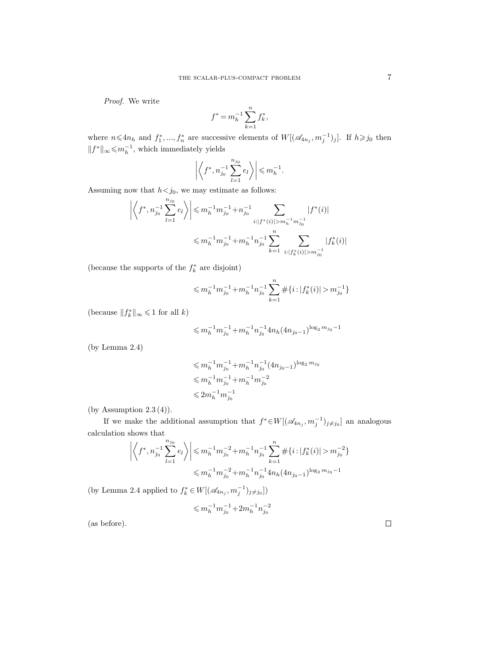Proof. We write

$$
f^* = m_h^{-1} \sum_{k=1}^n f_k^*,
$$

where  $n \leqslant 4n_h$  and  $f_1^*,..., f_n^*$  are successive elements of  $W[(\mathscr{A}_{4n_j}, m_j^{-1})_j]$ . If  $h \geqslant j_0$  then  $||f^*||_{\infty} \leq m_h^{-1}$ , which immediately yields

$$
\left| \left\langle f^*, n_{j_0}^{-1} \sum_{l=1}^{n_{j_0}} e_l \right\rangle \right| \leqslant m_h^{-1}.
$$

Assuming now that  $h \leq j_0$ , we may estimate as follows:

$$
\left| \left\langle f^*, n_{j_0}^{-1} \sum_{l=1}^{n_{j_0}} e_l \right\rangle \right| \leqslant m_h^{-1} m_{j_0}^{-1} + n_{j_0}^{-1} \sum_{i:|f^*(i)| > m_h^{-1} m_{j_0}^{-1}} |f^*(i)|
$$
  

$$
\leqslant m_h^{-1} m_{j_0}^{-1} + m_h^{-1} n_{j_0}^{-1} \sum_{k=1}^n \sum_{i:|f_k^*(i)| > m_{j_0}^{-1}} |f_k^*(i)|
$$

(because the supports of the  $f_k^\ast$  are disjoint)

$$
\leqslant m_h^{-1}m_{j_0}^{-1}+m_h^{-1}n_{j_0}^{-1}\sum_{k=1}^n\#\{i\cdot |f_k^*(i)|>m_{j_0}^{-1}\}
$$

(because  $\|f_k^*\|_\infty \leqslant 1$  for all  $k)$ 

$$
\leqslant m_h^{-1} m_{j_0}^{-1} + m_h^{-1} n_{j_0}^{-1} 4 n_h (4 n_{j_0-1})^{\log_2 m_{j_0}-1}
$$

(by Lemma 2.4)

$$
\begin{aligned} &\leqslant m_h^{-1}m_{j_0}^{-1}+m_h^{-1}n_{j_0}^{-1}(4n_{j_0-1})^{\log_2 m_{j_0}}\\ &\leqslant m_h^{-1}m_{j_0}^{-1}+m_h^{-1}m_{j_0}^{-2}\\ &\leqslant 2m_h^{-1}m_{j_0}^{-1} \end{aligned}
$$

(by Assumption 2.3 (4)).

If we make the additional assumption that  $f^* \in W[(\mathscr{A}_{4n_j}, m_j^{-1})_{j \neq j_0}]$  an analogous calculation shows that

$$
\left| \left\langle f^*, n_{j_0}^{-1} \sum_{l=1}^{n_{j_0}} e_l \right\rangle \right| \leqslant m_h^{-1} m_{j_0}^{-2} + m_h^{-1} n_{j_0}^{-1} \sum_{k=1}^n \# \{ i : |f_k^*(i)| > m_{j_0}^{-2} \} \leqslant m_h^{-1} m_{j_0}^{-2} + m_h^{-1} n_{j_0}^{-1} 4n_h (4n_{j_0-1})^{\log_2 m_{j_0}-1}
$$

(by Lemma 2.4 applied to  $f_k^* \in W[(\mathscr{A}_{4n_j}, m_j^{-1})_{j \neq j_0}])$ 

$$
\leqslant m_h^{-1} m_{j_0}^{-1} + 2 m_h^{-1} n_{j_0}^{-2}
$$

(as before).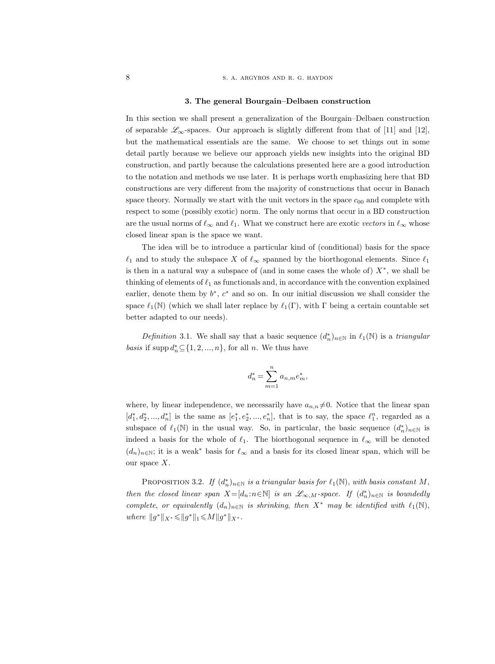#### 3. The general Bourgain–Delbaen construction

In this section we shall present a generalization of the Bourgain–Delbaen construction of separable  $\mathscr{L}_{\infty}$ -spaces. Our approach is slightly different from that of [11] and [12], but the mathematical essentials are the same. We choose to set things out in some detail partly because we believe our approach yields new insights into the original BD construction, and partly because the calculations presented here are a good introduction to the notation and methods we use later. It is perhaps worth emphasizing here that BD constructions are very different from the majority of constructions that occur in Banach space theory. Normally we start with the unit vectors in the space  $c_{00}$  and complete with respect to some (possibly exotic) norm. The only norms that occur in a BD construction are the usual norms of  $\ell_{\infty}$  and  $\ell_1$ . What we construct here are exotic vectors in  $\ell_{\infty}$  whose closed linear span is the space we want.

The idea will be to introduce a particular kind of (conditional) basis for the space  $\ell_1$  and to study the subspace X of  $\ell_{\infty}$  spanned by the biorthogonal elements. Since  $\ell_1$ is then in a natural way a subspace of (and in some cases the whole of)  $X^*$ , we shall be thinking of elements of  $\ell_1$  as functionals and, in accordance with the convention explained earlier, denote them by  $b^*$ ,  $c^*$  and so on. In our initial discussion we shall consider the space  $\ell_1(\mathbb{N})$  (which we shall later replace by  $\ell_1(\Gamma)$ , with  $\Gamma$  being a certain countable set better adapted to our needs).

Definition 3.1. We shall say that a basic sequence  $(d_n^*)_{{n \in \mathbb{N}}}$  in  $\ell_1(\mathbb{N})$  is a triangular basis if supp  $d_n^* \subseteq \{1, 2, ..., n\}$ , for all *n*. We thus have

$$
d_n^* = \sum_{m=1}^n a_{n,m} e_m^*,
$$

where, by linear independence, we necessarily have  $a_{n,n} \neq 0$ . Notice that the linear span  $[d_1^*, d_2^*, ..., d_n^*]$  is the same as  $[e_1^*, e_2^*, ..., e_n^*]$ , that is to say, the space  $\ell_1^n$ , regarded as a subspace of  $\ell_1(\mathbb{N})$  in the usual way. So, in particular, the basic sequence  $(d_n^*)_n \in \mathbb{N}$  is indeed a basis for the whole of  $\ell_1$ . The biorthogonal sequence in  $\ell_{\infty}$  will be denoted  $(d_n)_{n\in\mathbb{N}}$ ; it is a weak\* basis for  $\ell_{\infty}$  and a basis for its closed linear span, which will be our space X.

PROPOSITION 3.2. If  $(d_n^*)_{n \in \mathbb{N}}$  is a triangular basis for  $\ell_1(\mathbb{N})$ , with basis constant M, then the closed linear span  $X=[d_n : n \in \mathbb{N}]$  is an  $\mathscr{L}_{\infty,M}$ -space. If  $(d_n^*)_n \in \mathbb{N}$  is boundedly complete, or equivalently  $(d_n)_{n\in\mathbb{N}}$  is shrinking, then  $X^*$  may be identified with  $\ell_1(\mathbb{N}),$ where  $||g^*||_{X^*} \leq ||g^*||_1 \leq M||g^*||_{X^*}$ .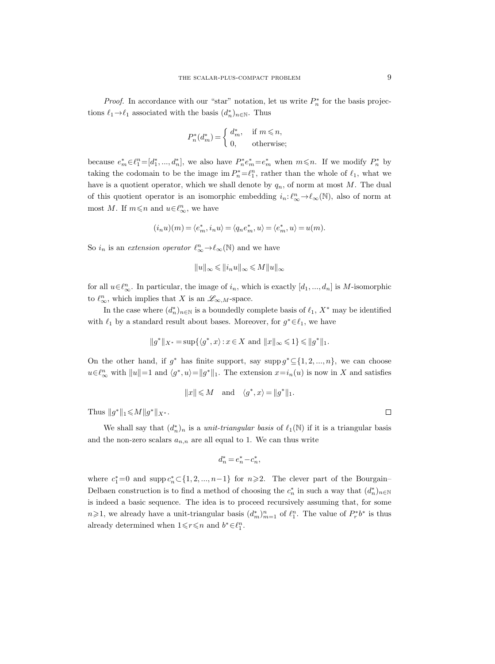*Proof.* In accordance with our "star" notation, let us write  $P_n^*$  for the basis projections  $\ell_1 \rightarrow \ell_1$  associated with the basis  $(d_n^*)_{n \in \mathbb{N}}$ . Thus

$$
P_n^*(d_m^*) = \begin{cases} d_m^*, & \text{if } m \le n, \\ 0, & \text{otherwise}; \end{cases}
$$

because  $e_m^* \in \ell_1^n = [d_1^*,..., d_n^*]$ , we also have  $P_n^* e_m^* = e_m^*$  when  $m \leq n$ . If we modify  $P_n^*$  by taking the codomain to be the image  $\text{im } P_n^* = \ell_1^n$ , rather than the whole of  $\ell_1$ , what we have is a quotient operator, which we shall denote by  $q_n$ , of norm at most M. The dual of this quotient operator is an isomorphic embedding  $i_n: \ell_{\infty}^n \to \ell_{\infty}(\mathbb{N})$ , also of norm at most M. If  $m \leq n$  and  $u \in \ell_{\infty}^n$ , we have

$$
(i_nu)(m)=\langle e_m^*,i_nu\rangle=\langle q_ne_m^*,u\rangle=\langle e_m^*,u\rangle=u(m).
$$

So  $i_n$  is an *extension operator*  $\ell_{\infty}^n \to \ell_{\infty}(\mathbb{N})$  and we have

$$
||u||_\infty \leqslant ||i_n u||_\infty \leqslant M ||u||_\infty
$$

for all  $u \in \ell_{\infty}^n$ . In particular, the image of  $i_n$ , which is exactly  $[d_1, ..., d_n]$  is M-isomorphic to  $\ell_{\infty}^n$ , which implies that X is an  $\mathscr{L}_{\infty,M}$ -space.

In the case where  $(d_n^*)_{{n \in \mathbb{N}}}$  is a boundedly complete basis of  $\ell_1$ ,  $X^*$  may be identified with  $\ell_1$  by a standard result about bases. Moreover, for  $g^* \in \ell_1$ , we have

$$
||g^*||_{X^*} = \sup\{\langle g^*, x \rangle : x \in X \text{ and } ||x||_{\infty} \leq 1\} \leq ||g^*||_1.
$$

On the other hand, if  $g^*$  has finite support, say supp  $g^* \subseteq \{1, 2, ..., n\}$ , we can choose  $u \in \ell_{\infty}^n$  with  $||u|| = 1$  and  $\langle g^*, u \rangle = ||g^*||_1$ . The extension  $x = i_n(u)$  is now in X and satisfies

$$
||x||\leqslant M \quad \text{and} \quad \langle g^*,x\rangle = ||g^*||_1.
$$

Thus  $||g^*||_1 \leq M ||g^*||_{X^*}$ .

We shall say that  $(d_n^*)_n$  is a *unit-triangular basis* of  $\ell_1(\mathbb{N})$  if it is a triangular basis and the non-zero scalars  $a_{n,n}$  are all equal to 1. We can thus write

$$
d_n^* = e_n^* - c_n^*,
$$

where  $c_1^* = 0$  and supp  $c_n^* \subset \{1, 2, ..., n-1\}$  for  $n \ge 2$ . The clever part of the Bourgain– Delbaen construction is to find a method of choosing the  $c_n^*$  in such a way that  $(d_n^*)_{n\in\mathbb{N}}$ is indeed a basic sequence. The idea is to proceed recursively assuming that, for some  $n\geqslant 1$ , we already have a unit-triangular basis  $(d_m^*)_{m=1}^n$  of  $\ell_1^n$ . The value of  $P_r^*b^*$  is thus already determined when  $1 \leq r \leq n$  and  $b^* \in \ell_1^n$ .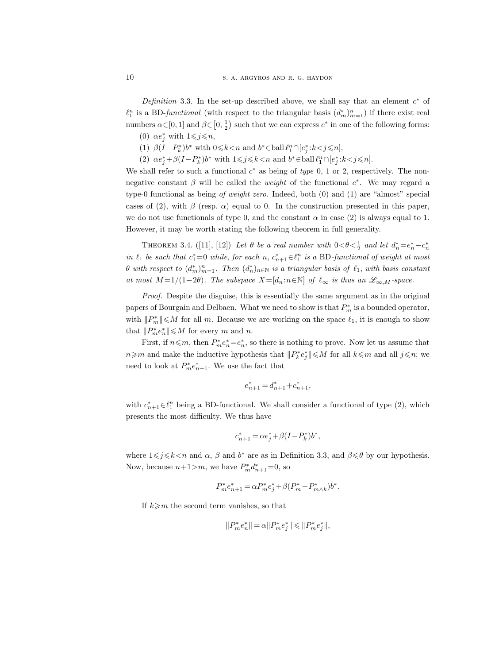Definition 3.3. In the set-up described above, we shall say that an element  $c^*$  of  $\ell_1^n$  is a BD-functional (with respect to the triangular basis  $(d_m^*)_{m=1}^n$ ) if there exist real numbers  $\alpha \in [0, 1]$  and  $\beta \in [0, \frac{1}{2})$  such that we can express  $c^*$  in one of the following forms:

- (0)  $\alpha e_j^*$  with  $1 \leqslant j \leqslant n$ ,
- (1)  $\beta(I P_k^*)b^*$  with  $0 \le k < n$  and  $b^* \in \text{ball } \ell_1^n \cap [e_j^* : k < j \le n]$ ,
- (2)  $\alpha e_j^* + \beta (I P_k^*) b^*$  with  $1 \leq j \leq k < n$  and  $b^* \in \text{ball } \ell_1^n \cap [e_j^* : k < j \leq n]$ .

We shall refer to such a functional  $c^*$  as being of type 0, 1 or 2, respectively. The nonnegative constant  $\beta$  will be called the *weight* of the functional  $c^*$ . We may regard a type-0 functional as being of weight zero. Indeed, both (0) and (1) are "almost" special cases of (2), with  $\beta$  (resp.  $\alpha$ ) equal to 0. In the construction presented in this paper, we do not use functionals of type 0, and the constant  $\alpha$  in case (2) is always equal to 1. However, it may be worth stating the following theorem in full generality.

THEOREM 3.4. ([11], [12]) Let  $\theta$  be a real number with  $0 < \theta < \frac{1}{2}$  and let  $d_n^* = e_n^* - c_n^*$ in  $\ell_1$  be such that  $c_1^* = 0$  while, for each n,  $c_{n+1}^* \in \ell_1^n$  is a BD-functional of weight at most  $\theta$  with respect to  $(d_m^*)_{m=1}^n$ . Then  $(d_n^*)_{n\in\mathbb{N}}$  is a triangular basis of  $\ell_1$ , with basis constant at most  $M = 1/(1-2\theta)$ . The subspace  $X = [d_n : n \in \mathbb{N}]$  of  $\ell_{\infty}$  is thus an  $\mathscr{L}_{\infty,M}$ -space.

Proof. Despite the disguise, this is essentially the same argument as in the original papers of Bourgain and Delbaen. What we need to show is that  $P_m^*$  is a bounded operator, with  $||P_m^*|| \leq M$  for all m. Because we are working on the space  $\ell_1$ , it is enough to show that  $||P_m^*e_n^*|| \leq M$  for every m and n.

First, if  $n \leq m$ , then  $P_m^* e_n^* = e_n^*$ , so there is nothing to prove. Now let us assume that  $n \geq m$  and make the inductive hypothesis that  $||P_k^* e_j^*|| \leq M$  for all  $k ≤ m$  and all  $j ≤ n$ ; we need to look at  $P_m^* e_{n+1}^*$ . We use the fact that

$$
e_{n+1}^* = d_{n+1}^* + c_{n+1}^*,
$$

with  $c_{n+1}^* \in \ell_1^n$  being a BD-functional. We shall consider a functional of type (2), which presents the most difficulty. We thus have

$$
c_{n+1}^* = \alpha e_j^* + \beta (I - P_k^*) b^*,
$$

where  $1 \leq j \leq k \leq n$  and  $\alpha$ ,  $\beta$  and  $b^*$  are as in Definition 3.3, and  $\beta \leq \theta$  by our hypothesis. Now, because  $n+1>m$ , we have  $P_m^*d_{n+1}^* = 0$ , so

$$
P_m^* e_{n+1}^* = \alpha P_m^* e_j^* + \beta (P_m^* - P_{m \wedge k}^*) b^*.
$$

If  $k \geq m$  the second term vanishes, so that

$$
\|P_m^*e_n^*\| \,{=}\, \alpha \|P_m^*e_j^*\| \,{\leqslant}\, \|P_m^*e_j^*\|,
$$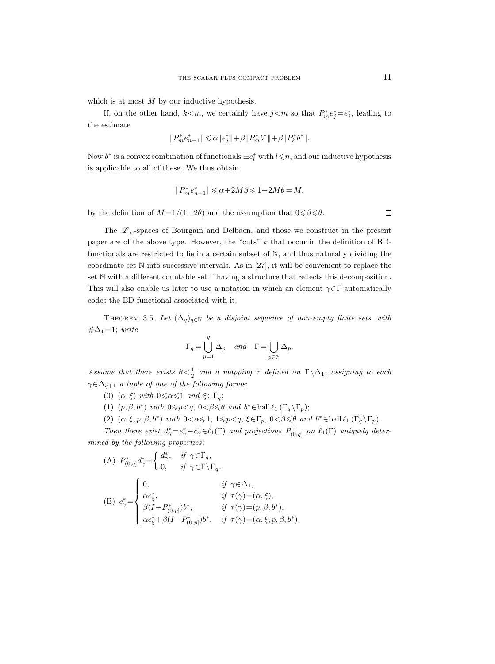which is at most  $M$  by our inductive hypothesis.

If, on the other hand,  $k < m$ , we certainly have  $j < m$  so that  $P_m^* e_j^* = e_j^*$ , leading to the estimate

$$
\|P_m^*e_{n+1}^*\|\leqslant \alpha \|e_j^*\|+\beta \|P_m^*b^*\|+\beta \|P_k^*b^*\|.
$$

Now  $b^*$  is a convex combination of functionals  $\pm e_l^*$  with  $l \leq n$ , and our inductive hypothesis is applicable to all of these. We thus obtain

$$
\|P_m^*e_{n+1}^*\|\leqslant \alpha+2M\beta\leqslant 1+2M\theta=M,
$$

by the definition of  $M = 1/(1-2\theta)$  and the assumption that  $0 \le \beta \le \theta$ .

The  $\mathscr{L}_{\infty}$ -spaces of Bourgain and Delbaen, and those we construct in the present paper are of the above type. However, the "cuts" k that occur in the definition of BDfunctionals are restricted to lie in a certain subset of N, and thus naturally dividing the coordinate set N into successive intervals. As in [27], it will be convenient to replace the set N with a different countable set  $\Gamma$  having a structure that reflects this decomposition. This will also enable us later to use a notation in which an element  $\gamma \in \Gamma$  automatically codes the BD-functional associated with it.

THEOREM 3.5. Let  $(\Delta_q)_{q \in \mathbb{N}}$  be a disjoint sequence of non-empty finite sets, with  $\#\Delta_1=1$ ; write

$$
\Gamma_q = \bigcup_{p=1}^q \Delta_p \quad and \quad \Gamma = \bigcup_{p \in \mathbb{N}} \Delta_p.
$$

Assume that there exists  $\theta < \frac{1}{2}$  and a mapping  $\tau$  defined on  $\Gamma \backslash \Delta_1$ , assigning to each  $\gamma\!\in\!\Delta_{q+1}$  a tuple of one of the following forms:

- (0)  $(\alpha, \xi)$  with  $0 \le \alpha \le 1$  and  $\xi \in \Gamma_q$ ;
- (1)  $(p, \beta, b^*)$  with  $0 \leq p < q$ ,  $0 < \beta \leq \theta$  and  $b^* \in \text{ball}\,\ell_1(\Gamma_q \setminus \Gamma_p);$
- (2)  $(\alpha, \xi, p, \beta, b^*)$  with  $0 < \alpha \leq 1$ ,  $1 \leq p < q$ ,  $\xi \in \Gamma_p$ ,  $0 < \beta \leq \theta$  and  $b^* \in \text{ball}\,\ell_1(\Gamma_q \setminus \Gamma_p)$ .

Then there exist  $d^*_\gamma = e^*_\gamma - e^*_\gamma \in \ell_1(\Gamma)$  and projections  $P^*_{(0,q]}$  on  $\ell_1(\Gamma)$  uniquely determined by the following properties:

(A) 
$$
P_{(0,q]}^* d^*_{\gamma} = \begin{cases} d^*_{\gamma}, & \text{if } \gamma \in \Gamma_q, \\ 0, & \text{if } \gamma \in \Gamma \backslash \Gamma_q. \end{cases}
$$
  
\n(B)  $c^*_{\gamma} = \begin{cases} 0, & \text{if } \gamma \in \Delta_1, \\ \alpha e^*_{\xi}, & \text{if } \tau(\gamma) = (\alpha, \xi), \\ \beta(I - P_{(0,p]}^*) b^*, & \text{if } \tau(\gamma) = (p, \beta, b^*), \\ \alpha e^*_{\xi} + \beta(I - P_{(0,p]}^*) b^*, & \text{if } \tau(\gamma) = (\alpha, \xi, p, \beta, b^*). \end{cases}$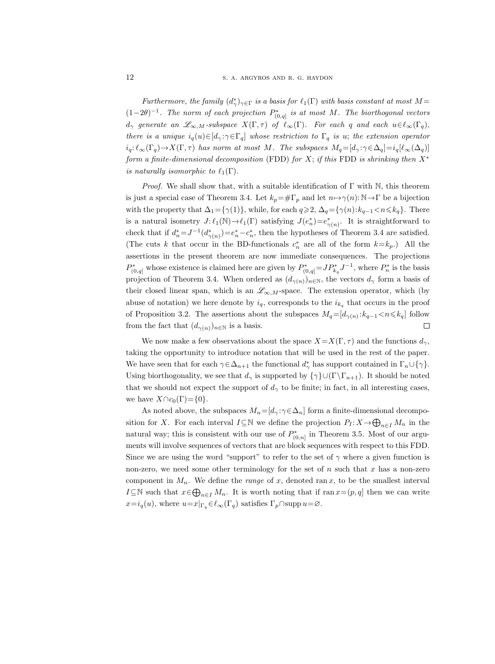Furthermore, the family  $(d^*_{\gamma})_{\gamma \in \Gamma}$  is a basis for  $\ell_1(\Gamma)$  with basis constant at most  $M =$  $(1-2\theta)^{-1}$ . The norm of each projection  $P^*_{(0,q]}$  is at most M. The biorthogonal vectors  $d_{\gamma}$  generate an  $\mathscr{L}_{\infty,M}$ -subspace  $X(\Gamma,\tau)$  of  $\ell_{\infty}(\Gamma)$ . For each q and each  $u \in \ell_{\infty}(\Gamma_q)$ , there is a unique  $i_q(u) \in [d_\gamma : \gamma \in \Gamma_q]$  whose restriction to  $\Gamma_q$  is u; the extension operator  $i_q: \ell_\infty(\Gamma_q) \to X(\Gamma, \tau)$  has norm at most M. The subspaces  $M_q=[d_\gamma:\gamma \in \Delta_q]=i_q[\ell_\infty(\Delta_q)]$ form a finite-dimensional decomposition (FDD) for X; if this FDD is shrinking then  $X^*$ is naturally isomorphic to  $\ell_1(\Gamma)$ .

*Proof.* We shall show that, with a suitable identification of  $\Gamma$  with N, this theorem is just a special case of Theorem 3.4. Let  $k_p = \# \Gamma_p$  and let  $n \mapsto \gamma(n): \mathbb{N} \to \Gamma$  be a bijection with the property that  $\Delta_1 = {\gamma(1)}$ , while, for each  $q \geq 2$ ,  $\Delta_q = {\gamma(n):k_{q-1} < n \leq k_q}$ . There is a natural isometry  $J: \ell_1(\mathbb{N}) \to \ell_1(\Gamma)$  satisfying  $J(e_n^*) = e_{\gamma(n)}^*$ . It is straightforward to check that if  $d_n^* = J^{-1}(d_{\gamma(n)}^*) = e_n^* - c_n^*$ , then the hypotheses of Theorem 3.4 are satisfied. (The cuts k that occur in the BD-functionals  $c_n^*$  are all of the form  $k=k_p$ .) All the assertions in the present theorem are now immediate consequences. The projections  $P_{(0,q]}^*$  whose existence is claimed here are given by  $P_{(0,q)}^* = J P_{k_q}^* J^{-1}$ , where  $P_n^*$  is the basis projection of Theorem 3.4. When ordered as  $(d_{\gamma(n)})_{n\in\mathbb{N}}$ , the vectors  $d_{\gamma}$  form a basis of their closed linear span, which is an  $\mathscr{L}_{\infty,M}$ -space. The extension operator, which (by abuse of notation) we here denote by  $i_q$ , corresponds to the  $i_{k_q}$  that occurs in the proof of Proposition 3.2. The assertions about the subspaces  $M_q = [d_{\gamma(n)} : k_{q-1} < n \leq k_q]$  follow from the fact that  $(d_{\gamma(n)})_{n\in\mathbb{N}}$  is a basis.  $\Box$ 

We now make a few observations about the space  $X=X(\Gamma, \tau)$  and the functions  $d_{\gamma}$ , taking the opportunity to introduce notation that will be used in the rest of the paper. We have seen that for each  $\gamma \in \Delta_{n+1}$  the functional  $d^*_{\gamma}$  has support contained in  $\Gamma_n \cup \{\gamma\}$ . Using biorthogonality, we see that  $d_{\gamma}$  is supported by  $\{\gamma\}\cup(\Gamma\setminus\Gamma_{n+1})$ . It should be noted that we should not expect the support of  $d_{\gamma}$  to be finite; in fact, in all interesting cases, we have  $X \cap c_0(\Gamma) = \{0\}.$ 

As noted above, the subspaces  $M_n=[d_\gamma:\gamma\in\Delta_n]$  form a finite-dimensional decomposition for X. For each interval  $I\subseteq\mathbb{N}$  we define the projection  $P_I: X\to\bigoplus_{n\in I}M_n$  in the natural way; this is consistent with our use of  $P^*_{(0,n]}$  in Theorem 3.5. Most of our arguments will involve sequences of vectors that are block sequences with respect to this FDD. Since we are using the word "support" to refer to the set of  $\gamma$  where a given function is non-zero, we need some other terminology for the set of  $n$  such that  $x$  has a non-zero component in  $M_n$ . We define the *range* of x, denoted ran x, to be the smallest interval I⊆N such that  $x \in \bigoplus_{n \in I} M_n$ . It is worth noting that if  $\text{ran } x = (p, q]$  then we can write  $x=i_q(u)$ , where  $u=x|_{\Gamma_q} \in \ell_\infty(\Gamma_q)$  satisfies  $\Gamma_p \cap \text{supp } u = \varnothing$ .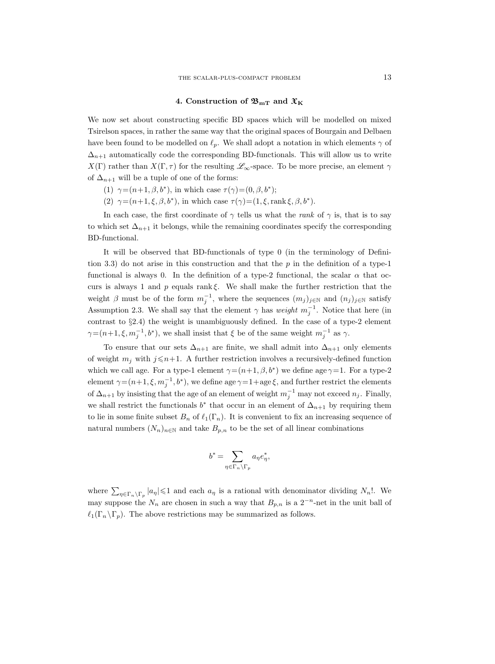## 4. Construction of  $\mathfrak{B}_{mT}$  and  $\mathfrak{X}_{K}$

We now set about constructing specific BD spaces which will be modelled on mixed Tsirelson spaces, in rather the same way that the original spaces of Bourgain and Delbaen have been found to be modelled on  $\ell_p$ . We shall adopt a notation in which elements  $\gamma$  of  $\Delta_{n+1}$  automatically code the corresponding BD-functionals. This will allow us to write  $X(\Gamma)$  rather than  $X(\Gamma, \tau)$  for the resulting  $\mathscr{L}_{\infty}$ -space. To be more precise, an element  $\gamma$ of  $\Delta_{n+1}$  will be a tuple of one of the forms:

- (1)  $\gamma = (n+1, \beta, b^*)$ , in which case  $\tau(\gamma) = (0, \beta, b^*)$ ;
- (2)  $\gamma = (n+1, \xi, \beta, b^*)$ , in which case  $\tau(\gamma) = (1, \xi, \text{rank}\,\xi, \beta, b^*)$ .

In each case, the first coordinate of  $\gamma$  tells us what the *rank* of  $\gamma$  is, that is to say to which set  $\Delta_{n+1}$  it belongs, while the remaining coordinates specify the corresponding BD-functional.

It will be observed that BD-functionals of type 0 (in the terminology of Definition 3.3) do not arise in this construction and that the  $p$  in the definition of a type-1 functional is always 0. In the definition of a type-2 functional, the scalar  $\alpha$  that occurs is always 1 and p equals rank  $\xi$ . We shall make the further restriction that the weight  $\beta$  must be of the form  $m_j^{-1}$ , where the sequences  $(m_j)_{j\in\mathbb{N}}$  and  $(n_j)_{j\in\mathbb{N}}$  satisfy Assumption 2.3. We shall say that the element  $\gamma$  has *weight*  $m_j^{-1}$ . Notice that here (in contrast to §2.4) the weight is unambiguously defined. In the case of a type-2 element  $\gamma = (n+1, \xi, m_j^{-1}, b^*)$ , we shall insist that  $\xi$  be of the same weight  $m_j^{-1}$  as  $\gamma$ .

To ensure that our sets  $\Delta_{n+1}$  are finite, we shall admit into  $\Delta_{n+1}$  only elements of weight  $m_i$  with  $j \leq n+1$ . A further restriction involves a recursively-defined function which we call age. For a type-1 element  $\gamma = (n+1, \beta, b^*)$  we define age  $\gamma = 1$ . For a type-2 element  $\gamma = (n+1, \xi, m_j^{-1}, b^*)$ , we define age  $\gamma = 1 + \text{age } \xi$ , and further restrict the elements of  $\Delta_{n+1}$  by insisting that the age of an element of weight  $m_j^{-1}$  may not exceed  $n_j$ . Finally, we shall restrict the functionals  $b^*$  that occur in an element of  $\Delta_{n+1}$  by requiring them to lie in some finite subset  $B_n$  of  $\ell_1(\Gamma_n)$ . It is convenient to fix an increasing sequence of natural numbers  $(N_n)_{n\in\mathbb{N}}$  and take  $B_{p,n}$  to be the set of all linear combinations

$$
b^* = \sum_{\eta \in \Gamma_n \backslash \Gamma_p} a_{\eta} e_{\eta}^*,
$$

where  $\sum_{\eta \in \Gamma_n \backslash \Gamma_p} |a_{\eta}| \leq 1$  and each  $a_{\eta}$  is a rational with denominator dividing  $N_n!$ . We may suppose the  $N_n$  are chosen in such a way that  $B_{p,n}$  is a  $2^{-n}$ -net in the unit ball of  $\ell_1(\Gamma_n \backslash \Gamma_p)$ . The above restrictions may be summarized as follows.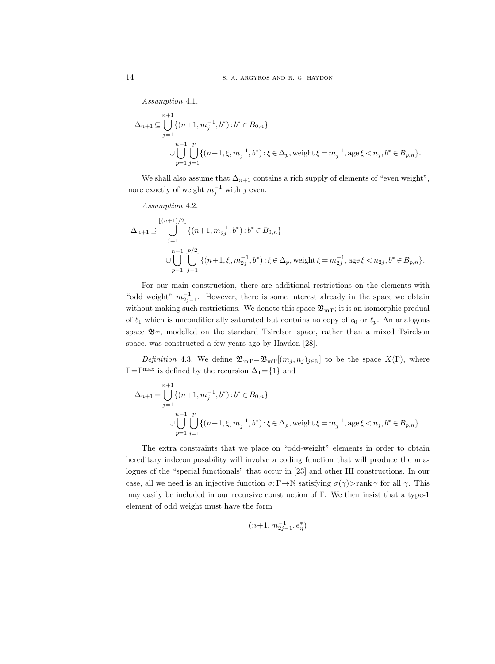Assumption 4.1.

$$
\Delta_{n+1} \subseteq \bigcup_{j=1}^{n+1} \{ (n+1, m_j^{-1}, b^*) : b^* \in B_{0,n} \}
$$
  

$$
\cup \bigcup_{p=1}^{n-1} \bigcup_{j=1}^p \{ (n+1, \xi, m_j^{-1}, b^*) : \xi \in \Delta_p, \text{ weight } \xi = m_j^{-1}, \text{age } \xi < n_j, b^* \in B_{p,n} \}.
$$

We shall also assume that  $\Delta_{n+1}$  contains a rich supply of elements of "even weight", more exactly of weight  $m_j^{-1}$  with j even.

Assumption 4.2.

$$
\Delta_{n+1} \supseteq \bigcup_{j=1}^{\lfloor (n+1)/2 \rfloor} \{(n+1, m_{2j}^{-1}, b^*) : b^* \in B_{0,n}\}
$$
  

$$
\cup \bigcup_{p=1}^{n-1} \bigcup_{j=1}^{\lfloor p/2 \rfloor} \{(n+1, \xi, m_{2j}^{-1}, b^*) : \xi \in \Delta_p, \text{weight } \xi = m_{2j}^{-1}, \text{age } \xi < n_{2j}, b^* \in B_{p,n}\}.
$$

For our main construction, there are additional restrictions on the elements with "odd weight"  $m_{2j-1}^{-1}$ . However, there is some interest already in the space we obtain without making such restrictions. We denote this space  $\mathfrak{B}_{mT}$ ; it is an isomorphic predual of  $\ell_1$  which is unconditionally saturated but contains no copy of  $c_0$  or  $\ell_p$ . An analogous space  $\mathfrak{B}_T$ , modelled on the standard Tsirelson space, rather than a mixed Tsirelson space, was constructed a few years ago by Haydon [28].

Definition 4.3. We define  $\mathfrak{B}_{mT} = \mathfrak{B}_{mT}[(m_j, n_j)_{j\in\mathbb{N}}]$  to be the space  $X(\Gamma)$ , where  $\Gamma = \Gamma^{\text{max}}$  is defined by the recursion  $\Delta_1 = \{1\}$  and

$$
\Delta_{n+1} = \bigcup_{j=1}^{n+1} \{ (n+1, m_j^{-1}, b^*) : b^* \in B_{0,n} \}
$$
  

$$
\cup \bigcup_{p=1}^{n-1} \bigcup_{j=1}^p \{ (n+1, \xi, m_j^{-1}, b^*) : \xi \in \Delta_p, \text{ weight } \xi = m_j^{-1}, \text{age } \xi < n_j, b^* \in B_{p,n} \}.
$$

The extra constraints that we place on "odd-weight" elements in order to obtain hereditary indecomposability will involve a coding function that will produce the analogues of the "special functionals" that occur in [23] and other HI constructions. In our case, all we need is an injective function  $\sigma: \Gamma \to \mathbb{N}$  satisfying  $\sigma(\gamma) > \text{rank } \gamma$  for all  $\gamma$ . This may easily be included in our recursive construction of Γ. We then insist that a type-1 element of odd weight must have the form

$$
(n\!+\!1,m_{2j-1}^{-1},e_\eta^*)
$$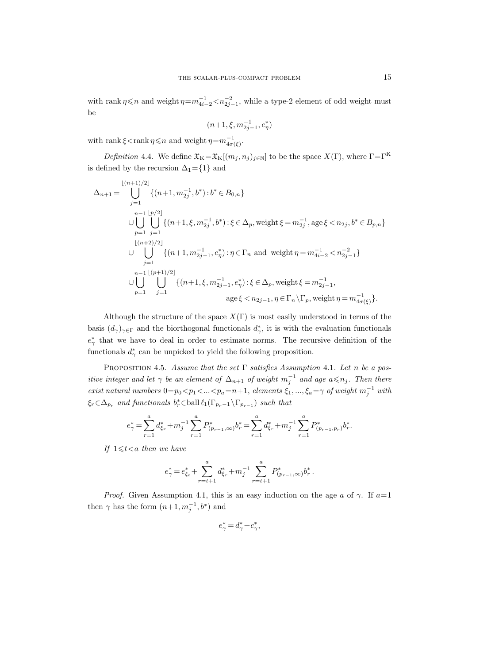with rank  $\eta \leq n$  and weight  $\eta = m_{4i-2}^{-1} < n_{2j-1}^{-2}$ , while a type-2 element of odd weight must be

$$
(n\!+\!1,\xi,m_{2j-1}^{-1},e_\eta^*)
$$

with rank  $\xi$  < rank  $\eta \leq n$  and weight  $\eta = m_{4\sigma(\xi)}^{-1}$ .

Definition 4.4. We define  $\mathfrak{X}_K = \mathfrak{X}_K[(m_j, n_j)_{j \in \mathbb{N}}]$  to be the space  $X(\Gamma)$ , where  $\Gamma = \Gamma^K$ is defined by the recursion  $\Delta_1=\{1\}$  and

$$
\Delta_{n+1} = \bigcup_{j=1}^{\lfloor (n+1)/2 \rfloor} \{(n+1, m_{2j}^{-1}, b^*) : b^* \in B_{0,n}\}
$$
  
\n
$$
\cup \bigcup_{p=1}^{n-1} \bigcup_{j=1}^{\lfloor p/2 \rfloor} \{(n+1, \xi, m_{2j}^{-1}, b^*) : \xi \in \Delta_p, \text{ weight } \xi = m_{2j}^{-1}, \text{ age } \xi < n_{2j}, b^* \in B_{p,n}\}
$$
  
\n
$$
\cup \bigcup_{j=1}^{\lfloor (n+2)/2 \rfloor} \{(n+1, m_{2j-1}^{-1}, e^*_\eta) : \eta \in \Gamma_n \text{ and weight } \eta = m_{4i-2}^{-1} < n_{2j-1}^{-2}\}
$$
  
\n
$$
\cup \bigcup_{p=1}^{n-1} \bigcup_{j=1}^{\lfloor (p+1)/2 \rfloor} \{(n+1, \xi, m_{2j-1}^{-1}, e^*_\eta) : \xi \in \Delta_p, \text{ weight } \xi = m_{2j-1}^{-1},
$$
  
\n
$$
\text{age } \xi < n_{2j-1}, \eta \in \Gamma_n \setminus \Gamma_p, \text{ weight } \eta = m_{4\sigma(\xi)}^{-1}\}.
$$

Although the structure of the space  $X(\Gamma)$  is most easily understood in terms of the basis  $(d_{\gamma})_{\gamma \in \Gamma}$  and the biorthogonal functionals  $d_{\gamma}^*$ , it is with the evaluation functionals  $e^*_{\gamma}$  that we have to deal in order to estimate norms. The recursive definition of the functionals  $d_{\gamma}^*$  can be unpicked to yield the following proposition.

PROPOSITION 4.5. Assume that the set  $\Gamma$  satisfies Assumption 4.1. Let n be a positive integer and let  $\gamma$  be an element of  $\Delta_{n+1}$  of weight  $m_j^{-1}$  and age  $a \leq n_j$ . Then there exist natural numbers  $0=p_0 < p_1 < ... < p_a=n+1$ , elements  $\xi_1, ..., \xi_a = \gamma$  of weight  $m_j^{-1}$  with  $\xi_r \in \Delta_{p_r}$  and functionals  $b_r^* \in \text{ball } \ell_1(\Gamma_{p_r-1} \setminus \Gamma_{p_{r-1}})$  such that

$$
e_{\gamma}^* = \sum_{r=1}^a d_{\xi_r}^* + m_j^{-1} \sum_{r=1}^a P_{(p_{r-1},\infty)}^* b_r^* = \sum_{r=1}^a d_{\xi_r}^* + m_j^{-1} \sum_{r=1}^a P_{(p_{r-1},p_r)}^* b_r^*.
$$

If  $1 \leq t < a$  then we have

$$
e_{\gamma}^* = e_{\xi_t}^* + \sum_{r=t+1}^a d_{\xi_r}^* + m_j^{-1} \sum_{r=t+1}^a P_{(p_{r-1},\infty)}^* b_r^*\,.
$$

*Proof.* Given Assumption 4.1, this is an easy induction on the age a of  $\gamma$ . If a=1 then  $\gamma$  has the form  $(n+1, m_j^{-1}, b^*)$  and

$$
e^*_{\gamma} = d^*_{\gamma} + c^*_{\gamma},
$$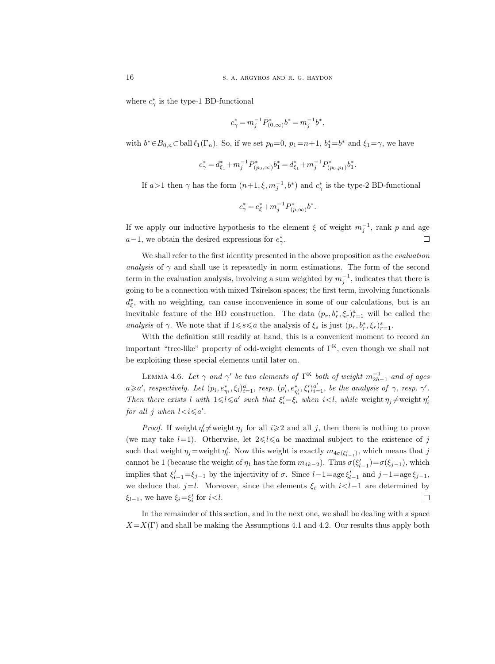where  $c^*_{\gamma}$  is the type-1 BD-functional

$$
c_{\gamma}^* = m_j^{-1} P_{(0,\infty)}^* b^* = m_j^{-1} b^*,
$$

with  $b^* \in B_{0,n} \subset \text{ball } \ell_1(\Gamma_n)$ . So, if we set  $p_0 = 0$ ,  $p_1 = n+1$ ,  $b_1^* = b^*$  and  $\xi_1 = \gamma$ , we have

$$
e_{\gamma}^*=d_{\xi_1}^*+m_j^{-1}P_{(p_0,\infty)}^*b_1^*=d_{\xi_1}^*+m_j^{-1}P_{(p_0,p_1)}^*b_1^*.
$$

If  $a > 1$  then  $\gamma$  has the form  $(n+1, \xi, m_j^{-1}, b^*)$  and  $c^*_{\gamma}$  is the type-2 BD-functional

$$
c_\gamma^* \!=\! e_\xi^* \!+\! m_j^{-1} P_{(p,\infty)}^*b^*.
$$

If we apply our inductive hypothesis to the element  $\xi$  of weight  $m_j^{-1}$ , rank p and age  $a-1$ , we obtain the desired expressions for  $e^*_{\gamma}$ .  $\Box$ 

We shall refer to the first identity presented in the above proposition as the *evaluation* analysis of  $\gamma$  and shall use it repeatedly in norm estimations. The form of the second term in the evaluation analysis, involving a sum weighted by  $m_j^{-1}$ , indicates that there is going to be a connection with mixed Tsirelson spaces; the first term, involving functionals  $d_{\xi}^*$ , with no weighting, can cause inconvenience in some of our calculations, but is an inevitable feature of the BD construction. The data  $(p_r, b_r^*, \xi_r)_{r=1}^a$  will be called the analysis of  $\gamma$ . We note that if  $1 \leq s \leq a$  the analysis of  $\xi_s$  is just  $(p_r, b_r^*, \xi_r)_{r=1}^s$ .

With the definition still readily at hand, this is a convenient moment to record an important "tree-like" property of odd-weight elements of  $\Gamma^{K}$ , even though we shall not be exploiting these special elements until later on.

LEMMA 4.6. Let  $\gamma$  and  $\gamma'$  be two elements of  $\Gamma^{\text{K}}$  both of weight  $m_{2h-1}^{-1}$  and of ages  $a \geq a'$ , respectively. Let  $(p_i, e_{\eta_i}^*, \xi_i)_{i=1}^a$ , resp.  $(p'_i, e_{\eta'_i}^*, \xi'_i)_{i=1}^{a'}$ , be the analysis of  $\gamma$ , resp.  $\gamma'$ . Then there exists l with  $1 \le l \le a'$  such that  $\xi_i' = \xi_i$  when  $i < l$ , while weight  $\eta_j \ne \text{weight } \eta_i'$ for all j when  $l < i \leqslant a'$ .

*Proof.* If weight  $\eta_i \neq$  weight  $\eta_j$  for all  $i \geq 2$  and all j, then there is nothing to prove (we may take  $l=1$ ). Otherwise, let  $2 \le l \le a$  be maximal subject to the existence of j such that weight  $\eta_j$ =weight  $\eta'_l$ . Now this weight is exactly  $m_{4\sigma(\xi'_{l-1})}$ , which means that j cannot be 1 (because the weight of  $\eta_1$  has the form  $m_{4k-2}$ ). Thus  $\sigma(\xi'_{l-1}) = \sigma(\xi_{j-1})$ , which implies that  $\xi'_{l-1} = \xi_{j-1}$  by the injectivity of  $\sigma$ . Since  $l-1 = \text{age }\xi'_{l-1}$  and  $j-1 = \text{age }\xi_{j-1}$ , we deduce that  $j=l$ . Moreover, since the elements  $\xi_i$  with  $i< l-1$  are determined by  $\xi_{l-1}$ , we have  $\xi_i = \xi'_i$  for  $i < l$ .  $\Box$ 

In the remainder of this section, and in the next one, we shall be dealing with a space  $X=X(\Gamma)$  and shall be making the Assumptions 4.1 and 4.2. Our results thus apply both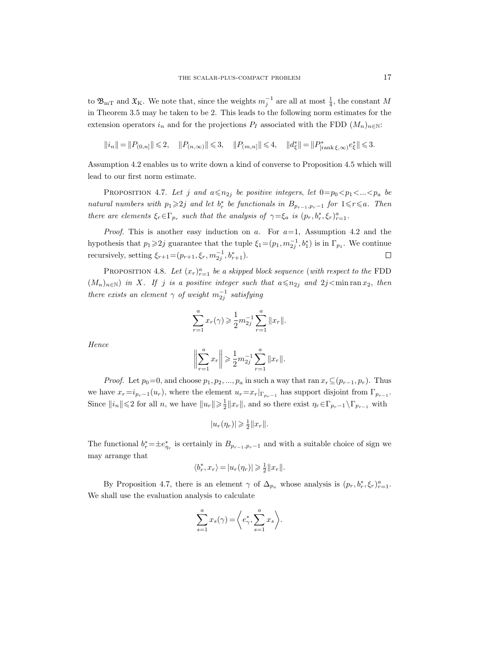to  $\mathfrak{B}_{mT}$  and  $\mathfrak{X}_{K}$ . We note that, since the weights  $m_j^{-1}$  are all at most  $\frac{1}{4}$ , the constant M in Theorem 3.5 may be taken to be 2. This leads to the following norm estimates for the extension operators  $i_n$  and for the projections  $P_I$  associated with the FDD  $(M_n)_{n\in\mathbb{N}}$ :

$$
\|i_n\|=\|P_{(0,n]}\|\leqslant 2,\quad \|P_{(n,\infty)}\|\leqslant 3,\quad \|P_{(m,n]}\|\leqslant 4,\quad \|d_{\xi}^*\|=\|P_{[\text{rank}\,\xi,\infty)}^*e_{\xi}^*\|\leqslant 3.
$$

Assumption 4.2 enables us to write down a kind of converse to Proposition 4.5 which will lead to our first norm estimate.

PROPOSITION 4.7. Let j and  $a \le n_{2j}$  be positive integers, let  $0=p_0 be$ natural numbers with  $p_1 \geqslant 2j$  and let  $b_r^*$  be functionals in  $B_{p_{r-1},p_r-1}$  for  $1 \leqslant r \leqslant a$ . Then there are elements  $\xi_r \in \Gamma_{p_r}$  such that the analysis of  $\gamma = \xi_a$  is  $(p_r, b_r^*, \xi_r)_{r=1}^a$ .

*Proof.* This is another easy induction on a. For  $a=1$ , Assumption 4.2 and the hypothesis that  $p_1 \geqslant 2j$  guarantee that the tuple  $\xi_1 = (p_1, m_{2j}^{-1}, b_1^*)$  is in  $\Gamma_{p_1}$ . We continue recursively, setting  $\xi_{r+1} = (p_{r+1}, \xi_r, m_{2j}^{-1}, b_{r+1}^*).$  $\Box$ 

PROPOSITION 4.8. Let  $(x_r)_{r=1}^a$  be a skipped block sequence (with respect to the FDD  $(M_n)_{n\in\mathbb{N}}$ ) in X. If j is a positive integer such that  $a \leq n_{2j}$  and  $2j < \min \operatorname{ran} x_2$ , then there exists an element  $\gamma$  of weight  $m_{2j}^{-1}$  satisfying

$$
\sum_{r=1}^{a} x_r(\gamma) \geqslant \frac{1}{2} m_{2j}^{-1} \sum_{r=1}^{a} ||x_r||.
$$

Hence

$$
\left\| \sum_{r=1}^{a} x_r \right\| \geqslant \frac{1}{2} m_{2j}^{-1} \sum_{r=1}^{a} \|x_r\|.
$$

*Proof.* Let  $p_0=0$ , and choose  $p_1, p_2, ..., p_a$  in such a way that ran  $x_r \subseteq (p_{r-1}, p_r)$ . Thus we have  $x_r = i_{p_r-1}(u_r)$ , where the element  $u_r = x_r|_{\Gamma_{p_r-1}}$  has support disjoint from  $\Gamma_{p_{r-1}}$ . Since  $||i_n|| \leq 2$  for all n, we have  $||u_r|| \geq \frac{1}{2}||x_r||$ , and so there exist  $\eta_r \in \Gamma_{p_r-1} \setminus \Gamma_{p_{r-1}}$  with

$$
|u_r(\eta_r)| \geqslant \frac{1}{2}||x_r||.
$$

The functional  $b_r^* = \pm e_{\eta_r}^*$  is certainly in  $B_{p_{r-1},p_{r-1}}$  and with a suitable choice of sign we may arrange that

$$
\langle b^*_r, x_r \rangle = |u_r(\eta_r)| \geqslant \tfrac{1}{2} \| x_r \|.
$$

By Proposition 4.7, there is an element  $\gamma$  of  $\Delta_{p_a}$  whose analysis is  $(p_r, b_r^*, \xi_r)_{r=1}^a$ . We shall use the evaluation analysis to calculate

$$
\sum_{s=1}^{a} x_s(\gamma) = \left\langle e^*_{\gamma}, \sum_{s=1}^{a} x_s \right\rangle.
$$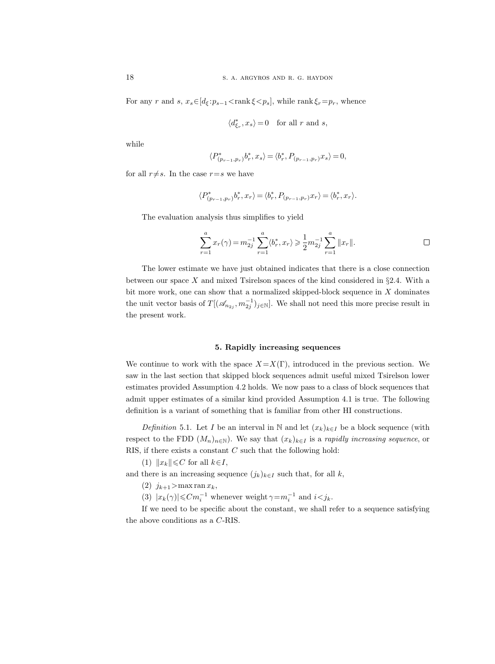For any r and s,  $x_s \in [d_\xi : p_{s-1} < \text{rank } \xi < p_s]$ , while  $\text{rank } \xi_r = p_r$ , whence

$$
\langle d_{\xi_r}^*,x_s\rangle\!=\!0\quad\text{for all }r\text{ and }s,
$$

while

$$
\langle P^*_{(p_{r-1},p_r)}b^*_r,x_s\rangle=\langle b^*_r,P_{(p_{r-1},p_r)}x_s\rangle=0,
$$

for all  $r \neq s$ . In the case  $r=s$  we have

$$
\langle P^*_{(p_{r-1},p_r)}b^*_r,x_r\rangle=\langle b^*_r,P_{(p_{r-1},p_r)}x_r\rangle=\langle b^*_r,x_r\rangle.
$$

The evaluation analysis thus simplifies to yield

$$
\sum_{r=1}^{a} x_r(\gamma) = m_{2j}^{-1} \sum_{r=1}^{a} \langle b_r^*, x_r \rangle \geq \frac{1}{2} m_{2j}^{-1} \sum_{r=1}^{a} ||x_r||.
$$

The lower estimate we have just obtained indicates that there is a close connection between our space X and mixed Tsirelson spaces of the kind considered in  $\S 2.4$ . With a bit more work, one can show that a normalized skipped-block sequence in  $X$  dominates the unit vector basis of  $T[(\mathscr{A}_{n_2}, m_{2j}^{-1})_{j\in\mathbb{N}}]$ . We shall not need this more precise result in the present work.

# 5. Rapidly increasing sequences

We continue to work with the space  $X=X(\Gamma)$ , introduced in the previous section. We saw in the last section that skipped block sequences admit useful mixed Tsirelson lower estimates provided Assumption 4.2 holds. We now pass to a class of block sequences that admit upper estimates of a similar kind provided Assumption 4.1 is true. The following definition is a variant of something that is familiar from other HI constructions.

Definition 5.1. Let I be an interval in N and let  $(x_k)_{k\in I}$  be a block sequence (with respect to the FDD  $(M_n)_{n\in\mathbb{N}}$ ). We say that  $(x_k)_{k\in I}$  is a *rapidly increasing sequence*, or RIS, if there exists a constant  $C$  such that the following hold:

(1)  $||x_k|| \leq C$  for all  $k\in I$ ,

and there is an increasing sequence  $(j_k)_{k\in I}$  such that, for all k,

(2)  $j_{k+1} > \max \operatorname{ran} x_k$ ,

(3)  $|x_k(\gamma)| \leq C m_i^{-1}$  whenever weight  $\gamma = m_i^{-1}$  and  $i < j_k$ .

If we need to be specific about the constant, we shall refer to a sequence satisfying the above conditions as a C-RIS.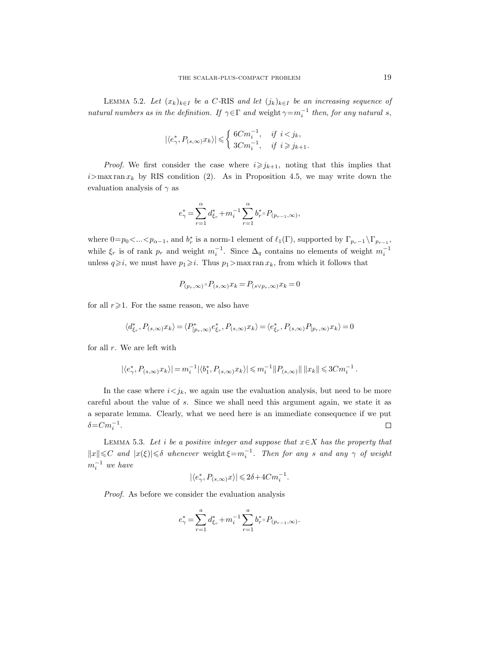LEMMA 5.2. Let  $(x_k)_{k\in I}$  be a C-RIS and let  $(j_k)_{k\in I}$  be an increasing sequence of natural numbers as in the definition. If  $\gamma \in \Gamma$  and weight  $\gamma = m_i^{-1}$  then, for any natural s,

$$
|\langle e_\gamma^*, P_{(s,\infty)} x_k \rangle| \leqslant \left\{ \begin{array}{ll} 6C m_i^{-1}, & \textit{if } i < j_k, \\ 3C m_i^{-1}, & \textit{if } i \geqslant j_{k+1}. \end{array} \right.
$$

*Proof.* We first consider the case where  $i \geq j_{k+1}$ , noting that this implies that  $i>$ max ran  $x_k$  by RIS condition (2). As in Proposition 4.5, we may write down the evaluation analysis of  $\gamma$  as

$$
e_{\gamma}^*=\sum_{r=1}^{\alpha}d_{\xi_r}^*+m_i^{-1}\sum_{r=1}^{\alpha}b_r^{*}\!\circ P_{(p_{r-1},\infty)},
$$

where  $0=p_0<..., and  $b_r^*$  is a norm-1 element of  $\ell_1(\Gamma)$ , supported by  $\Gamma_{p_r-1} \setminus \Gamma_{p_{r-1}}$ ,$ while  $\xi_r$  is of rank  $p_r$  and weight  $m_i^{-1}$ . Since  $\Delta_q$  contains no elements of weight  $m_i^{-1}$ unless  $q\geqslant i$ , we must have  $p_1\geqslant i$ . Thus  $p_1>$  max ran  $x_k$ , from which it follows that

$$
P_{(p_r,\infty)} \circ P_{(s,\infty)} x_k = P_{(s \vee p_r,\infty)} x_k = 0
$$

for all  $r\geqslant1$ . For the same reason, we also have

$$
\langle d^{*}_{\xi_r},P_{(s,\infty)}x_k\rangle=\langle P^{*}_{[p_r,\infty)}e^{*}_{\xi_r},P_{(s,\infty)}x_k\rangle=\langle e^{*}_{\xi_r},P_{(s,\infty)}P_{[p_r,\infty)}x_k\rangle=0
$$

for all  $r$ . We are left with

$$
|\langle e_{\gamma}^*, P_{(s,\infty)} x_k \rangle| = m_i^{-1} |\langle b_1^*, P_{(s,\infty)} x_k \rangle| \leq m_i^{-1} ||P_{(s,\infty)}|| \, ||x_k|| \leq 3C m_i^{-1}.
$$

In the case where  $i \leq j_k$ , we again use the evaluation analysis, but need to be more careful about the value of s. Since we shall need this argument again, we state it as a separate lemma. Clearly, what we need here is an immediate consequence if we put  $\delta = C m_i^{-1}$ .  $\Box$ 

LEMMA 5.3. Let i be a positive integer and suppose that  $x \in X$  has the property that  $||x|| \leq C$  and  $|x(\xi)| \leq \delta$  whenever weight  $\xi = m_i^{-1}$ . Then for any s and any  $\gamma$  of weight  $m_i^{-1}$  we have

$$
|\langle e_\gamma^*, P_{(s,\infty)} x\rangle|\leqslant 2\delta+4Cm_i^{-1}.
$$

Proof. As before we consider the evaluation analysis

$$
e_{\gamma}^* = \sum_{r=1}^a d_{\xi_r}^* + m_i^{-1} \sum_{r=1}^a b_r^* \circ P_{(p_{r-1},\infty)}.
$$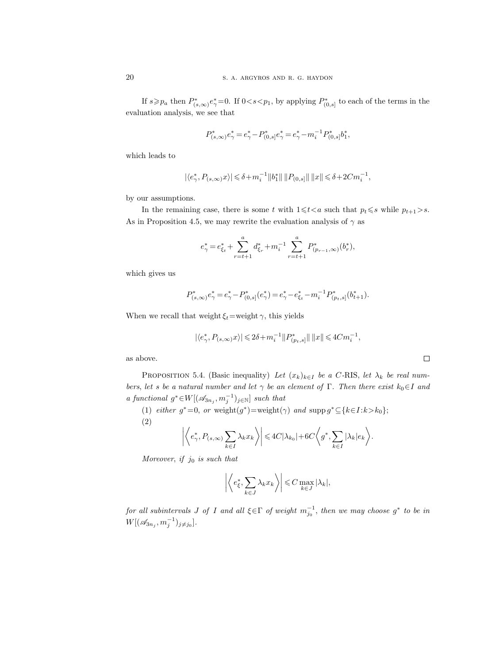If  $s \geq p_a$  then  $P^*_{(s,\infty)}e^*_{\gamma}=0$ . If  $0 < s < p_1$ , by applying  $P^*_{(0,s]}$  to each of the terms in the evaluation analysis, we see that

$$
P^*_{(s,\infty)}e^*_\gamma=e^*_\gamma-P^*_{(0,s]}e^*_\gamma=e^*_\gamma-m_i^{-1}P^*_{(0,s]}b^*_1,
$$

which leads to

$$
|\langle e_{\gamma}^*, P_{(s,\infty)}x\rangle| \leq \delta + m_i^{-1} ||b_1^*|| ||P_{(0,s)}|| ||x|| \leq \delta + 2Cm_i^{-1},
$$

by our assumptions.

In the remaining case, there is some t with  $1 \leq t < a$  such that  $p_t \leq s$  while  $p_{t+1} > s$ . As in Proposition 4.5, we may rewrite the evaluation analysis of  $\gamma$  as

$$
e_{\gamma}^* = e_{\xi_t}^* + \sum_{r=t+1}^a d_{\xi_r}^* + m_i^{-1} \sum_{r=t+1}^a P_{(p_{r-1},\infty)}^*(b_r^*),
$$

which gives us

$$
P_{(s,\infty)}^* e_\gamma^* = e_\gamma^* - P_{(0,s]}^* (e_\gamma^*) = e_\gamma^* - e_{\xi_t}^* - m_i^{-1} P_{(p_t,s]}^* (b_{t+1}^*).
$$

When we recall that weight  $\xi_t$ =weight  $\gamma$ , this yields

$$
|\langle e_{\gamma}^*,P_{(s,\infty)}x\rangle|\leqslant 2\delta+m_i^{-1}\|P_{(p_t,s]}^*\|\,\|x\|\leqslant 4Cm_i^{-1},
$$

as above.

PROPOSITION 5.4. (Basic inequality) Let  $(x_k)_{k\in I}$  be a C-RIS, let  $\lambda_k$  be real numbers, let s be a natural number and let  $\gamma$  be an element of Γ. Then there exist  $k_0 \in I$  and a functional  $g^* \in W[(\mathcal{A}_{3n_j}, m_j^{-1})_{j \in \mathbb{N}}]$  such that

(1) either  $g^* = 0$ , or weight $(g^*) = \text{weight}(\gamma)$  and  $\text{supp } g^* \subseteq \{k \in I : k > k_0\};$ (2)  $\frac{1}{2}$ ∗  $\left|\sum\lambda_kx_k\right\rangle\right|\leqslant 4C|\lambda_{k_0}|$  $\langle a^*, \nabla$  $\sqrt{2}$ 

$$
\left| \left\langle e_\gamma^*, P_{(s,\infty)} \sum_{k \in I} \lambda_k x_k \right\rangle \right| \leq 4C |\lambda_{k_0}| + 6C \left\langle g^*, \sum_{k \in I} |\lambda_k| e_k \right\rangle.
$$

Moreover, if  $j_0$  is such that

$$
\left| \left\langle e_{\xi}^*, \sum_{k \in J} \lambda_k x_k \right\rangle \right| \leqslant C \max_{k \in J} |\lambda_k|,
$$

for all subintervals J of I and all  $\xi \in \Gamma$  of weight  $m_{j_0}^{-1}$ , then we may choose  $g^*$  to be in  $W[(\mathcal{A}_{3n_j}, m_j^{-1})_{j \neq j_0}].$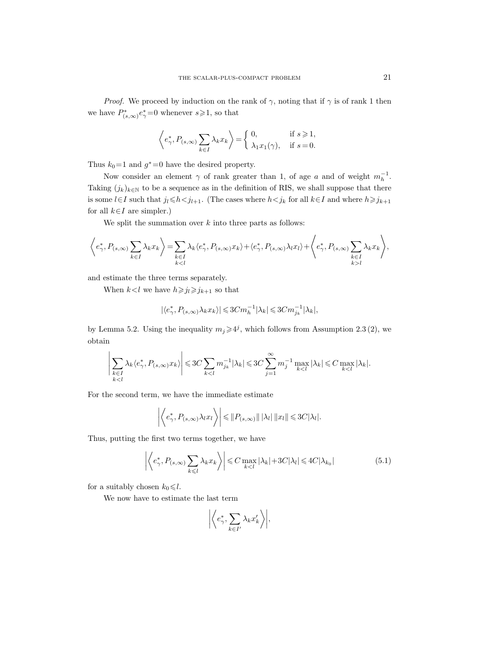*Proof.* We proceed by induction on the rank of  $\gamma$ , noting that if  $\gamma$  is of rank 1 then we have  $P^*_{(s,\infty)}e^*_{\gamma}=0$  whenever  $s\!\geqslant\!1$ , so that

$$
\left\langle e_\gamma^*, P_{(s,\infty)} \sum_{k \in I} \lambda_k x_k \right\rangle = \begin{cases} 0, & \text{if } s \geq 1, \\ \lambda_1 x_1(\gamma), & \text{if } s = 0. \end{cases}
$$

Thus  $k_0=1$  and  $g^*=0$  have the desired property.

Now consider an element  $\gamma$  of rank greater than 1, of age a and of weight  $m_h^{-1}$ . Taking  $(j_k)_{k \in \mathbb{N}}$  to be a sequence as in the definition of RIS, we shall suppose that there is some  $l\in I$  such that  $j_l\leq h\leq j_{l+1}$ . (The cases where  $h\leq j_k$  for all  $k\in I$  and where  $h\geq j_{k+1}$ for all  $k \in I$  are simpler.)

We split the summation over  $k$  into three parts as follows:

$$
\left\langle e_{\gamma}^*, P_{(s,\infty)} \sum_{k \in I} \lambda_k x_k \right\rangle = \sum_{\substack{k \in I \\ k < l}} \lambda_k \langle e_{\gamma}^*, P_{(s,\infty)} x_k \rangle + \langle e_{\gamma}^*, P_{(s,\infty)} \lambda_l x_l \rangle + \left\langle e_{\gamma}^*, P_{(s,\infty)} \sum_{\substack{k \in I \\ k > l}} \lambda_k x_k \right\rangle,
$$

and estimate the three terms separately.

When  $k < l$  we have  $h \ge j_l \ge j_{k+1}$  so that

$$
|\langle e_{\gamma}^*,P_{(s,\infty)}\lambda_kx_k\rangle|\!\leqslant\!3Cm_h^{-1}|\lambda_k|\!\leqslant\!3Cm_{j_k}^{-1}|\lambda_k|,
$$

by Lemma 5.2. Using the inequality  $m_j \geqslant 4^j$ , which follows from Assumption 2.3 (2), we obtain

$$
\left|\sum_{\substack{k\in I\\k
$$

For the second term, we have the immediate estimate

$$
\left| \left\langle e^*_{\gamma}, P_{(s,\infty)} \lambda_l x_l \right\rangle \right| \leq \| P_{(s,\infty)} \| \, |\lambda_l| \, \| x_l \| \leq 3C |\lambda_l|.
$$

Thus, putting the first two terms together, we have

$$
\left| \left\langle e_{\gamma}^*, P_{(s,\infty)} \sum_{k \leq l} \lambda_k x_k \right\rangle \right| \leq C \max_{k < l} |\lambda_k| + 3C |\lambda_l| \leq 4C |\lambda_{k_0}| \tag{5.1}
$$

for a suitably chosen  $k_0 \leq l$ .

We now have to estimate the last term

$$
\left| \left\langle e^*_{\gamma}, \sum_{k \in I'} \lambda_k x'_k \right\rangle \right|,
$$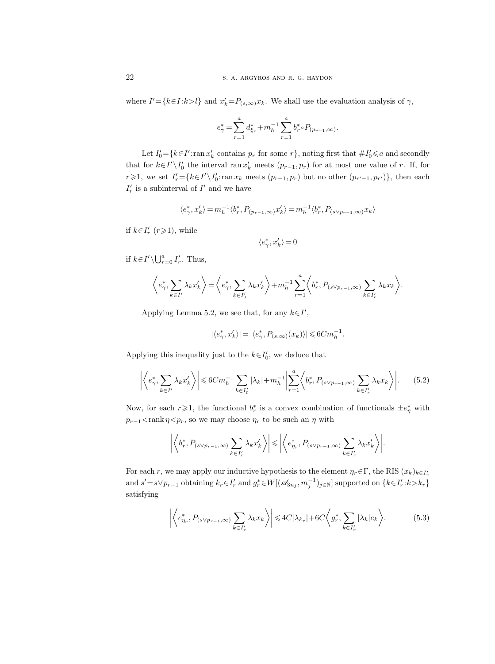where  $I' = \{k \in I : k > l\}$  and  $x'_k = P_{(s,\infty)}x_k$ . We shall use the evaluation analysis of  $\gamma$ ,

$$
e_{\gamma}^* = \sum_{r=1}^a d_{\xi_r}^* + m_h^{-1} \sum_{r=1}^a b_r^* \circ P_{(p_{r-1},\infty)}.
$$

Let  $I'_0 = \{k \in I': \text{ran } x'_k \text{ contains } p_r \text{ for some } r\}$ , noting first that  $\# I'_0 \leq a$  and secondly that for  $k \in I' \setminus I'_0$  the interval ran  $x'_k$  meets  $(p_{r-1}, p_r)$  for at most one value of r. If, for r  $\geq 1$ , we set  $I'_r = \{k \in I' \setminus I'_0 : \text{ran } x_k \text{ meets } (p_{r-1}, p_r) \text{ but no other } (p_{r'-1}, p_{r'})\},\$  then each  $I'_r$  is a subinterval of  $I'$  and we have

$$
\langle e_\gamma^*, x_k'\rangle = m_h^{-1} \langle b_r^*, P_{(p_{r-1}, \infty)} x_k'\rangle = m_h^{-1} \langle b_r^*, P_{(s \vee p_{r-1}, \infty)} x_k\rangle
$$

if  $k \in I'_r$  ( $r \ge 1$ ), while

$$
\langle e_\gamma^*,x_k'\rangle\,{=}\,0
$$

if  $k \in I' \setminus \bigcup_{r=0}^a I'_r$ . Thus,

$$
\left\langle e_{\gamma}^*,\sum_{k\in I'}\lambda_kx_k'\right\rangle\!=\!\left\langle e_{\gamma}^*,\sum_{k\in I'_0}\lambda_kx_k'\right\rangle\!+\!m_h^{-1}\sum_{r=1}^a\!\left\langle b_r^*,P_{(s\vee p_{r-1},\infty)}\sum_{k\in I'_r}\lambda_kx_k\right\rangle\!.
$$

Applying Lemma 5.2, we see that, for any  $k \in I'$ ,

$$
|\langle e_\gamma^*,x_k'\rangle|=|\langle e_\gamma^*,P_{(s,\infty)}(x_k)\rangle|\leqslant 6Cm_h^{-1}.
$$

Applying this inequality just to the  $k \in I'_0$ , we deduce that

$$
\left| \left\langle e_{\gamma}^*, \sum_{k \in I'} \lambda_k x_k' \right\rangle \right| \leq 6C m_h^{-1} \sum_{k \in I'_0} |\lambda_k| + m_h^{-1} \left| \sum_{r=1}^a \left\langle b_r^*, P_{(s \vee p_{r-1}, \infty)} \sum_{k \in I'_r} \lambda_k x_k \right\rangle \right|.
$$
 (5.2)

Now, for each  $r\geqslant 1$ , the functional  $b_r^*$  is a convex combination of functionals  $\pm e^*_\eta$  with  $p_{r-1}$  < rank  $\eta$  <  $p_r$ , so we may choose  $\eta_r$  to be such an  $\eta$  with

$$
\left| \left\langle b_r^*, P_{(s \vee p_{r-1}, \infty)} \sum_{k \in I'_r} \lambda_k x'_k \right\rangle \right| \leq \left| \left\langle e_{\eta_r}^*, P_{(s \vee p_{r-1}, \infty)} \sum_{k \in I'_r} \lambda_k x'_k \right\rangle \right|.
$$

For each r, we may apply our inductive hypothesis to the element  $\eta_r \in \Gamma$ , the RIS  $(x_k)_{k \in I'_r}$ and  $s' = s \vee p_{r-1}$  obtaining  $k_r \in I'_r$  and  $g_r^* \in W[(\mathscr{A}_{3n_j}, m_j^{-1})_{j \in \mathbb{N}}]$  supported on  $\{k \in I'_r : k > k_r\}$ satisfying

$$
\left| \left\langle e_{\eta_r}^*, P_{(s \vee p_{r-1}, \infty)} \sum_{k \in I'_r} \lambda_k x_k \right\rangle \right| \leq 4C |\lambda_{k_r}| + 6C \left\langle g_r^*, \sum_{k \in I'_r} |\lambda_k| e_k \right\rangle. \tag{5.3}
$$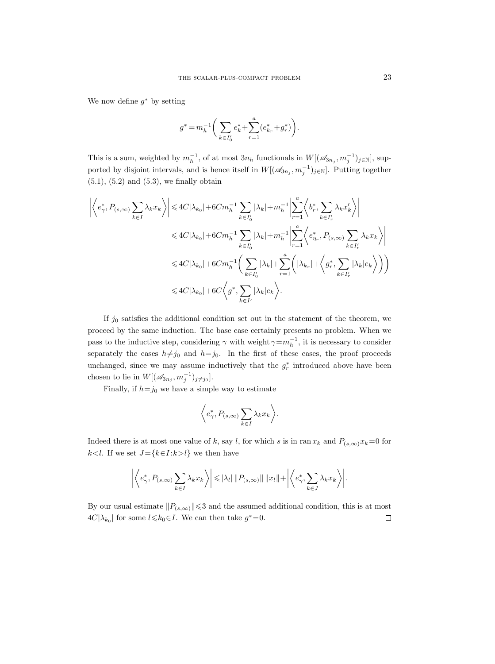We now define  $g^*$  by setting

$$
g^* = m_h^{-1} \bigg( \sum_{k \in I_0'} e_k^* + \sum_{r=1}^a (e_{k_r}^* + g_r^*) \bigg).
$$

This is a sum, weighted by  $m_h^{-1}$ , of at most  $3n_h$  functionals in  $W[(\mathscr{A}_{3n_j}, m_j^{-1})_{j\in\mathbb{N}}]$ , supported by disjoint intervals, and is hence itself in  $W[(\mathscr{A}_{3n_j}, m_j^{-1})_{j\in\mathbb{N}}]$ . Putting together  $(5.1), (5.2)$  and  $(5.3),$  we finally obtain

$$
\left| \left\langle e_{\gamma}^*, P_{(s,\infty)} \sum_{k \in I} \lambda_k x_k \right\rangle \right| \leq 4C|\lambda_{k_0}| + 6Cm_h^{-1} \sum_{k \in I'_0} |\lambda_k| + m_h^{-1} \left| \sum_{r=1}^a \left\langle b_r^*, \sum_{k \in I'_r} \lambda_k x'_k \right\rangle \right|
$$
  

$$
\leq 4C|\lambda_{k_0}| + 6Cm_h^{-1} \sum_{k \in I'_0} |\lambda_k| + m_h^{-1} \left| \sum_{r=1}^a \left\langle e_{\eta_r}^*, P_{(s,\infty)} \sum_{k \in I'_r} \lambda_k x_k \right\rangle \right|
$$
  

$$
\leq 4C|\lambda_{k_0}| + 6Cm_h^{-1} \left( \sum_{k \in I'_0} |\lambda_k| + \sum_{r=1}^a \left( |\lambda_{k_r}| + \left\langle g_r^*, \sum_{k \in I'_r} |\lambda_k| e_k \right\rangle \right) \right)
$$
  

$$
\leq 4C|\lambda_{k_0}| + 6C \left\langle g^*, \sum_{k \in I'} |\lambda_k| e_k \right\rangle.
$$

If  $j_0$  satisfies the additional condition set out in the statement of the theorem, we proceed by the same induction. The base case certainly presents no problem. When we pass to the inductive step, considering  $\gamma$  with weight  $\gamma = m_h^{-1}$ , it is necessary to consider separately the cases  $h\neq j_0$  and  $h=j_0$ . In the first of these cases, the proof proceeds unchanged, since we may assume inductively that the  $g_r^*$  introduced above have been chosen to lie in  $W[(\mathscr{A}_{3n_j}, m_j^{-1})_{j \neq j_0}].$ 

Finally, if  $h=j_0$  we have a simple way to estimate

$$
\left\langle e_\gamma^*, P_{(s,\infty)} \sum_{k \in I} \lambda_k x_k \right\rangle.
$$

Indeed there is at most one value of k, say l, for which s is in ran  $x_k$  and  $P_{(s,\infty)}x_k=0$  for k<l. If we set  $J = \{k \in I : k > l\}$  we then have

$$
\left| \left\langle e_\gamma^*, P_{(s,\infty)} \sum_{k \in I} \lambda_k x_k \right\rangle \right| \leqslant |\lambda_l| \left\| P_{(s,\infty)} \right\| \left\| x_l \right\| + \left| \left\langle e_\gamma^*, \sum_{k \in J} \lambda_k x_k \right\rangle \right|.
$$

By our usual estimate  $||P_{(s,\infty)}|| \leq 3$  and the assumed additional condition, this is at most  $4C|\lambda_{k_0}|$  for some  $l \leqslant k_0 \in I$ . We can then take  $g^* = 0$ .  $\Box$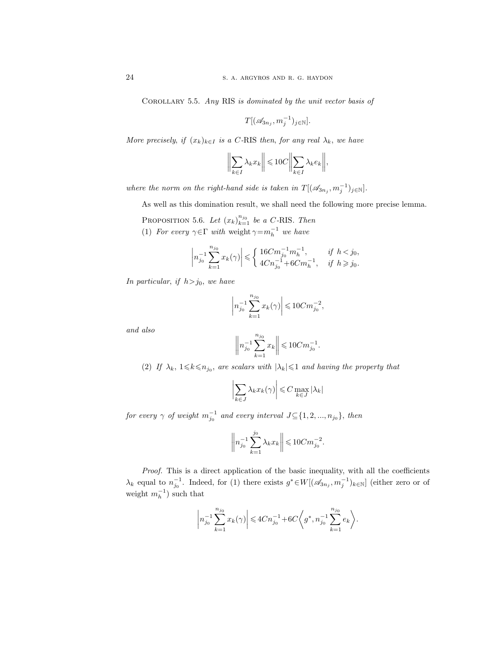Corollary 5.5. Any RIS is dominated by the unit vector basis of

$$
T[(\mathscr{A}_{3n_j}, m_j^{-1})_{j \in \mathbb{N}}].
$$

More precisely, if  $(x_k)_{k\in I}$  is a C-RIS then, for any real  $\lambda_k$ , we have

$$
\left\| \sum_{k \in I} \lambda_k x_k \right\| \leqslant 10C \left\| \sum_{k \in I} \lambda_k e_k \right\|,
$$

where the norm on the right-hand side is taken in  $T[(\mathscr{A}_{3n_j}, m_j^{-1})_{j \in \mathbb{N}}]$ .

As well as this domination result, we shall need the following more precise lemma.

PROPOSITION 5.6. Let  $(x_k)_{k=1}^{n_{j_0}}$  be a C-RIS. Then

(1) For every  $\gamma \in \Gamma$  with weight  $\gamma = m_h^{-1}$  we have

$$
\left| n_{j_0}^{-1} \sum_{k=1}^{n_{j_0}} x_k(\gamma) \right| \leqslant \begin{cases} 16Cm_{j_0}^{-1}m_h^{-1}, & \text{if } h < j_0, \\ 4Cn_{j_0}^{-1} + 6Cm_h^{-1}, & \text{if } h \geqslant j_0. \end{cases}
$$

In particular, if  $h> j_0$ , we have

$$
\left| n_{j_0}^{-1} \sum_{k=1}^{n_{j_0}} x_k(\gamma) \right| \leq 10 C m_{j_0}^{-2},
$$

and also

$$
\left\| n_{j_0}^{-1} \sum_{k=1}^{n_{j_0}} x_k \right\| \leq 10 C m_{j_0}^{-1}.
$$

(2) If  $\lambda_k$ ,  $1 \leq k \leq n_{j_0}$ , are scalars with  $|\lambda_k| \leq 1$  and having the property that

$$
\left|\sum_{k\in J} \lambda_k x_k(\gamma)\right| \leqslant C \max_{k\in J} |\lambda_k|
$$

for every  $\gamma$  of weight  $m_{j_0}^{-1}$  and every interval  $J \subseteq \{1, 2, ..., n_{j_0}\},$  then

$$
\left\|n_{j_0}^{-1}\sum_{k=1}^{j_0}\lambda_kx_k\right\|\leqslant 10C m_{j_0}^{-2}.
$$

Proof. This is a direct application of the basic inequality, with all the coefficients  $\lambda_k$  equal to  $n_{j_0}^{-1}$ . Indeed, for (1) there exists  $g^* \in W[(\mathscr{A}_{3n_j}, m_j^{-1})_{k \in \mathbb{N}}]$  (either zero or of weight  $m_h^{-1}$ ) such that

$$
\left|n_{j_0}^{-1}\sum_{k=1}^{n_{j_0}}x_k(\gamma)\right|\leqslant 4Cn_{j_0}^{-1}+6C\bigg\langle g^*, n_{j_0}^{-1}\sum_{k=1}^{n_{j_0}}e_k\bigg\rangle.
$$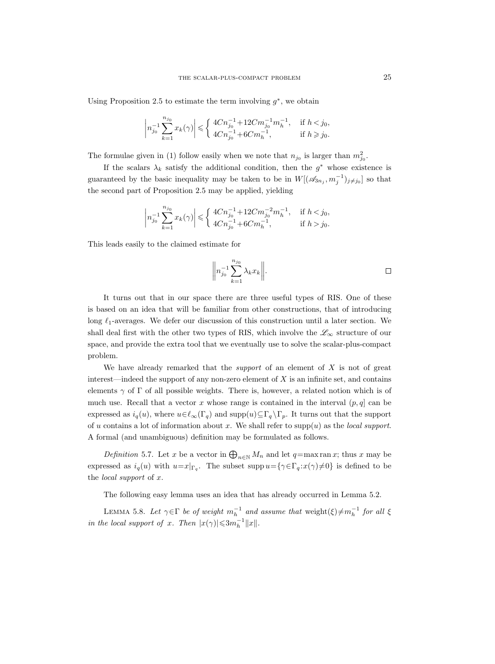Using Proposition 2.5 to estimate the term involving  $g^*$ , we obtain

$$
\left|n_{j_0}^{-1}\sum_{k=1}^{n_{j_0}}x_k(\gamma)\right|\leqslant \left\{\begin{array}{ll}4Cn_{j_0}^{-1}+12Cm_{j_0}^{-1}m_h^{-1},&\text{ if }h< j_0,\\ 4Cn_{j_0}^{-1}+6Cm_h^{-1},&\text{ if }h\geqslant j_0.\end{array}\right.
$$

The formulae given in (1) follow easily when we note that  $n_{j_0}$  is larger than  $m_{j_0}^2$ .

If the scalars  $\lambda_k$  satisfy the additional condition, then the  $g^*$  whose existence is guaranteed by the basic inequality may be taken to be in  $W[(\mathscr{A}_{3n_j}, m_j^{-1})_{j \neq j_0}]$  so that the second part of Proposition 2.5 may be applied, yielding

$$
\left|n_{j_0}^{-1}\sum_{k=1}^{n_{j_0}}x_k(\gamma)\right|\leqslant \left\{\begin{array}{ll}4Cn_{j_0}^{-1}+12Cm_{j_0}^{-2}m_h^{-1},& \text{ if } hj_0.\end{array}\right.
$$

This leads easily to the claimed estimate for

$$
\bigg\|n_{j_0}^{-1}\sum_{k=1}^{n_{j_0}}\lambda_kx_k\bigg\|.\qquad \qquad \Box
$$

It turns out that in our space there are three useful types of RIS. One of these is based on an idea that will be familiar from other constructions, that of introducing long  $\ell_1$ -averages. We defer our discussion of this construction until a later section. We shall deal first with the other two types of RIS, which involve the  $\mathscr{L}_{\infty}$  structure of our space, and provide the extra tool that we eventually use to solve the scalar-plus-compact problem.

We have already remarked that the *support* of an element of  $X$  is not of great interest—indeed the support of any non-zero element of  $X$  is an infinite set, and contains elements  $\gamma$  of  $\Gamma$  of all possible weights. There is, however, a related notion which is of much use. Recall that a vector x whose range is contained in the interval  $(p, q]$  can be expressed as  $i_q(u)$ , where  $u \in \ell_\infty(\Gamma_q)$  and  $\text{supp}(u) \subseteq \Gamma_q \backslash \Gamma_p$ . It turns out that the support of u contains a lot of information about x. We shall refer to supp(u) as the local support. A formal (and unambiguous) definition may be formulated as follows.

Definition 5.7. Let x be a vector in  $\bigoplus_{n\in\mathbb{N}}M_n$  and let  $q=\max \operatorname{ran} x$ ; thus x may be expressed as  $i_q(u)$  with  $u=x|_{\Gamma_q}$ . The subset supp  $u=\{\gamma \in \Gamma_q : x(\gamma) \neq 0\}$  is defined to be the local support of x.

The following easy lemma uses an idea that has already occurred in Lemma 5.2.

LEMMA 5.8. Let  $\gamma \in \Gamma$  be of weight  $m_h^{-1}$  and assume that weight $(\xi) \neq m_h^{-1}$  for all  $\xi$ in the local support of x. Then  $|x(\gamma)| \leqslant 3m_h^{-1} ||x||$ .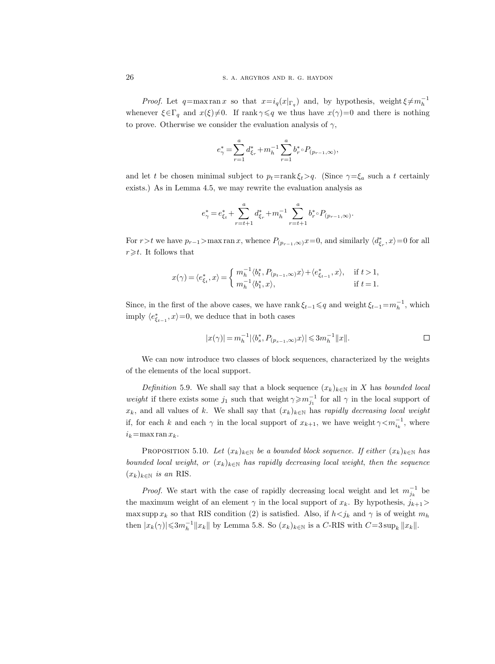*Proof.* Let  $q = \max \operatorname{ran} x$  so that  $x = i_q(x|_{\Gamma_q})$  and, by hypothesis, weight  $\xi \neq m_h^{-1}$ whenever  $\xi \in \Gamma_q$  and  $x(\xi) \neq 0$ . If rank  $\gamma \leq q$  we thus have  $x(\gamma)=0$  and there is nothing to prove. Otherwise we consider the evaluation analysis of  $\gamma$ ,

$$
e_{\gamma}^* = \sum_{r=1}^a d_{\xi_r}^* + m_h^{-1} \sum_{r=1}^a b_r^* \circ P_{(p_{r-1}, \infty)},
$$

and let t be chosen minimal subject to  $p_t = \text{rank } \xi_t > q$ . (Since  $\gamma = \xi_a$  such a t certainly exists.) As in Lemma 4.5, we may rewrite the evaluation analysis as

$$
e_{\gamma}^* = e_{\xi_t}^* + \sum_{r=t+1}^a d_{\xi_r}^* + m_h^{-1} \sum_{r=t+1}^a b_r^* \circ P_{(p_{r-1},\infty)}.
$$

For  $r > t$  we have  $p_{r-1} > \max \tan x$ , whence  $P_{(p_{r-1}, \infty)} x = 0$ , and similarly  $\langle d_{\xi_r}^*, x \rangle = 0$  for all  $r \geq t$ . It follows that

$$
x(\gamma) = \langle e_{\xi_t}^*, x \rangle = \begin{cases} m_h^{-1} \langle b_t^*, P_{(p_{t-1}, \infty)} x \rangle + \langle e_{\xi_{t-1}}^*, x \rangle, & \text{if } t > 1, \\ m_h^{-1} \langle b_1^*, x \rangle, & \text{if } t = 1. \end{cases}
$$

Since, in the first of the above cases, we have rank  $\xi_{t-1} \leq q$  and weight  $\xi_{t-1} = m_h^{-1}$ , which imply  $\langle e_{\xi_{t-1}}^*, x \rangle = 0$ , we deduce that in both cases

$$
|x(\gamma)| = m_h^{-1} |\langle b_s^*, P_{(p_{s-1}, \infty)} x \rangle| \leqslant 3m_h^{-1} ||x||. \qquad \qquad \Box
$$

We can now introduce two classes of block sequences, characterized by the weights of the elements of the local support.

Definition 5.9. We shall say that a block sequence  $(x_k)_{k\in\mathbb{N}}$  in X has bounded local weight if there exists some  $j_1$  such that weight  $\gamma \geqslant m_{j_1}^{-1}$  for all  $\gamma$  in the local support of  $x_k$ , and all values of k. We shall say that  $(x_k)_{k\in\mathbb{N}}$  has rapidly decreasing local weight if, for each k and each  $\gamma$  in the local support of  $x_{k+1}$ , we have weight  $\gamma \leq m_{i_k}^{-1}$ , where  $i_k$ =max ran  $x_k$ .

PROPOSITION 5.10. Let  $(x_k)_{k \in \mathbb{N}}$  be a bounded block sequence. If either  $(x_k)_{k \in \mathbb{N}}$  has bounded local weight, or  $(x_k)_{k\in\mathbb{N}}$  has rapidly decreasing local weight, then the sequence  $(x_k)_{k\in\mathbb{N}}$  is an RIS.

*Proof.* We start with the case of rapidly decreasing local weight and let  $m_{j_k}^{-1}$  be the maximum weight of an element  $\gamma$  in the local support of  $x_k$ . By hypothesis,  $j_{k+1}$ max supp  $x_k$  so that RIS condition (2) is satisfied. Also, if  $h \leq j_k$  and  $\gamma$  is of weight  $m_h$ then  $|x_k(\gamma)| \leq 3m_h^{-1} ||x_k||$  by Lemma 5.8. So  $(x_k)_{k \in \mathbb{N}}$  is a C-RIS with  $C=3 \sup_k ||x_k||$ .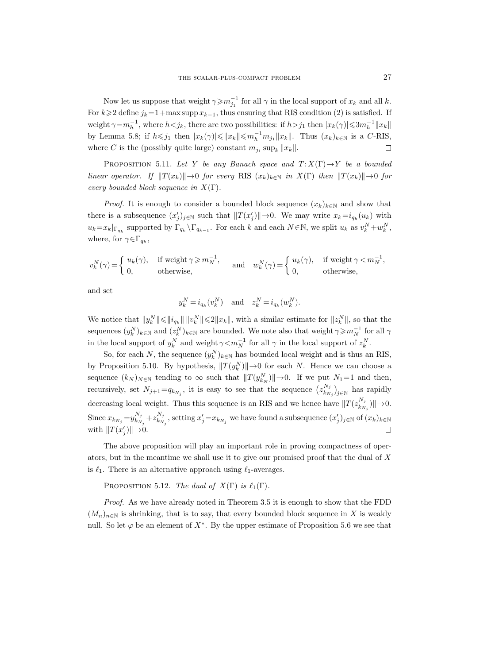Now let us suppose that weight  $\gamma \geqslant m_{j_1}^{-1}$  for all  $\gamma$  in the local support of  $x_k$  and all k. For  $k\geqslant 2$  define  $j_k=1+\max \text{supp } x_{k-1}$ , thus ensuring that RIS condition (2) is satisfied. If weight  $\gamma = m_h^{-1}$ , where  $h < j_k$ , there are two possibilities: if  $h > j_1$  then  $|x_k(\gamma)| \leq 3m_h^{-1} ||x_k||$ by Lemma 5.8; if  $h \le j_1$  then  $|x_k(\gamma)| \le ||x_k|| \le m_h^{-1} m_{j_1} ||x_k||$ . Thus  $(x_k)_{k \in \mathbb{N}}$  is a C-RIS, where C is the (possibly quite large) constant  $m_{j_1} \sup_k ||x_k||$ .  $\Box$ 

PROPOSITION 5.11. Let Y be any Banach space and  $T: X(\Gamma) \to Y$  be a bounded linear operator. If  $||T(x_k)|| \to 0$  for every RIS  $(x_k)_{k \in \mathbb{N}}$  in  $X(\Gamma)$  then  $||T(x_k)|| \to 0$  for every bounded block sequence in  $X(\Gamma)$ .

*Proof.* It is enough to consider a bounded block sequence  $(x_k)_{k\in\mathbb{N}}$  and show that there is a subsequence  $(x'_j)_{j\in\mathbb{N}}$  such that  $||T(x'_j)||\rightarrow 0$ . We may write  $x_k=i_{q_k}(u_k)$  with  $u_k = x_k|_{\Gamma_{q_k}}$  supported by  $\Gamma_{q_k} \backslash \Gamma_{q_{k-1}}$ . For each k and each  $N \in \mathbb{N}$ , we split  $u_k$  as  $v_k^N + w_k^N$ , where, for  $\gamma \in \Gamma_{q_k}$ ,

$$
v_k^N(\gamma)\!=\!\left\{\!\!\begin{array}{ll} \!\!u_k(\gamma),&\text{ if weight }\gamma\!\geqslant\! m_N^{-1},\\ \!\!0,&\text{ otherwise},\end{array}\!\!\right.\!\!\!\quad\text{and}\quad w_k^N(\gamma)\!=\!\left\{\!\!\begin{array}{ll} \!\!u_k(\gamma),&\text{ if weight }\gamma\!<\!m_N^{-1},\\ \!\!0,&\text{ otherwise},\end{array}\!\!\right.
$$

and set

$$
y_k^N = i_{q_k}(v_k^N) \quad \text{and} \quad z_k^N = i_{q_k}(w_k^N).
$$

We notice that  $||y_k^N|| \leq ||i_{q_k}|| \, ||v_k^N|| \leq 2||x_k||$ , with a similar estimate for  $||z_k^N||$ , so that the sequences  $(y_k^N)_{k\in\mathbb{N}}$  and  $(z_k^N)_{k\in\mathbb{N}}$  are bounded. We note also that weight  $\gamma\geqslant m_N^{-1}$  for all  $\gamma$ in the local support of  $y_k^N$  and weight  $\gamma \le m_N^{-1}$  for all  $\gamma$  in the local support of  $z_k^N$ .

So, for each N, the sequence  $(y_k^N)_{k \in \mathbb{N}}$  has bounded local weight and is thus an RIS, by Proposition 5.10. By hypothesis,  $||T(y_k^N)|| \rightarrow 0$  for each N. Hence we can choose a sequence  $(k_N)_{N\in\mathbb{N}}$  tending to  $\infty$  such that  $||T(y_{k_N}^N)||\rightarrow 0$ . If we put  $N_1=1$  and then, recursively, set  $N_{j+1}=q_{k_{N_j}}$ , it is easy to see that the sequence  $(z_{k_N}^{N_j})$  $\binom{N_j}{k_{N_j}}_{j\in\mathbb{N}}$  has rapidly decreasing local weight. Thus this sequence is an RIS and we hence have  $||T(z_{k,n}^{N_j})||$  $\|k_{N_j}^{N_j}\rangle\|\rightarrow 0.$ Since  $x_{k_{N_j}}=y_{k_{N}}^{N_j}$  $k_{N_j}^{N_j}+z_{k_N}^{N_j}$  $\frac{N_j}{k_{N_j}}$ , setting  $x'_j = x_{k_{N_j}}$  we have found a subsequence  $(x'_j)_{j \in \mathbb{N}}$  of  $(x_k)_{k \in \mathbb{N}}$ with  $||T(x'_j)|| \rightarrow 0$ .  $\Box$ 

The above proposition will play an important role in proving compactness of operators, but in the meantime we shall use it to give our promised proof that the dual of X is  $\ell_1$ . There is an alternative approach using  $\ell_1$ -averages.

PROPOSITION 5.12. The dual of  $X(\Gamma)$  is  $\ell_1(\Gamma)$ .

Proof. As we have already noted in Theorem 3.5 it is enough to show that the FDD  $(M_n)_{n\in\mathbb{N}}$  is shrinking, that is to say, that every bounded block sequence in X is weakly null. So let  $\varphi$  be an element of  $X^*$ . By the upper estimate of Proposition 5.6 we see that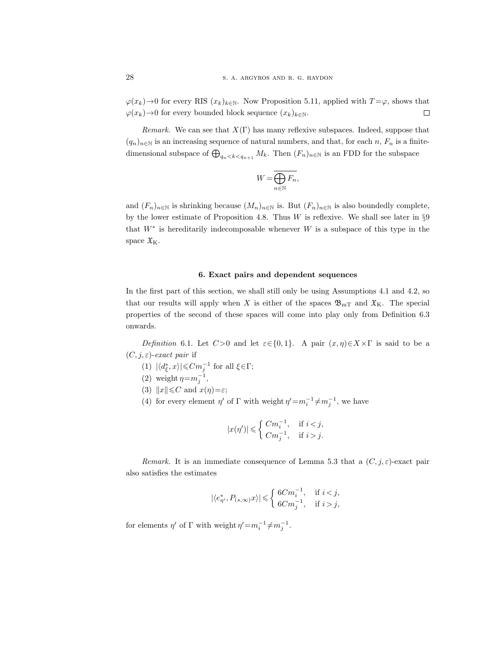$\varphi(x_k) \to 0$  for every RIS  $(x_k)_{k \in \mathbb{N}}$ . Now Proposition 5.11, applied with  $T = \varphi$ , shows that  $\varphi(x_k) \to 0$  for every bounded block sequence  $(x_k)_{k \in \mathbb{N}}$ .  $\varphi(x_k) \to 0$  for every bounded block sequence  $(x_k)_{k \in \mathbb{N}}$ .

*Remark.* We can see that  $X(\Gamma)$  has many reflexive subspaces. Indeed, suppose that  $(q_n)_{n\in\mathbb{N}}$  is an increasing sequence of natural numbers, and that, for each n,  $F_n$  is a finitedimensional subspace of  $\bigoplus_{q_n < k < q_{n+1}} M_k$ . Then  $(F_n)_{n \in \mathbb{N}}$  is an FDD for the subspace

$$
W=\overline{\bigoplus_{n\in\mathbb{N}}F_n},
$$

and  $(F_n)_{n\in\mathbb{N}}$  is shrinking because  $(M_n)_{n\in\mathbb{N}}$  is. But  $(F_n)_{n\in\mathbb{N}}$  is also boundedly complete, by the lower estimate of Proposition 4.8. Thus  $W$  is reflexive. We shall see later in  $\S 9$ that  $W^*$  is hereditarily indecomposable whenever W is a subspace of this type in the space  $\mathfrak{X}_K$ .

## 6. Exact pairs and dependent sequences

In the first part of this section, we shall still only be using Assumptions 4.1 and 4.2, so that our results will apply when X is either of the spaces  $\mathfrak{B}_{m}$  and  $\mathfrak{X}_{K}$ . The special properties of the second of these spaces will come into play only from Definition 6.3 onwards.

Definition 6.1. Let  $C>0$  and let  $\varepsilon \in \{0,1\}$ . A pair  $(x, \eta) \in X \times \Gamma$  is said to be a  $(C, j, \varepsilon)$ -exact pair if

- (1)  $|\langle d_{\xi}^*, x \rangle| \leq C m_j^{-1}$  for all  $\xi \in \Gamma$ ;
- (2) weight  $\eta = m_j^{-1}$ ,
- (3)  $||x|| \leq C$  and  $x(\eta) = \varepsilon$ ;
- (4) for every element  $\eta'$  of  $\Gamma$  with weight  $\eta' = m_i^{-1} \neq m_j^{-1}$ , we have

$$
|x(\eta')|\leqslant \left\{\begin{array}{ll} Cm_i^{-1},& \text{ if } ij.\end{array}\right.
$$

Remark. It is an immediate consequence of Lemma 5.3 that a  $(C, j, \varepsilon)$ -exact pair also satisfies the estimates

$$
|\langle e_{\eta'}^*,P_{(s,\infty)}x\rangle|\leqslant \left\{\begin{array}{ll} 6Cm_i^{-1},& \text{ if } i< j,\\ 6Cm_j^{-1},& \text{ if } i>j,\end{array}\right.
$$

for elements  $\eta'$  of  $\Gamma$  with weight  $\eta' = m_i^{-1} \neq m_j^{-1}$ .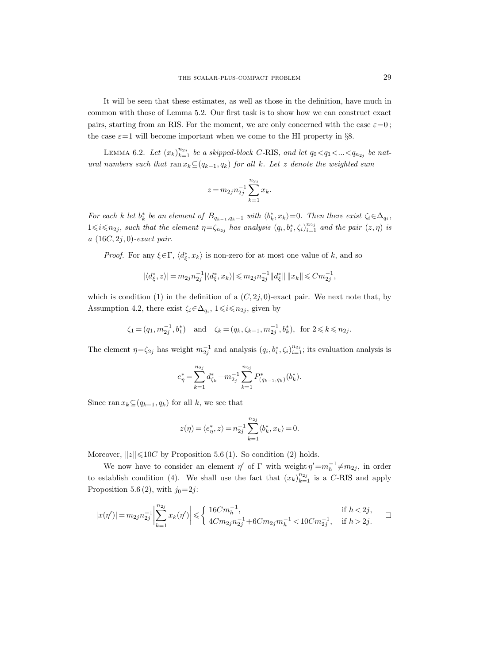It will be seen that these estimates, as well as those in the definition, have much in common with those of Lemma 5.2. Our first task is to show how we can construct exact pairs, starting from an RIS. For the moment, we are only concerned with the case  $\varepsilon=0$ ; the case  $\varepsilon=1$  will become important when we come to the HI property in §8.

LEMMA 6.2. Let  $(x_k)_{k=1}^{n_{2j}}$  be a skipped-block C-RIS, and let  $q_0 < q_1 < ... < q_{n_{2j}}$  be natural numbers such that ran  $x_k \subseteq (q_{k-1}, q_k)$  for all k. Let z denote the weighted sum

$$
z\,{=}\,m_{2j}n_{2j}^{-1}\sum_{k=1}^{n_{2j}}x_k.
$$

For each k let  $b_k^*$  be an element of  $B_{q_{k-1},q_k-1}$  with  $\langle b_k^*, x_k \rangle = 0$ . Then there exist  $\zeta_i \in \Delta_{q_i}$ ,  $1\leq i\leq n_{2j}$ , such that the element  $\eta = \zeta_{n_{2j}}$  has analysis  $(q_i, b_i^*, \zeta_i)_{i=1}^{n_{2j}}$  and the pair  $(z, \eta)$  is a  $(16C, 2j, 0)$ -exact pair.

*Proof.* For any  $\xi \in \Gamma$ ,  $\langle d_{\xi}^*, x_k \rangle$  is non-zero for at most one value of k, and so

$$
|\langle d_{\xi}^*,z\rangle|=m_{2j}n_{2j}^{-1}|\langle d_{\xi}^*,x_k\rangle|\leqslant m_{2j}n_{2j}^{-1}\|d_{\xi}^*\|\,\|x_k\|\leqslant Cm_{2j}^{-1},
$$

which is condition (1) in the definition of a  $(C, 2j, 0)$ -exact pair. We next note that, by Assumption 4.2, there exist  $\zeta_i \in \Delta_{q_i}$ ,  $1 \leq i \leq n_{2j}$ , given by

$$
\zeta_1 = (q_1, m_{2j}^{-1}, b_1^*)
$$
 and  $\zeta_k = (q_k, \zeta_{k-1}, m_{2j}^{-1}, b_k^*),$  for  $2 \le k \le n_{2j}$ .

The element  $\eta = \zeta_{2j}$  has weight  $m_{2j}^{-1}$  and analysis  $(q_i, b_i^*, \zeta_i)_{i=1}^{n_{2j}}$ ; its evaluation analysis is

$$
e^*_{\eta} = \sum_{k=1}^{n_{2j}} d^*_{\zeta_k} + m_{2j}^{-1} \sum_{k=1}^{n_{2j}} P^*_{(q_{k-1},q_k)}(b^*_k).
$$

Since ran  $x_k \subseteq (q_{k-1}, q_k)$  for all k, we see that

$$
z(\eta)=\langle e^*_\eta,z\rangle=n_{2j}^{-1}\sum_{k=1}^{n_{2j}}\langle b_k^*,x_k\rangle=0.
$$

Moreover,  $||z|| \le 10C$  by Proposition 5.6 (1). So condition (2) holds.

We now have to consider an element  $\eta'$  of  $\Gamma$  with weight  $\eta' = m_h^{-1} \neq m_{2j}$ , in order to establish condition (4). We shall use the fact that  $(x_k)_{k=1}^{n_{2j}}$  is a C-RIS and apply Proposition 5.6 (2), with  $j_0=2j$ :

$$
|x(\eta')|=m_{2j}n_{2j}^{-1}\left|\sum_{k=1}^{n_{2j}}x_k(\eta')\right|\leqslant \left\{\begin{array}{ll} 16Cm_h^{-1}, & \text{if } h<2j,\\ 4Cm_{2j}n_{2j}^{-1}+6Cm_{2j}m_h^{-1}<10Cm_{2j}^{-1}, & \text{if } h>2j.\end{array}\right. \quad \ \Box
$$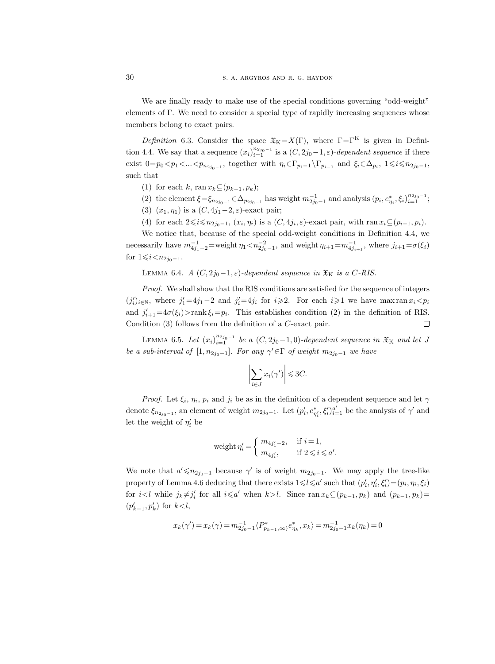30 S. A. ARGYROS AND R. G. HAYDON

We are finally ready to make use of the special conditions governing "odd-weight" elements of Γ. We need to consider a special type of rapidly increasing sequences whose members belong to exact pairs.

Definition 6.3. Consider the space  $\mathfrak{X}_{K} = X(\Gamma)$ , where  $\Gamma = \Gamma^{K}$  is given in Definition 4.4. We say that a sequence  $(x_i)_{i=1}^{n_{2j_0-1}}$  is a  $(C, 2j_0-1, \varepsilon)$ -dependent sequence if there exist  $0=p_0 < p_1 < ... < p_{n_{2j_0-1}}$ , together with  $\eta_i \in \Gamma_{p_i-1} \backslash \Gamma_{p_{i-1}}$  and  $\xi_i \in \Delta_{p_i}$ ,  $1 \leq i \leq n_{2j_0-1}$ , such that

- (1) for each k, ran  $x_k \subseteq (p_{k-1}, p_k);$
- (2) the element  $\xi = \xi_{n_{2j_0-1}} \in \Delta_{p_{2j_0-1}}$  has weight  $m_{2j_0-1}^{-1}$  and analysis  $(p_i, e_{\eta_i}^*, \xi_i)_{i=1}^{n_{2j_0-1}}$ ;
- (3)  $(x_1, \eta_1)$  is a  $(C, 4j_1-2, \varepsilon)$ -exact pair;
- (4) for each  $2 \leq i \leq n_{2j_0-1}$ ,  $(x_i, \eta_i)$  is a  $(C, 4j_i, \varepsilon)$ -exact pair, with ran  $x_i \subseteq (p_{i-1}, p_i)$ .

We notice that, because of the special odd-weight conditions in Definition 4.4, we necessarily have  $m_{4j_1-2}^{-1}$ =weight  $\eta_1 < n_{2j_0-1}^{-2}$ , and weight  $\eta_{i+1} = m_{4j_{i+1}}^{-1}$ , where  $j_{i+1} = \sigma(\xi_i)$ for  $1 \le i < n_{2j_0-1}$ .

LEMMA 6.4. A  $(C, 2j_0-1, \varepsilon)$ -dependent sequence in  $\mathfrak{X}_K$  is a C-RIS.

Proof. We shall show that the RIS conditions are satisfied for the sequence of integers  $(j_i')_{i \in \mathbb{N}}$ , where  $j_1' = 4j_1 - 2$  and  $j_i' = 4j_i$  for  $i \geq 2$ . For each  $i \geq 1$  we have max ran  $x_i < p_i$ and  $j'_{i+1} = 4\sigma(\xi_i) > \text{rank } \xi_i = p_i$ . This establishes condition (2) in the definition of RIS. Condition (3) follows from the definition of a C-exact pair.  $\Box$ 

LEMMA 6.5. Let  $(x_i)_{i=1}^{n_{2j_0-1}}$  be a  $(C, 2j_0-1, 0)$ -dependent sequence in  $\mathfrak{X}_K$  and let J be a sub-interval of  $[1, n_{2j_0-1}]$ . For any  $\gamma' \in \Gamma$  of weight  $m_{2j_0-1}$  we have

$$
\left|\sum_{i\in J} x_i(\gamma')\right| \leqslant 3C.
$$

*Proof.* Let  $\xi_i$ ,  $\eta_i$ ,  $p_i$  and  $j_i$  be as in the definition of a dependent sequence and let  $\gamma$ denote  $\xi_{n_{2j_0-1}}$ , an element of weight  $m_{2j_0-1}$ . Let  $(p'_i, e_{\eta'_i}, \xi'_i)_{i=1}^{a'}$  be the analysis of  $\gamma'$  and let the weight of  $\eta'_i$  be

$$
\text{weight } \eta_i' = \begin{cases} m_{4j'_1-2}, & \text{if } i = 1, \\ m_{4j'_i}, & \text{if } 2 \leq i \leq a'. \end{cases}
$$

We note that  $a' \le n_{2j_0-1}$  because  $\gamma'$  is of weight  $m_{2j_0-1}$ . We may apply the tree-like property of Lemma 4.6 deducing that there exists  $1 \leq l \leq a'$  such that  $(p'_i, \eta'_i, \xi'_i) = (p_i, \eta_i, \xi_i)$ for  $i < l$  while  $j_k \neq j'_i$  for all  $i \leq a'$  when  $k > l$ . Since ran  $x_k \subseteq (p_{k-1}, p_k)$  and  $(p_{k-1}, p_k) =$  $(p'_{k-1}, p'_k)$  for  $k < l$ ,

$$
x_k(\gamma') = x_k(\gamma) = m_{2j_0-1}^{-1} \langle P_{p_{k-1},\infty}^* \rangle e_{\eta_k}^*, x_k \rangle = m_{2j_0-1}^{-1} x_k(\eta_k) = 0
$$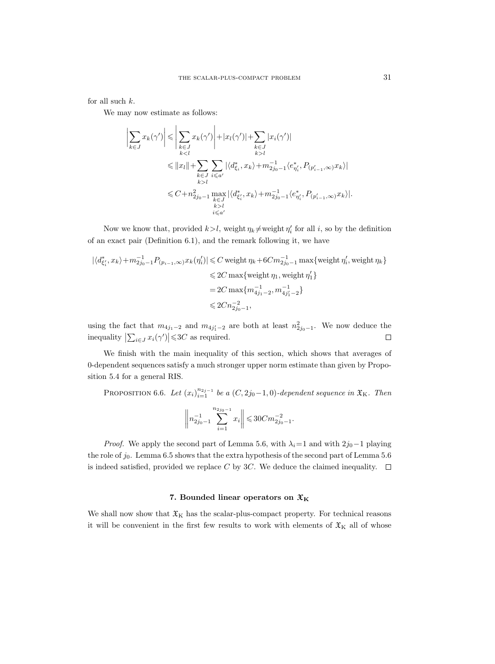for all such  $k$ .

We may now estimate as follows:

$$
\left|\sum_{k\in J} x_k(\gamma')\right| \leqslant \left|\sum_{\substack{k\in J\\kl}} |x_i(\gamma')|
$$
\n
$$
\leqslant ||x_l|| + \sum_{\substack{k\in J\\k>l}} \sum_{i\leqslant a'} |\langle d_{\xi_i}^*, x_k \rangle + m_{2j_0-1}^{-1} \langle e_{\eta_i}^*, P_{(p_{i-1}^{\prime},\infty)} x_k \rangle|
$$
\n
$$
\leqslant C + n_{2j_0-1}^2 \max_{\substack{k\in J\\k>l}} |\langle d_{\xi_i}^*, x_k \rangle + m_{2j_0-1}^{-1} \langle e_{\eta_i}^*, P_{(p_{i-1}^{\prime},\infty)} x_k \rangle|.
$$

Now we know that, provided  $k > l$ , weight  $\eta_k \neq$  weight  $\eta'_i$  for all i, so by the definition of an exact pair (Definition 6.1), and the remark following it, we have

$$
\begin{aligned} |\langle d_{\xi'_i}^*, x_k \rangle + m_{2j_0-1}^{-1} P_{(p_{i-1}, \infty)} x_k(\eta'_i) | &\leq C \text{ weight } \eta_k + 6C m_{2j_0-1}^{-1} \max \{ \text{weight } \eta'_i, \text{ weight } \eta_k \} \\ &\leqslant 2C \max \{ \text{weight } \eta_1, \text{ weight } \eta'_1 \} \\ &= 2C \max \{ m_{4j_1-2}^{-1}, m_{4j_1'-2}^{-1} \} \\ &\leqslant 2C n_{2j_0-1}^{-2}, \end{aligned}
$$

using the fact that  $m_{4j_1-2}$  and  $m_{4j_1'-2}$  are both at least  $n_{2j_0-1}^2$ . We now deduce the inequality  $\left|\sum_{i\in J} x_i(\gamma')\right| \leq 3C$  as required.  $\Box$ 

We finish with the main inequality of this section, which shows that averages of 0-dependent sequences satisfy a much stronger upper norm estimate than given by Proposition 5.4 for a general RIS.

PROPOSITION 6.6. Let  $(x_i)_{i=1}^{n_{2j-1}}$  be a  $(C, 2j_0-1, 0)$ -dependent sequence in  $\mathfrak{X}_{\mathbf{K}}$ . Then

$$
\left\|n_{2j_0-1}^{-1}\sum_{i=1}^{n_{2j_0-1}}x_i\right\|\leqslant 30Cm_{2j_0-1}^{-2}.
$$

*Proof.* We apply the second part of Lemma 5.6, with  $\lambda_i=1$  and with  $2j_0-1$  playing the role of  $j_0$ . Lemma 6.5 shows that the extra hypothesis of the second part of Lemma 5.6 is indeed satisfied, provided we replace C by 3C. We deduce the claimed inequality.  $\Box$ 

# 7. Bounded linear operators on  $\mathfrak{X}_K$

We shall now show that  $\mathfrak{X}_K$  has the scalar-plus-compact property. For technical reasons it will be convenient in the first few results to work with elements of  $\mathfrak{X}_K$  all of whose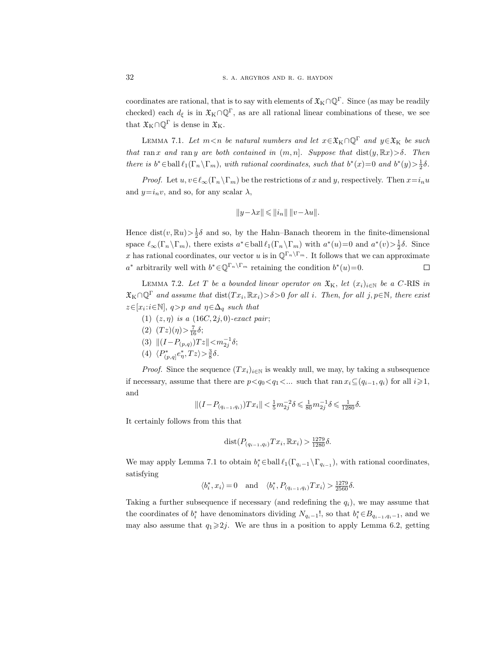coordinates are rational, that is to say with elements of  $\mathfrak{X}_{K} \cap \mathbb{Q}^{\Gamma}$ . Since (as may be readily checked) each  $d_{\xi}$  is in  $\mathfrak{X}_{K} \cap \mathbb{Q}^{F}$ , as are all rational linear combinations of these, we see that  $\mathfrak{X}_K \cap \mathbb{Q}^{\Gamma}$  is dense in  $\mathfrak{X}_K$ .

LEMMA 7.1. Let  $m < n$  be natural numbers and let  $x \in \mathfrak{X}_K \cap \mathbb{Q}^{\Gamma}$  and  $y \in \mathfrak{X}_K$  be such that ran x and range are both contained in  $(m, n]$ . Suppose that  $dist(y, \mathbb{R}x) > \delta$ . Then there is  $b^* \in \text{ball } \ell_1(\Gamma_n \setminus \Gamma_m)$ , with rational coordinates, such that  $b^*(x) = 0$  and  $b^*(y) > \frac{1}{2}\delta$ .

*Proof.* Let  $u, v \in \ell_\infty(\Gamma_n \backslash \Gamma_m)$  be the restrictions of x and y, respectively. Then  $x=i_nu$ and  $y=i_nv$ , and so, for any scalar  $\lambda$ ,

$$
\|y-\lambda x\|\leqslant\|i_n\|\,\|v-\lambda u\|.
$$

Hence dist $(v, \mathbb{R}u) > \frac{1}{2}\delta$  and so, by the Hahn–Banach theorem in the finite-dimensional space  $\ell_{\infty}(\Gamma_n \setminus \Gamma_m)$ , there exists  $a^* \in \text{ball } \ell_1(\Gamma_n \setminus \Gamma_m)$  with  $a^*(u) = 0$  and  $a^*(v) > \frac{1}{2}\delta$ . Since x has rational coordinates, our vector u is in  $\mathbb{Q}^{\Gamma_n\setminus\Gamma_m}$ . It follows that we can approximate a<sup>\*</sup> arbitrarily well with  $b^* \in \mathbb{Q}^{\Gamma_n \setminus \Gamma_m}$  retaining the condition  $b^*(u) = 0$ .  $\Box$ 

LEMMA 7.2. Let T be a bounded linear operator on  $\mathfrak{X}_{K}$ , let  $(x_{i})_{i\in\mathbb{N}}$  be a C-RIS in  $\mathfrak{X}_{\mathrm{K}} \cap \mathbb{Q}^{\Gamma}$  and assume that  $\mathrm{dist}(Tx_i, \mathbb{R}x_i) > \delta > 0$  for all i. Then, for all j,  $p \in \mathbb{N}$ , there exist  $z \in [x_i : i \in \mathbb{N}], q > p$  and  $\eta \in \Delta_q$  such that

- (1)  $(z, \eta)$  is a  $(16C, 2j, 0)$ -exact pair;
- (2)  $(Tz)(\eta) > \frac{7}{16}\delta;$
- (3)  $||(I-P_{(p,q)})Tz|| < m_{2j}^{-1}\delta;$
- (4)  $\langle P^*_{(p,q]}e^*_\eta, Tz \rangle > \frac{3}{8}\delta.$

*Proof.* Since the sequence  $(Tx_i)_{i\in\mathbb{N}}$  is weakly null, we may, by taking a subsequence if necessary, assume that there are  $p < q_0 < q_1 < ...$  such that ran  $x_i \subseteq (q_{i-1}, q_i)$  for all  $i \geq 1$ , and

$$
\|(I-P_{(q_{i-1},q_i)})Tx_i\| < \tfrac15 m_{2j}^{-2}\delta \leqslant \tfrac1{80}m_{2j}^{-1}\delta \leqslant \tfrac1{1280}\delta.
$$

It certainly follows from this that

$$
dist(P_{(q_{i-1}, q_i)} Tx_i, \mathbb{R} x_i) > \frac{1279}{1280} \delta.
$$

We may apply Lemma 7.1 to obtain  $b_i^* \in \text{ball } \ell_1(\Gamma_{q_i-1} \setminus \Gamma_{q_{i-1}})$ , with rational coordinates, satisfying

$$
\langle b_i^*, x_i \rangle = 0 \quad \text{and} \quad \langle b_i^*, P_{(q_{i-1}, q_i)} Tx_i \rangle > \frac{1279}{2560} \delta.
$$

Taking a further subsequence if necessary (and redefining the  $q_i$ ), we may assume that the coordinates of  $b_i^*$  have denominators dividing  $N_{q_i-1}!$ , so that  $b_i^* \in B_{q_{i-1},q_i-1}$ , and we may also assume that  $q_1 \geq 2j$ . We are thus in a position to apply Lemma 6.2, getting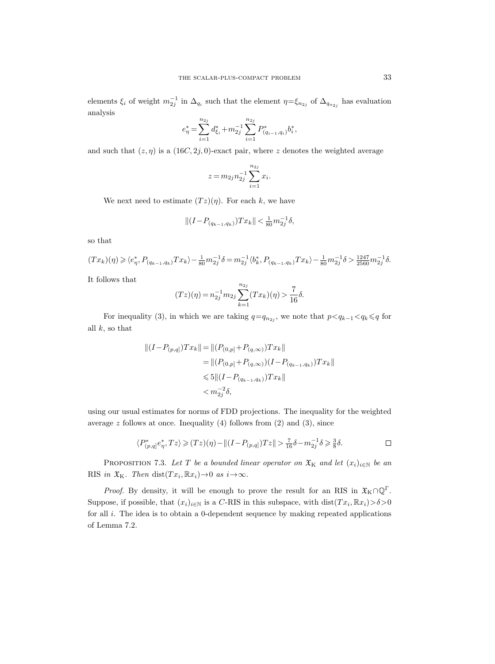elements  $\xi_i$  of weight  $m_{2j}^{-1}$  in  $\Delta_{q_i}$  such that the element  $\eta = \xi_{n_{2j}}$  of  $\Delta_{q_{n_{2j}}}$  has evaluation analysis

$$
e_{\eta}^* = \sum_{i=1}^{n_{2j}} d_{\xi_i}^* + m_{2j}^{-1} \sum_{i=1}^{n_{2j}} P_{(q_{i-1}, q_i)}^* b_i^*,
$$

and such that  $(z, \eta)$  is a  $(16C, 2j, 0)$ -exact pair, where z denotes the weighted average

$$
z = m_{2j} n_{2j}^{-1} \sum_{i=1}^{n_{2j}} x_i.
$$

We next need to estimate  $(Tz)(\eta)$ . For each k, we have

$$
||(I - P_{(q_{k-1}, q_k)})Tx_k|| < \frac{1}{80}m_{2j}^{-1}\delta,
$$

so that

$$
(Tx_k)(\eta) \ge \langle e_{\eta}^*, P_{(q_{k-1},q_k)}Tx_k \rangle - \frac{1}{80}m_{2j}^{-1}\delta = m_{2j}^{-1} \langle b_k^*, P_{(q_{k-1},q_k)}Tx_k \rangle - \frac{1}{80}m_{2j}^{-1}\delta > \frac{1247}{2560}m_{2j}^{-1}\delta.
$$

It follows that

$$
(Tz)(\eta) = n_{2j}^{-1} m_{2j} \sum_{k=1}^{n_{2j}} (Tx_k)(\eta) > \frac{7}{16}\delta.
$$

For inequality (3), in which we are taking  $q=q_{n_{2j}}$ , we note that  $p < q_{k-1} < q_k \leqslant q$  for all  $k$ , so that

$$
||(I - P_{(p,q)})Tx_k|| = ||(P_{(0,p]} + P_{(q,\infty)})Tx_k||
$$
  
\n
$$
= ||(P_{(0,p]} + P_{(q,\infty)})(I - P_{(q_{k-1},q_k)})Tx_k||
$$
  
\n
$$
\leq 5||(I - P_{(q_{k-1},q_k)})Tx_k||
$$
  
\n
$$
< m_{2j}^{-2}\delta,
$$

using our usual estimates for norms of FDD projections. The inequality for the weighted average  $z$  follows at once. Inequality (4) follows from (2) and (3), since

$$
\langle P^*_{(p,q]}e^*_\eta, Tz \rangle \geqslant (Tz)(\eta) - \|(I - P_{(p,q]})Tz\| > \frac{7}{16}\delta - m_{2j}^{-1}\delta \geqslant \frac{3}{8}\delta. \qquad \Box
$$

PROPOSITION 7.3. Let T be a bounded linear operator on  $\mathfrak{X}_K$  and let  $(x_i)_{i\in\mathbb{N}}$  be an RIS in  $\mathfrak{X}_K$ . Then dist $(Tx_i, \mathbb{R}x_i) \rightarrow 0$  as  $i \rightarrow \infty$ .

*Proof.* By density, it will be enough to prove the result for an RIS in  $\mathfrak{X}_{K} \cap \mathbb{Q}^{\Gamma}$ . Suppose, if possible, that  $(x_i)_{i\in\mathbb{N}}$  is a C-RIS in this subspace, with  $dist(Tx_i, \mathbb{R}x_i) > \delta > 0$ for all i. The idea is to obtain a 0-dependent sequence by making repeated applications of Lemma 7.2.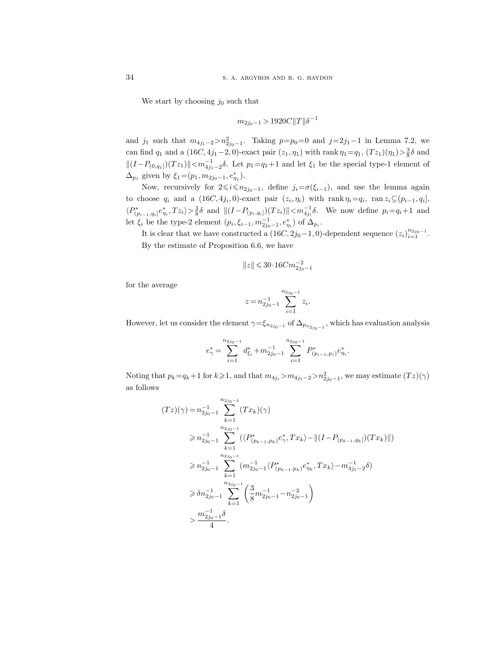We start by choosing  $j_0$  such that

$$
m_{2j_0-1} > 1920C ||T|| \delta^{-1}
$$

and  $j_1$  such that  $m_{4j_1-2} > n_{2j_0-1}^2$ . Taking  $p=p_0=0$  and  $j=2j_1-1$  in Lemma 7.2, we can find  $q_1$  and a (16C, 4j<sub>1</sub>-2, 0)-exact pair  $(z_1, \eta_1)$  with rank  $\eta_1 = q_1$ ,  $(Tz_1)(\eta_1) > \frac{3}{8}\delta$  and  $||(I-P_{(0,q_1)})(Tz_1)||. Let  $p_1=q_1+1$  and let  $\xi_1$  be the special type-1 element of$  $\Delta_{p_1}$  given by  $\xi_1 = (p_1, m_{2j_0-1}, e_{\eta_1}^*)$ .

Now, recursively for  $2\leq i\leq n_{2j_0-1}$ , define  $j_i=\sigma(\xi_{i-1})$ , and use the lemma again to choose  $q_i$  and a  $(16C, 4j_i, 0)$ -exact pair  $(z_i, \eta_i)$  with rank  $\eta_i = q_i$ , ran  $z_i \subseteq (p_{i-1}, q_i]$ ,  $\langle P^*_{(p_{i-1},q_i]}e^*_{\eta_i}, Tz_i\rangle > \frac{3}{8}\delta$  and  $||(I-P_{(p_i,q_i]})(Tz_i)|| < m_{4j_i}^{-1}\delta$ . We now define  $p_i = q_i+1$  and let  $\xi_i$  be the type-2 element  $(p_i, \xi_{i-1}, m_{2j_0-1}^{-1}, e_{\eta_i}^*)$  of  $\Delta_{p_i}$ .

It is clear that we have constructed a  $(16C, 2j_0-1, 0)$ -dependent sequence  $(z_i)_{i=1}^{n_{2j_0-1}}$ . By the estimate of Proposition 6.6, we have

$$
\|z\| \leqslant 30\!\cdot\! 16 C m_{2j_0-1}^{-2}
$$

for the average

$$
z = n_{2j_0 - 1}^{-1} \sum_{i=1}^{n_{2j_0 - 1}} z_i.
$$

However, let us consider the element  $\gamma = \xi_{n_{2j_0-1}}$  of  $\Delta_{p_{n_{2j_0-1}}},$  which has evaluation analysis

$$
e_{\gamma}^* = \sum_{i=1}^{n_{2j_0-1}} d_{\xi_i}^* + m_{2j_0-1}^{-1} \sum_{i=1}^{n_{2j_0-1}} P_{(p_{i-1},p_i)}^* e_{\eta_i}^*.
$$

Noting that  $p_k = q_k + 1$  for  $k \geq 1$ , and that  $m_{4j_i} > m_{4j_1-2} > n_{2j_0-1}^2$ , we may estimate  $(Tz)(\gamma)$ as follows

$$
(Tz)(\gamma) = n_{2j_0-1}^{-1} \sum_{k=1}^{n_{2j_0-1}} (Tx_k)(\gamma)
$$
  
\n
$$
\geq n_{2j_0-1}^{-1} \sum_{k=1}^{n_{2j_0-1}} (\langle P^*_{(p_{k-1},p_k)} e^*_{\gamma}, Tx_k \rangle - ||(I - P_{(p_{k-1},q_k)})(Tx_k)||)
$$
  
\n
$$
\geq n_{2j_0-1}^{-1} \sum_{k=1}^{n_{2j_0-1}} (m_{2j_0-1}^{-1} \langle P^*_{(p_{k-1},p_k)} e^*_{\eta_k}, Tx_k \rangle - m_{4j_1-2}^{-1} \delta)
$$
  
\n
$$
\geq \delta n_{2j_0-1}^{-1} \sum_{k=1}^{n_{2j_0-1}} \left( \frac{3}{8} m_{2j_0-1}^{-1} - n_{2j_0-1}^{-2} \right)
$$
  
\n
$$
> \frac{m_{2j_0-1}^{-1} \delta}{4}.
$$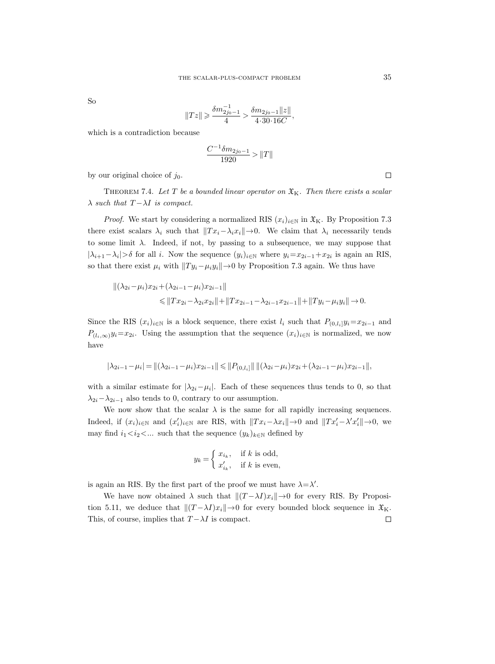So

$$
||Tz|| \geqslant \frac{\delta m_{2j_0-1}^{-1}}{4} > \frac{\delta m_{2j_0-1}||z||}{4 \cdot 30 \cdot 16C},
$$

which is a contradiction because

$$
\frac{C^{-1}\delta m_{2j_0-1}}{1920} > ||T||
$$

by our original choice of  $j_0$ .

THEOREM 7.4. Let T be a bounded linear operator on  $\mathfrak{X}_K$ . Then there exists a scalar  $\lambda$  such that  $T - \lambda I$  is compact.

*Proof.* We start by considering a normalized RIS  $(x_i)_{i\in\mathbb{N}}$  in  $\mathfrak{X}_K$ . By Proposition 7.3 there exist scalars  $\lambda_i$  such that  $||Tx_i-\lambda_ix_i||\rightarrow 0$ . We claim that  $\lambda_i$  necessarily tends to some limit  $\lambda$ . Indeed, if not, by passing to a subsequence, we may suppose that  $|\lambda_{i+1}-\lambda_i| > \delta$  for all i. Now the sequence  $(y_i)_{i\in\mathbb{N}}$  where  $y_i=x_{2i-1}+x_{2i}$  is again an RIS, so that there exist  $\mu_i$  with  $||Ty_i-\mu_iy_i||\rightarrow 0$  by Proposition 7.3 again. We thus have

$$
\begin{aligned} \|(\lambda_{2i} - \mu_i)x_{2i} + (\lambda_{2i-1} - \mu_i)x_{2i-1} \| \\ &\le \|Tx_{2i} - \lambda_{2i}x_{2i}\| + \|Tx_{2i-1} - \lambda_{2i-1}x_{2i-1}\| + \|Ty_i - \mu_iy_i\| \to 0. \end{aligned}
$$

Since the RIS  $(x_i)_{i\in\mathbb{N}}$  is a block sequence, there exist  $l_i$  such that  $P_{(0,l_i]}y_i=x_{2i-1}$  and  $P_{(l_i,\infty)}y_i = x_{2i}$ . Using the assumption that the sequence  $(x_i)_{i\in\mathbb{N}}$  is normalized, we now have

$$
|\lambda_{2i-1} - \mu_i| = \|(\lambda_{2i-1} - \mu_i)x_{2i-1}\| \leq \|P_{(0,l_i]}\| \, \|(\lambda_{2i} - \mu_i)x_{2i} + (\lambda_{2i-1} - \mu_i)x_{2i-1}\|,
$$

with a similar estimate for  $|\lambda_{2i}-\mu_i|$ . Each of these sequences thus tends to 0, so that  $\lambda_{2i}-\lambda_{2i-1}$  also tends to 0, contrary to our assumption.

We now show that the scalar  $\lambda$  is the same for all rapidly increasing sequences. Indeed, if  $(x_i)_{i\in\mathbb{N}}$  and  $(x_i')_{i\in\mathbb{N}}$  are RIS, with  $||Tx_i-\lambda x_i||\rightarrow 0$  and  $||Tx_i'-\lambda' x_i'||\rightarrow 0$ , we may find  $i_1 < i_2 < ...$  such that the sequence  $(y_k)_{k \in \mathbb{N}}$  defined by

$$
y_k = \begin{cases} x_{i_k}, & \text{if } k \text{ is odd,} \\ x'_{i_k}, & \text{if } k \text{ is even,} \end{cases}
$$

is again an RIS. By the first part of the proof we must have  $\lambda = \lambda'$ .

We have now obtained  $\lambda$  such that  $||(T - \lambda I)x_i|| \to 0$  for every RIS. By Proposition 5.11, we deduce that  $\|(T - \lambda I)x_i\| \to 0$  for every bounded block sequence in  $\mathfrak{X}_K$ . This, of course, implies that  $T - \lambda I$  is compact.  $\Box$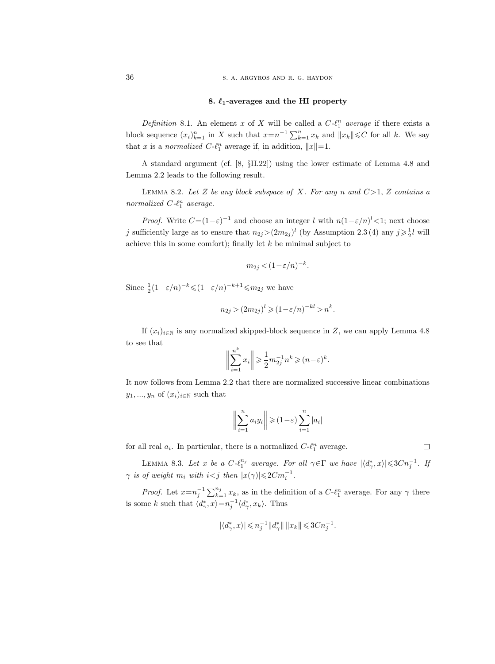## 8.  $\ell_1$ -averages and the HI property

Definition 8.1. An element x of X will be called a  $C-\ell_1^n$  average if there exists a block sequence  $(x_i)_{k=1}^n$  in X such that  $x = n^{-1} \sum_{k=1}^n x_k$  and  $||x_k|| \leq C$  for all k. We say that x is a normalized  $C-\ell_1^n$  average if, in addition,  $||x||=1$ .

A standard argument (cf. [8, §II.22]) using the lower estimate of Lemma 4.8 and Lemma 2.2 leads to the following result.

LEMMA 8.2. Let Z be any block subspace of X. For any n and  $C>1$ , Z contains a normalized  $C-\ell_1^n$  average.

*Proof.* Write  $C = (1 - \varepsilon)^{-1}$  and choose an integer l with  $n(1 - \varepsilon/n)^{l} < 1$ ; next choose j sufficiently large as to ensure that  $n_{2j} > (2m_{2j})^l$  (by Assumption 2.3 (4) any  $j \geq \frac{1}{2}l$  will achieve this in some comfort); finally let  $k$  be minimal subject to

$$
m_{2j} < (1 - \varepsilon/n)^{-k}.
$$

Since  $\frac{1}{2}(1-\varepsilon/n)^{-k} \leq (1-\varepsilon/n)^{-k+1} \leq m_{2j}$  we have

$$
n_{2j} > (2m_{2j})^l \geq (1 - \varepsilon/n)^{-kl} > n^k.
$$

If  $(x_i)_{i\in\mathbb{N}}$  is any normalized skipped-block sequence in Z, we can apply Lemma 4.8 to see that

$$
\bigg\|\sum_{i=1}^{n^k}x_i\bigg\|\geqslant\frac{1}{2}m_{2j}^{-1}n^k\geqslant (n-\varepsilon)^k.
$$

It now follows from Lemma 2.2 that there are normalized successive linear combinations  $y_1, ..., y_n$  of  $(x_i)_{i \in \mathbb{N}}$  such that

$$
\bigg\|\sum_{i=1}^n a_i y_i\bigg\| \geqslant (1-\varepsilon) \sum_{i=1}^n |a_i|
$$

for all real  $a_i$ . In particular, there is a normalized  $C-\ell_1^n$  average.

LEMMA 8.3. Let x be a  $C \cdot \ell_1^{n_j}$  average. For all  $\gamma \in \Gamma$  we have  $|\langle d_\gamma^*, x \rangle| \leqslant 3Cn_j^{-1}$ . If  $\gamma$  is of weight  $m_i$  with  $i < j$  then  $|x(\gamma)| \leq 2Cm_i^{-1}$ .

*Proof.* Let  $x = n_j^{-1} \sum_{k=1}^{n_j} x_k$ , as in the definition of a  $C \cdot \ell_1^n$  average. For any  $\gamma$  there is some k such that  $\langle d^*_{\gamma}, x \rangle = n_j^{-1} \langle d^*_{\gamma}, x_k \rangle$ . Thus

$$
|\langle d_\gamma^*,x\rangle|\leqslant n_j^{-1}\|d_\gamma^*\|\,\|x_k\|\leqslant 3Cn_j^{-1}.
$$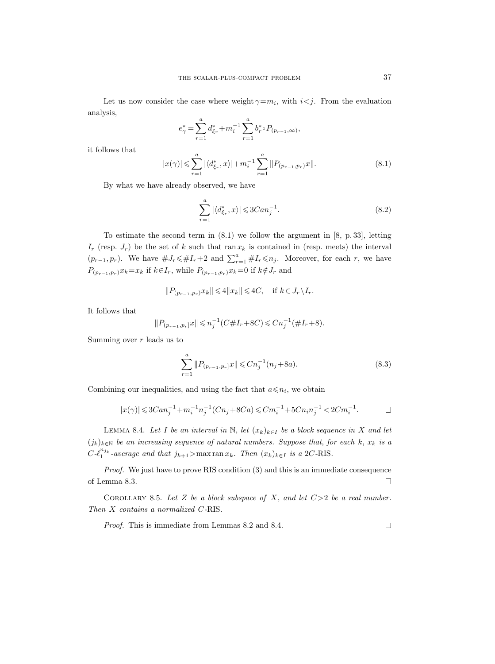Let us now consider the case where weight  $\gamma = m_i$ , with  $i < j$ . From the evaluation analysis,

$$
e_{\gamma}^* = \sum_{r=1}^a d_{\xi_r}^* + m_i^{-1} \sum_{r=1}^a b_r^* \circ P_{(p_{r-1},\infty)},
$$

it follows that

$$
|x(\gamma)| \leqslant \sum_{r=1}^{a} |\langle d_{\xi_r}^*, x \rangle| + m_i^{-1} \sum_{r=1}^{a} ||P_{(p_{r-1}, p_r)} x||. \tag{8.1}
$$

By what we have already observed, we have

$$
\sum_{r=1}^{a} |\langle d_{\xi_r}^*, x \rangle| \leq 3Can_j^{-1}.
$$
\n(8.2)

To estimate the second term in (8.1) we follow the argument in [8, p. 33], letting  $I_r$  (resp.  $J_r$ ) be the set of k such that ran  $x_k$  is contained in (resp. meets) the interval  $(p_{r-1}, p_r)$ . We have  $\#J_r \leq \#I_r+2$  and  $\sum_{r=1}^a \#I_r \leq n_j$ . Moreover, for each r, we have  $P_{(p_{r-1},p_r)}x_k=x_k$  if  $k\!\in\!I_r,$  while  $P_{(p_{r-1},p_r)}x_k\!=\!0$  if  $k\!\notin\!J_r$  and

$$
||P_{(p_{r-1},p_r)}x_k||\leqslant 4||x_k||\leqslant 4C,\quad\text{if }k\in J_r\backslash I_r.
$$

It follows that

$$
||P_{(p_{r-1},p_r]}x|| \leq n_j^{-1}(C\#I_r + 8C) \leq Cn_j^{-1}(\#I_r + 8).
$$

Summing over  $r$  leads us to

$$
\sum_{r=1}^{a} \|P_{(p_{r-1}, p_r]} x\| \leq C n_j^{-1} (n_j + 8a). \tag{8.3}
$$

Combining our inequalities, and using the fact that  $a \leq n_i$ , we obtain

$$
|x(\gamma)|\leqslant 3Can_j^{-1}+m_i^{-1}n_j^{-1}(Cn_j+8Ca)\leqslant Cm_i^{-1}+5Cn_in_j^{-1}<2Cm_i^{-1}.\qquad \qquad \Box
$$

LEMMA 8.4. Let I be an interval in N, let  $(x_k)_{k\in I}$  be a block sequence in X and let  $(j_k)_{k\in\mathbb{N}}$  be an increasing sequence of natural numbers. Suppose that, for each k,  $x_k$  is a  $C\text{-}\ell_1^{n_{j_k}}$ -average and that  $j_{k+1}$ >max ran  $x_k$ . Then  $(x_k)_{k\in I}$  is a 2C-RIS.

Proof. We just have to prove RIS condition (3) and this is an immediate consequence  $\Box$ of Lemma 8.3.

COROLLARY 8.5. Let Z be a block subspace of X, and let  $C>2$  be a real number. Then X contains a normalized C-RIS.

Proof. This is immediate from Lemmas 8.2 and 8.4.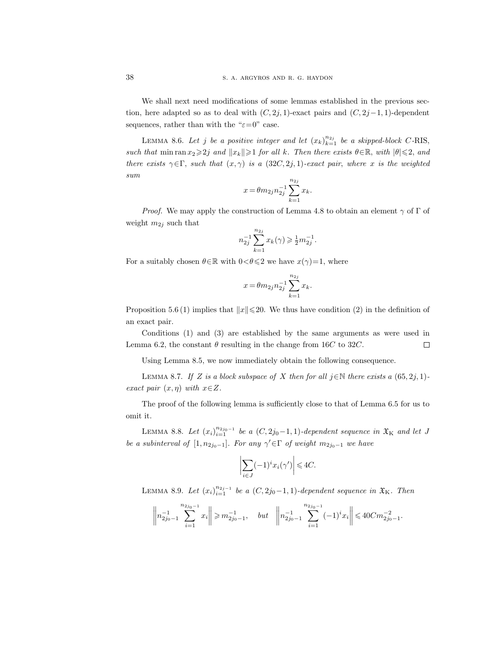We shall next need modifications of some lemmas established in the previous section, here adapted so as to deal with  $(C, 2j, 1)$ -exact pairs and  $(C, 2j-1, 1)$ -dependent sequences, rather than with the " $\varepsilon=0$ " case.

LEMMA 8.6. Let j be a positive integer and let  $(x_k)_{k=1}^{n_{2j}}$  be a skipped-block C-RIS, such that min ran  $x_2 \geq 2j$  and  $||x_k|| \geq 1$  for all k. Then there exists  $\theta \in \mathbb{R}$ , with  $|\theta| \leq 2$ , and there exists  $\gamma \in \Gamma$ , such that  $(x, \gamma)$  is a  $(32C, 2j, 1)$ -exact pair, where x is the weighted sum

$$
x = \theta m_{2j} n_{2j}^{-1} \sum_{k=1}^{n_{2j}} x_k.
$$

*Proof.* We may apply the construction of Lemma 4.8 to obtain an element  $\gamma$  of  $\Gamma$  of weight  $m_{2j}$  such that

$$
n_{2j}^{-1} \sum_{k=1}^{n_{2j}} x_k(\gamma) \geqslant \frac{1}{2} m_{2j}^{-1}.
$$

For a suitably chosen  $\theta \in \mathbb{R}$  with  $0 < \theta \leq 2$  we have  $x(\gamma)=1$ , where

$$
x = \theta m_{2j} n_{2j}^{-1} \sum_{k=1}^{n_{2j}} x_k.
$$

Proposition 5.6 (1) implies that  $||x|| \leq 20$ . We thus have condition (2) in the definition of an exact pair.

Conditions (1) and (3) are established by the same arguments as were used in Lemma 6.2, the constant  $\theta$  resulting in the change from 16C to 32C.  $\Box$ 

Using Lemma 8.5, we now immediately obtain the following consequence.

LEMMA 8.7. If Z is a block subspace of X then for all  $j \in \mathbb{N}$  there exists a  $(65, 2j, 1)$ exact pair  $(x, \eta)$  with  $x \in Z$ .

The proof of the following lemma is sufficiently close to that of Lemma 6.5 for us to omit it.

LEMMA 8.8. Let  $(x_i)_{i=1}^{n_{2j_0-1}}$  be a  $(C, 2j_0-1, 1)$ -dependent sequence in  $\mathfrak{X}_K$  and let J be a subinterval of  $[1, n_{2j_0-1}]$ . For any  $\gamma' \in \Gamma$  of weight  $m_{2j_0-1}$  we have

$$
\left| \sum_{i \in J} (-1)^i x_i(\gamma') \right| \leq 4C.
$$

LEMMA 8.9. Let  $(x_i)_{i=1}^{n_{2j-1}}$  be a  $(C, 2j_0-1, 1)$ -dependent sequence in  $\mathfrak{X}_{K}$ . Then

$$
\left\| n_{2j_0-1}^{-1} \sum_{i=1}^{n_{2j_0-1}} x_i \right\| \geqslant m_{2j_0-1}^{-1}, \quad but \quad \left\| n_{2j_0-1}^{-1} \sum_{i=1}^{n_{2j_0-1}} (-1)^i x_i \right\| \leqslant 40 C m_{2j_0-1}^{-2}.
$$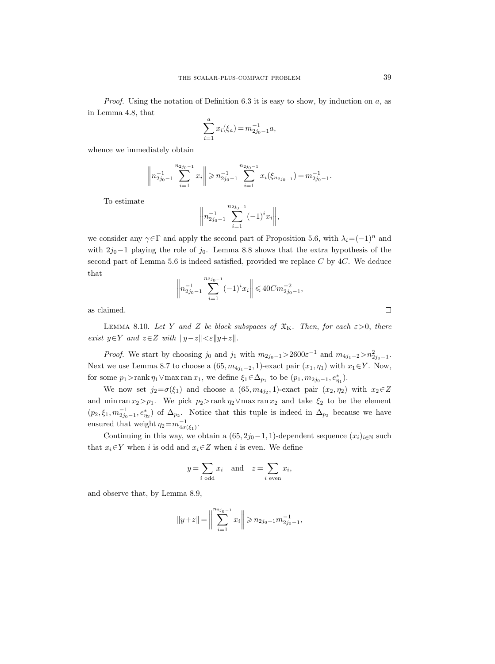*Proof.* Using the notation of Definition 6.3 it is easy to show, by induction on  $a$ , as in Lemma 4.8, that

$$
\sum_{i=1}^{a} x_i(\xi_a) = m_{2j_0-1}^{-1} a,
$$

whence we immediately obtain

$$
\left\| n_{2j_0-1}^{-1} \sum_{i=1}^{n_{2j_0-1}} x_i \right\| \geqslant n_{2j_0-1}^{-1} \sum_{i=1}^{n_{2j_0-1}} x_i (\xi_{n_{2j_0-1}}) = m_{2j_0-1}^{-1}.
$$

To estimate

$$
\bigg\| n_{2j_0-1}^{-1} \sum_{i=1}^{n_{2j_0-1}} (-1)^i x_i \bigg\|,
$$

we consider any  $\gamma \in \Gamma$  and apply the second part of Proposition 5.6, with  $\lambda_i = (-1)^n$  and with  $2j_0-1$  playing the role of  $j_0$ . Lemma 8.8 shows that the extra hypothesis of the second part of Lemma 5.6 is indeed satisfied, provided we replace  $C$  by  $4C$ . We deduce that

$$
\left\| n_{2j_0-1}^{-1} \sum_{i=1}^{n_{2j_0-1}} (-1)^i x_i \right\| \leq 40 C m_{2j_0-1}^{-2},
$$

as claimed.

LEMMA 8.10. Let Y and Z be block subspaces of  $\mathfrak{X}_{K}$ . Then, for each  $\varepsilon > 0$ , there exist  $y \in Y$  and  $z \in Z$  with  $||y-z|| < \varepsilon ||y+z||$ .

*Proof.* We start by choosing  $j_0$  and  $j_1$  with  $m_{2j_0-1} > 2600\varepsilon^{-1}$  and  $m_{4j_1-2} > n_{2j_0-1}^2$ . Next we use Lemma 8.7 to choose a  $(65, m_{4j_1-2}, 1)$ -exact pair  $(x_1, \eta_1)$  with  $x_1 \in Y$ . Now, for some  $p_1 > \text{rank } \eta_1 \vee \text{max ran } x_1$ , we define  $\xi_1 \in \Delta_{p_1}$  to be  $(p_1, m_{2j_0-1}, e_{\eta_1}^*)$ .

We now set  $j_2 = \sigma(\xi_1)$  and choose a  $(65, m_{4j_2}, 1)$ -exact pair  $(x_2, \eta_2)$  with  $x_2 \in Z$ and min ran  $x_2 > p_1$ . We pick  $p_2 >$ rank  $\eta_2 \lor$ max ran  $x_2$  and take  $\xi_2$  to be the element  $(p_2, \xi_1, m_{2j_0-1}^{-1}, e_{n_2}^*)$  of  $\Delta_{p_2}$ . Notice that this tuple is indeed in  $\Delta_{p_2}$  because we have ensured that weight  $\eta_2 = m_{4\sigma(\xi_1)}^{-1}$ .

Continuing in this way, we obtain a  $(65, 2j_0-1, 1)$ -dependent sequence  $(x_i)_{i\in\mathbb{N}}$  such that  $x_i \in Y$  when i is odd and  $x_i \in Z$  when i is even. We define

$$
y = \sum_{i \text{ odd}} x_i
$$
 and  $z = \sum_{i \text{ even}} x_i$ ,

and observe that, by Lemma 8.9,

$$
||y+z|| = \Big\|\sum_{i=1}^{n_{2j_0-1}} x_i\Big\| \ge n_{2j_0-1}m_{2j_0-1}^{-1},
$$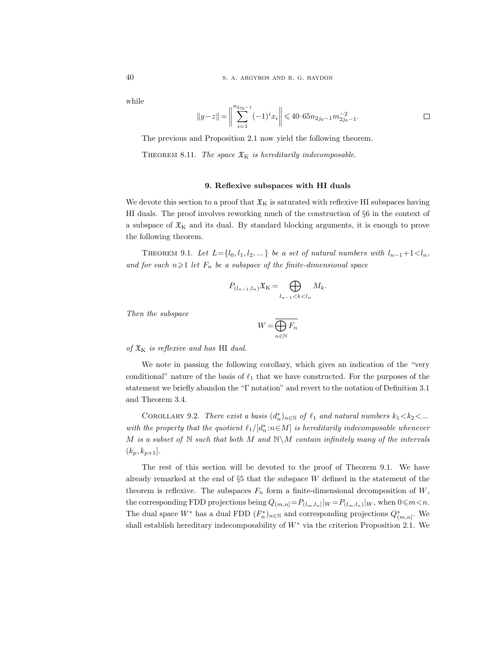while

$$
||y-z|| = \bigg\|\sum_{i=1}^{n_{2j_0-1}} (-1)^i x_i\bigg\| \leq 40 \cdot 65n_{2j_0-1}m_{2j_0-1}^{-2}.
$$

The previous and Proposition 2.1 now yield the following theorem.

THEOREM 8.11. The space  $\mathfrak{X}_{\mathsf{K}}$  is hereditarily indecomposable.

## 9. Reflexive subspaces with HI duals

We devote this section to a proof that  $\mathfrak{X}_{K}$  is saturated with reflexive HI subspaces having HI duals. The proof involves reworking much of the construction of §6 in the context of a subspace of  $\mathfrak{X}_{K}$  and its dual. By standard blocking arguments, it is enough to prove the following theorem.

THEOREM 9.1. Let  $L = \{l_0, l_1, l_2, ...\}$  be a set of natural numbers with  $l_{n-1}+1 < l_n$ , and for each  $n\geqslant 1$  let  $F_n$  be a subspace of the finite-dimensional space

$$
P_{(l_{n-1},l_n)}\mathfrak{X}_K = \bigoplus_{l_{n-1} < k < l_n} M_k.
$$

Then the subspace

$$
W=\overline{\bigoplus_{n\in\mathbb{N}}F_n}
$$

of  $\mathfrak{X}_{\mathrm{K}}$  is reflexive and has HI dual.

We note in passing the following corollary, which gives an indication of the "very conditional" nature of the basis of  $\ell_1$  that we have constructed. For the purposes of the statement we briefly abandon the "Γ notation" and revert to the notation of Definition 3.1 and Theorem 3.4.

COROLLARY 9.2. There exist a basis  $(d_n^*)_{{n \in \mathbb{N}}}$  of  $\ell_1$  and natural numbers  $k_1 < k_2 < ...$ with the property that the quotient  $\ell_1/[d_n^*: n \in M]$  is hereditarily indecomposable whenever M is a subset of  $\mathbb N$  such that both M and  $\mathbb N\backslash M$  contain infinitely many of the intervals  $(k_p, k_{p+1}].$ 

The rest of this section will be devoted to the proof of Theorem 9.1. We have already remarked at the end of  $\S5$  that the subspace W defined in the statement of the theorem is reflexive. The subspaces  $F_n$  form a finite-dimensional decomposition of  $W$ , the corresponding FDD projections being  $Q_{(m,n]} = P_{(l_m,l_n)}|_{W} = P_{(l_m,l_n)}|_{W}$ , when  $0 \le m < n$ . The dual space  $W^*$  has a dual FDD  $(F_n^*)_{n\in\mathbb{N}}$  and corresponding projections  $Q_{(m,n]}^*$ . We shall establish hereditary indecomposability of  $W^*$  via the criterion Proposition 2.1. We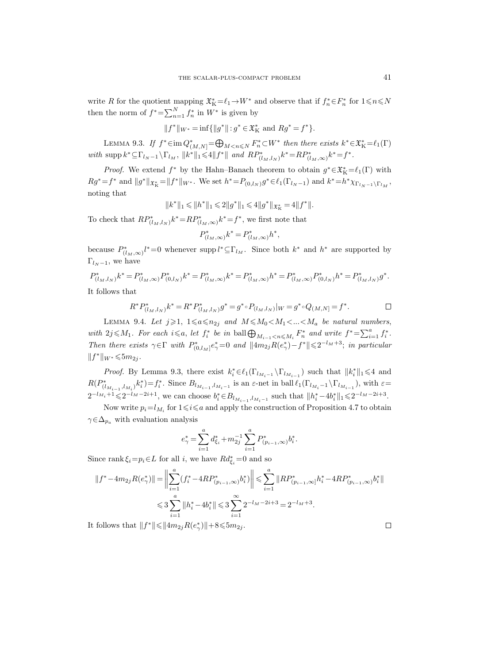write R for the quotient mapping  $\mathfrak{X}_{K}^{*} = \ell_{1} \to W^{*}$  and observe that if  $f_{n}^{*} \in F_{n}^{*}$  for  $1 \leq n \leq N$ then the norm of  $f^* = \sum_{n=1}^N f_n^*$  in  $W^*$  is given by

$$
\|f^*\|_{W^*} = \inf\{\|g^*\| \hbox{ : } g^* \in \mathfrak{X}^*_\mathcal{K} \hbox{ and } Rg^* = f^*\}.
$$

LEMMA 9.3. If  $f^* \in \text{im } Q^*_{(M,N]} = \bigoplus_{M \leq n \leq N} F_n^* \subset W^*$  then there exists  $k^* \in \mathfrak{X}_K^* = \ell_1(\Gamma)$ with  $\text{supp } k^* \subseteq \Gamma_{l_N-1} \setminus \Gamma_{l_M}, \ ||k^*||_1 \leq 4||f^*||$  and  $RP^*_{(l_M, l_N)}k^* = RP^*_{(l_M, \infty)}k^* = f^*.$ 

*Proof.* We extend  $f^*$  by the Hahn–Banach theorem to obtain  $g^* \in \mathfrak{X}^*_{\mathrm{K}} = \ell_1(\Gamma)$  with  $Rg^* = f^*$  and  $||g^*||_{\mathfrak{X}_K^*} = ||f^*||_{W^*}$ . We set  $h^* = P_{(0,l_N)}g^* \in \ell_1(\Gamma_{l_N-1})$  and  $k^* = h^* \chi_{\Gamma_{l_N-1} \backslash \Gamma_{l_M}}$ , noting that

$$
\|k^*\|_1 \leqslant \|h^*\|_1 \leqslant 2\|g^*\|_1 \leqslant 4\|g^*\|_{\mathfrak{X}^*_\mathbf{K}} = 4\|f^*\|.
$$

To check that  $RP^*_{(l_M,l_N)}k^* = RP^*_{(l_M,\infty)}k^* = f^*$ , we first note that

$$
P^*_{(l_M,\infty)}k^* = P^*_{(l_M,\infty)}h^*,
$$

because  $P^*_{(l_M,\infty)}l^* = 0$  whenever supp  $l^* \subseteq \Gamma_{l_M}$ . Since both  $k^*$  and  $h^*$  are supported by  $\Gamma_{l_N-1}$ , we have

 $P_{(l_M, l_N)}^* k^* = P_{(l_M, \infty)}^* P_{(0, l_N)}^* k^* = P_{(l_M, \infty)}^* k^* = P_{(l_M, \infty)}^* h^* = P_{(l_M, \infty)}^* P_{(0, l_N)}^* h^* = P_{(l_M, l_N)}^* g^*.$ It follows that

$$
R^* P^*_{(l_M, l_N)} k^* = R^* P^*_{(l_M, l_N)} g^* = g^* {\circ} P_{(l_M, l_N)} |_{W} = g^* {\circ} Q_{(M, N)} = f^*.
$$

LEMMA 9.4. Let  $j \geqslant 1$ ,  $1 \leqslant a \leqslant n_{2j}$  and  $M \leqslant M_0 < M_1 < ... < M_a$  be natural numbers, with  $2j \leq M_1$ . For each  $i \leq a$ , let  $f_i^*$  be in ball  $\bigoplus_{M_{i-1} < n \leq M_i} F_n^*$  and write  $f^* = \sum_{i=1}^a f_i^*$ . Then there exists  $\gamma \in \Gamma$  with  $P_{(0, l_M]}^* e^*_{\gamma} = 0$  and  $||4m_{2j}R(e^*_{\gamma}) - f^*|| \leq 2^{-l_M+3}$ ; in particular  $||f^*||_{W^*} \leq 5m_{2j}$ .

*Proof.* By Lemma 9.3, there exist  $k_i^* \in \ell_1(\Gamma_{l_{M_i-1}} \setminus \Gamma_{l_{M_{i-1}}})$  such that  $||k_i^*||_1 \le 4$  and  $R(P^*_{(l_{M_{i-1}},l_{M_i})}k_i^*)=f_i^*$ . Since  $B_{l_{M_{i-1}},l_{M_i-1}}$  is an  $\varepsilon$ -net in ball  $\ell_1(\Gamma_{l_{M_i}-1} \backslash \Gamma_{l_{M_{i-1}}})$ , with  $\varepsilon$ =  $2^{-l_{M_i}+1} \leq 2^{-l_M-2i+1}$ , we can choose  $b_i^* \in B_{l_{M_{i-1}},l_{M_i-1}}$  such that  $||h_i^* - 4b_i^*||_1 \leq 2^{-l_M-2i+3}$ .

Now write  $p_i = l_{M_i}$  for  $1 \leq i \leq a$  and apply the construction of Proposition 4.7 to obtain  $\gamma \in \Delta_{p_a}$  with evaluation analysis

$$
e_{\gamma}^* = \sum_{i=1}^a d_{\xi_i}^* + m_{2j}^{-1} \sum_{i=1}^a P_{(p_{i-1},\infty)}^* b_i^*.
$$

Since rank  $\xi_i = p_i \in L$  for all i, we have  $R d_{\xi_i}^* = 0$  and so

$$
\begin{aligned} \|f^* - 4m_{2j}R(e_{\gamma}^*)\| &= \biggl\|\sum_{i=1}^a (f_i^* - 4RP_{(p_{i-1},\infty)}^*b_i^*)\biggr\| \leqslant \sum_{i=1}^a \|RP_{(p_{i-1},\infty)}^*h_i^* - 4RP_{(p_{i-1},\infty)}^*b_i^*\|\\ &\leqslant 3\sum_{i=1}^a \|h_i^* - 4b_i^*\| \leqslant 3\sum_{i=1}^\infty 2^{-l_M-2i+3} = 2^{-l_M+3}. \end{aligned}
$$

It follows that  $||f^*|| \leq ||4m_{2j}R(e^*_{\gamma})||+8 \leq 5m_{2j}$ .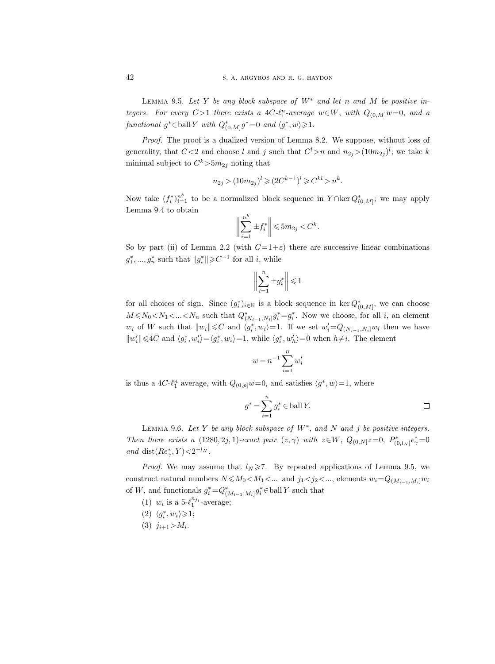LEMMA 9.5. Let Y be any block subspace of  $W^*$  and let n and M be positive integers. For every  $C > 1$  there exists a  $4C \cdot \ell_1^n$ -average  $w \in W$ , with  $Q_{(0,M]}w=0$ , and a functional  $g^* \in \text{ball } Y$  with  $Q^*_{(0,M]}g^* = 0$  and  $\langle g^*, w \rangle \geq 1$ .

Proof. The proof is a dualized version of Lemma 8.2. We suppose, without loss of generality, that  $C < 2$  and choose l and j such that  $C<sup>l</sup> > n$  and  $n_{2j} > (10m_{2j})<sup>l</sup>$ ; we take k minimal subject to  $C^k > 5m_{2j}$  noting that

$$
n_{2j} > (10m_{2j})^l \geqslant (2C^{k-1})^l \geqslant C^{kl} > n^k.
$$

Now take  $(f_i^*)_{i=1}^{n^k}$  to be a normalized block sequence in  $Y \cap \text{ker } Q^*_{(0,M)}$ ; we may apply Lemma 9.4 to obtain

$$
\bigg\|\sum_{i=1}^{n^k} \pm f_i^*\bigg\| \leqslant 5m_{2j} < C^k.
$$

So by part (ii) of Lemma 2.2 (with  $C=1+\varepsilon$ ) there are successive linear combinations  $g_1^*,..., g_n^*$  such that  $||g_i^*|| \geqslant C^{-1}$  for all *i*, while

$$
\biggl\|\sum_{i=1}^n\pm g_i^*\biggr\|\leqslant 1
$$

for all choices of sign. Since  $(g_i^*)_{i\in\mathbb{N}}$  is a block sequence in ker  $Q_{(0,M]}^*$ , we can choose  $M \le N_0 < N_1 < ... < N_n$  such that  $Q^*_{(N_{i-1}, N_i]} g_i^* = g_i^*$ . Now we choose, for all i, an element  $w_i$  of W such that  $||w_i|| \leq C$  and  $\langle g_i^*, w_i \rangle = 1$ . If we set  $w_i' = Q_{(N_{i-1},N_i]}w_i$  then we have  $||w'_i|| \leq 4C$  and  $\langle g_i^*, w'_i \rangle = \langle g_i^*, w_i \rangle = 1$ , while  $\langle g_i^*, w'_h \rangle = 0$  when  $h \neq i$ . The element

$$
w = n^{-1} \sum_{i=1}^{n} w'_i
$$

is thus a 4C- $\ell_1^n$  average, with  $Q_{(0,p]}w=0$ , and satisfies  $\langle g^*, w \rangle = 1$ , where

$$
g^* = \sum_{i=1}^n g_i^* \in \text{ball } Y.
$$

LEMMA 9.6. Let Y be any block subspace of  $W^*$ , and N and j be positive integers. Then there exists a (1280, 2j, 1)-exact pair  $(z, \gamma)$  with  $z \in W$ ,  $Q_{(0,N]} z = 0$ ,  $P_{(0,l_N]}^* e^*_{\gamma} = 0$ and dist $(Re_{\gamma}^* Y) < 2^{-l_N}$ .

*Proof.* We may assume that  $l_N \ge 7$ . By repeated applications of Lemma 9.5, we construct natural numbers  $N \leq M_0 < M_1 < ...$  and  $j_1 < j_2 < ...$ , elements  $w_i = Q_{(M_{i-1}, M_i]}w_i$ of W, and functionals  $g_i^* = Q^*_{(M_{i-1}, M_i]} g_i^* \in \text{ball } Y$  such that

- (1)  $w_i$  is a 5- $\ell_1^{n_{j_i}}$ -average;
- (2)  $\langle g_i^*, w_i \rangle \geqslant 1;$
- (3)  $j_{i+1} > M_i$ .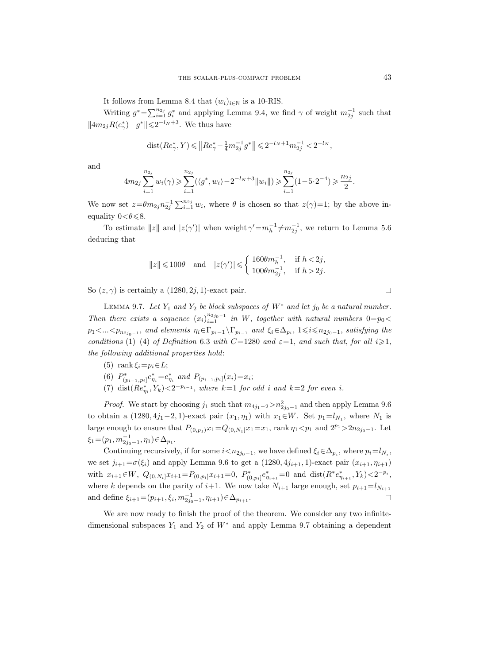It follows from Lemma 8.4 that  $(w_i)_{i\in\mathbb{N}}$  is a 10-RIS.

Writing  $g^* = \sum_{i=1}^{n_{2j}} g_i^*$  and applying Lemma 9.4, we find  $\gamma$  of weight  $m_{2j}^{-1}$  such that  $||4m_{2j}R(e_{\gamma}^*)-g^*|| \leq 2^{-l_N+3}$ . We thus have

$$
{\rm dist}(Re_\gamma^*,Y)\leqslant \left\|Re_\gamma^*-\tfrac14m_{2j}^{-1}g^*\right\|\leqslant 2^{-l_N+1}m_{2j}^{-1}<2^{-l_N},
$$

and

$$
4m_{2j} \sum_{i=1}^{n_{2j}} w_i(\gamma) \geqslant \sum_{i=1}^{n_{2j}} (\langle g^*, w_i \rangle - 2^{-l_N + 3} ||w_i||) \geqslant \sum_{i=1}^{n_{2j}} (1 - 5 \cdot 2^{-4}) \geqslant \frac{n_{2j}}{2}.
$$

We now set  $z=\theta m_{2j}n_{2j}^{-1}\sum_{i=1}^{n_{2j}}w_i$ , where  $\theta$  is chosen so that  $z(\gamma)=1$ ; by the above inequality  $0 < \theta \le 8$ .

To estimate  $||z||$  and  $|z(\gamma')|$  when weight  $\gamma' = m_h^{-1} \neq m_{2j}^{-1}$ , we return to Lemma 5.6 deducing that

$$
\|z\|\leqslant 100\theta\quad\text{and}\quad |z(\gamma')|\leqslant \left\{\begin{array}{ll} 160\theta m_h^{-1}, & \text{if }h<2j,\\ 100\theta m_{2j}^{-1}, & \text{if }h>2j.\end{array}\right.
$$

So  $(z, \gamma)$  is certainly a  $(1280, 2j, 1)$ -exact pair.

LEMMA 9.7. Let  $Y_1$  and  $Y_2$  be block subspaces of  $W^*$  and let  $j_0$  be a natural number. Then there exists a sequence  $(x_i)_{i=1}^{n_{2j_0-1}}$  in W, together with natural numbers  $0=p_0$  $p_1 < ... < p_{n_{2j_0-1}}$ , and elements  $\eta_i \in \Gamma_{p_i-1} \backslash \Gamma_{p_{i-1}}$  and  $\xi_i \in \Delta_{p_i}$ ,  $1 \leq i \leq n_{2j_0-1}$ , satisfying the conditions (1)–(4) of Definition 6.3 with C=1280 and  $\varepsilon$ =1, and such that, for all  $i\geqslant 1$ , the following additional properties hold:

- (5) rank  $\xi_i=p_i\in L$ ;
- (6)  $P^*_{(p_{i-1},p_i]}e^*_{\eta_i}=e^*_{\eta_i}$  and  $P_{(p_{i-1},p_i]}(x_i)=x_i;$
- (7) dist $(Re_{\eta_i}^*, Y_k) < 2^{-p_{i-1}}$ , where  $k=1$  for odd i and  $k=2$  for even i.

*Proof.* We start by choosing  $j_1$  such that  $m_{4j_1-2} > n_{2j_0-1}^2$  and then apply Lemma 9.6 to obtain a  $(1280, 4j_1-2, 1)$ -exact pair  $(x_1, \eta_1)$  with  $x_1 \in W$ . Set  $p_1 = l_{N_1}$ , where  $N_1$  is large enough to ensure that  $P_{(0,p_1)}x_1=Q_{(0,N_1]}x_1=x_1$ , rank  $\eta_1 < p_1$  and  $2^{p_1} > 2n_{2j_0-1}$ . Let  $\xi_1 = (p_1, m_{2j_0-1}^{-1}, \eta_1) \in \Delta_{p_1}.$ 

Continuing recursively, if for some  $i < n_{2j_0-1}$ , we have defined  $\xi_i \in \Delta_{p_i}$ , where  $p_i = l_{N_i}$ , we set  $j_{i+1} = \sigma(\xi_i)$  and apply Lemma 9.6 to get a  $(1280, 4j_{i+1}, 1)$ -exact pair  $(x_{i+1}, \eta_{i+1})$ with  $x_{i+1} \in W$ ,  $Q_{(0,N_i]}x_{i+1} = P_{(0,p_i]}x_{i+1} = 0$ ,  $P_{(0,p_i]}^*e_{\eta_{i+1}}^* = 0$  and  $dist(R^*e_{\eta_{i+1}}^*, Y_k) < 2^{-p_i}$ , where k depends on the parity of  $i+1$ . We now take  $N_{i+1}$  large enough, set  $p_{i+1}=l_{N_{i+1}}$ and define  $\xi_{i+1} = (p_{i+1}, \xi_i, m_{2j_0-1}^{-1}, \eta_{i+1}) \in \Delta_{p_{i+1}}$ .  $\Box$ 

We are now ready to finish the proof of the theorem. We consider any two infinitedimensional subspaces  $Y_1$  and  $Y_2$  of  $W^*$  and apply Lemma 9.7 obtaining a dependent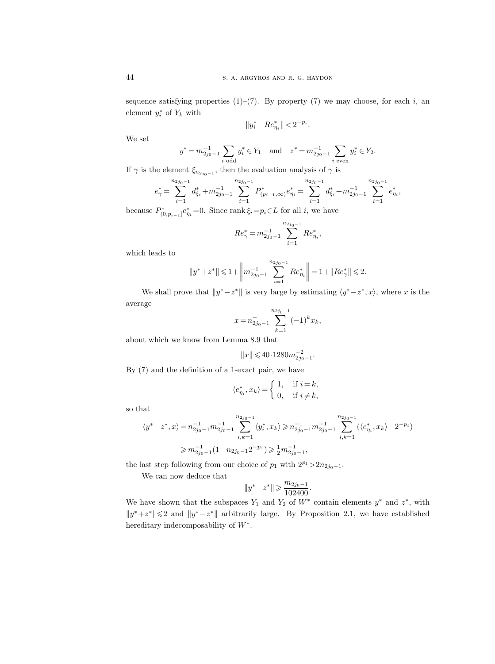sequence satisfying properties  $(1)$ – $(7)$ . By property  $(7)$  we may choose, for each i, an element  $y_i^*$  of  $Y_k$  with

$$
\|y^*_i - R e_{\eta_i}^*\| < 2^{-p_i}.
$$

We set

$$
y^* = m_{2j_0-1}^{-1} \sum_{i \text{ odd}} y_i^* \in Y_1
$$
 and  $z^* = m_{2j_0-1}^{-1} \sum_{i \text{ even}} y_i^* \in Y_2$ .

If  $\gamma$  is the element  $\xi_{n_{2j_0-1}}$ , then the evaluation analysis of  $\gamma$  is

$$
e_{\gamma}^* = \sum_{i=1}^{n_{2j_0-1}} d_{\xi_i}^* + m_{2j_0-1}^{-1} \sum_{i=1}^{n_{2j_0-1}} P_{(p_{i-1},\infty)}^* e_{\eta_i}^* = \sum_{i=1}^{n_{2j_0-1}} d_{\xi_i}^* + m_{2j_0-1}^{-1} \sum_{i=1}^{n_{2j_0-1}} e_{\eta_i}^*,
$$

because  $P_{(0,p_{i-1}]}^* e_{\eta_i}^* = 0$ . Since rank  $\xi_i = p_i \in L$  for all i, we have

$$
Re^*_{\gamma} = m_{2j_0-1}^{-1} \sum_{i=1}^{n_{2j_0-1}} Re^*_{\eta_i},
$$

which leads to

$$
\left\|y^{*}+z^{*}\right\|\leqslant 1+\left\|m_{2j_{0}-1}^{-1}\sum_{i=1}^{n_{2j_{0}-1}}Re_{\eta_{i}}^{*}\right\|=1+\left\|Re_{\gamma}^{*}\right\|\leqslant 2.
$$

We shall prove that  $||y^* - z^*||$  is very large by estimating  $\langle y^* - z^*, x \rangle$ , where x is the average

$$
x = n_{2j_0 - 1}^{-1} \sum_{k=1}^{n_{2j_0 - 1}} (-1)^k x_k,
$$

about which we know from Lemma 8.9 that

$$
||x|| \leqslant 40 \cdot 1280 m_{2j_0-1}^{-2}.
$$

By (7) and the definition of a 1-exact pair, we have

$$
\langle e_{\eta_i}^*, x_k \rangle = \begin{cases} 1, & \text{if } i = k, \\ 0, & \text{if } i \neq k, \end{cases}
$$

so that

$$
\langle y^* - z^*, x \rangle = n_{2j_0 - 1}^{-1} m_{2j_0 - 1}^{-1} \sum_{i,k=1}^{n_{2j_0 - 1}} \langle y_i^*, x_k \rangle \ge n_{2j_0 - 1}^{-1} m_{2j_0 - 1}^{-1} \sum_{i,k=1}^{n_{2j_0 - 1}} (\langle e_{\eta_i}^*, x_k \rangle - 2^{-p_i})
$$
  

$$
\ge m_{2j_0 - 1}^{-1} (1 - n_{2j_0 - 1} 2^{-p_1}) \ge \frac{1}{2} m_{2j_0 - 1}^{-1},
$$

the last step following from our choice of  $p_1$  with  $2^{p_1} > 2n_{2j_0-1}$ .

We can now deduce that

$$
||y^* - z^*|| \geqslant \frac{m_{2j_0 - 1}}{102400}.
$$

We have shown that the subspaces  $Y_1$  and  $Y_2$  of  $W^*$  contain elements  $y^*$  and  $z^*$ , with  $||y^*+z^*|| \le 2$  and  $||y^*-z^*||$  arbitrarily large. By Proposition 2.1, we have established hereditary indecomposability of  $W^*$ .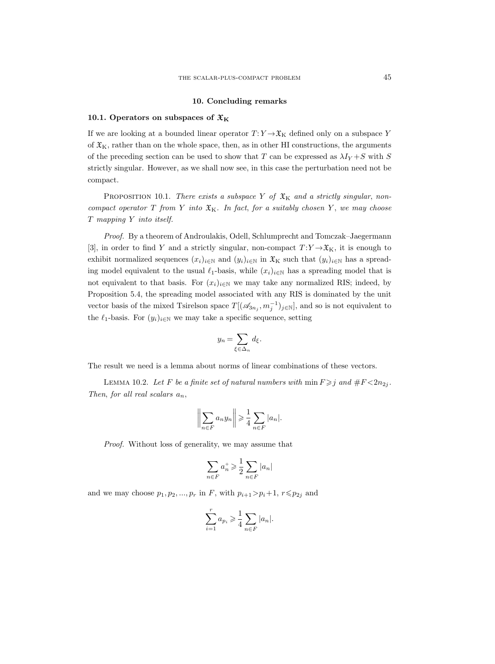#### 10. Concluding remarks

## 10.1. Operators on subspaces of  $\mathfrak{X}_K$

If we are looking at a bounded linear operator  $T: Y \to \mathfrak{X}_K$  defined only on a subspace Y of  $\mathfrak{X}_{K}$ , rather than on the whole space, then, as in other HI constructions, the arguments of the preceding section can be used to show that T can be expressed as  $\lambda I_Y + S$  with S strictly singular. However, as we shall now see, in this case the perturbation need not be compact.

PROPOSITION 10.1. There exists a subspace Y of  $\mathfrak{X}_K$  and a strictly singular, noncompact operator  $T$  from  $Y$  into  $\mathfrak{X}_K$ . In fact, for a suitably chosen  $Y$ , we may choose T mapping Y into itself.

Proof. By a theorem of Androulakis, Odell, Schlumprecht and Tomczak–Jaegermann [3], in order to find Y and a strictly singular, non-compact  $T:Y\to\mathfrak{X}_K$ , it is enough to exhibit normalized sequences  $(x_i)_{i\in\mathbb{N}}$  and  $(y_i)_{i\in\mathbb{N}}$  in  $\mathfrak{X}_K$  such that  $(y_i)_{i\in\mathbb{N}}$  has a spreading model equivalent to the usual  $\ell_1$ -basis, while  $(x_i)_{i\in\mathbb{N}}$  has a spreading model that is not equivalent to that basis. For  $(x_i)_{i\in\mathbb{N}}$  we may take any normalized RIS; indeed, by Proposition 5.4, the spreading model associated with any RIS is dominated by the unit vector basis of the mixed Tsirelson space  $T[(\mathscr{A}_{3n_j}, m_j^{-1})_{j \in \mathbb{N}}]$ , and so is not equivalent to the  $\ell_1$ -basis. For  $(y_i)_{i\in\mathbb{N}}$  we may take a specific sequence, setting

$$
y_n = \sum_{\xi \in \Delta_n} d_{\xi}.
$$

The result we need is a lemma about norms of linear combinations of these vectors.

LEMMA 10.2. Let F be a finite set of natural numbers with  $\min F \geq j$  and  $\#F < 2n_{2j}$ . Then, for all real scalars  $a_n$ ,

$$
\left\| \sum_{n \in F} a_n y_n \right\| \geqslant \frac{1}{4} \sum_{n \in F} |a_n|.
$$

Proof. Without loss of generality, we may assume that

$$
\sum_{n \in F} a_n^+ \geqslant \frac{1}{2} \sum_{n \in F} |a_n|
$$

and we may choose  $p_1, p_2, ..., p_r$  in F, with  $p_{i+1} > p_i + 1$ ,  $r \le p_{2j}$  and

$$
\sum_{i=1}^r a_{p_i} \geqslant \frac{1}{4} \sum_{n \in F} |a_n|.
$$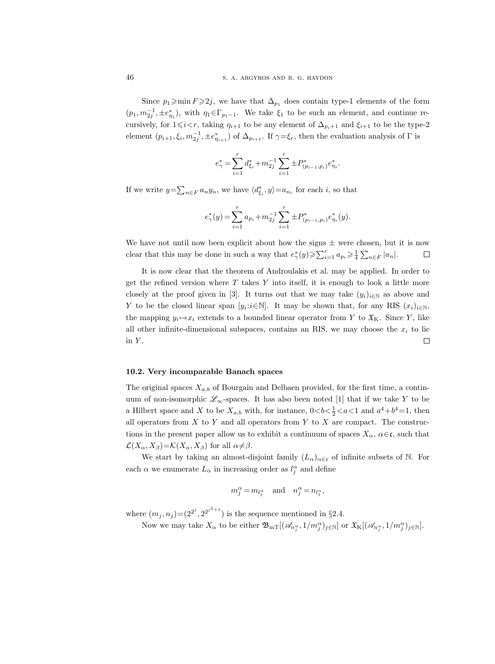Since  $p_1\geqslant \min F\geqslant 2j$ , we have that  $\Delta_{p_1}$  does contain type-1 elements of the form  $(p_1, m_{2j}^{-1}, \pm e_{\eta_1}^*)$ , with  $\eta_1 \in \Gamma_{p_1-1}$ . We take  $\xi_1$  to be such an element, and continue recursively, for  $1\leq i\leq r$ , taking  $\eta_{i+1}$  to be any element of  $\Delta_{p_i+1}$  and  $\xi_{i+1}$  to be the type-2 element  $(p_{i+1}, \xi_i, m_{2j}^{-1}, \pm e_{n_{i+1}}^*)$  of  $\Delta_{p_{i+1}}$ . If  $\gamma = \xi_r$ , then the evaluation analysis of  $\Gamma$  is

$$
e_{\gamma}^* = \sum_{i=1}^r d_{\xi_i}^* + m_{2j}^{-1} \sum_{i=1}^r \pm P_{(p_{i-1},p_i)}^* e_{\eta_i}^*
$$

.

If we write  $y = \sum_{n \in F} a_n y_n$ , we have  $\langle d_{\xi_i}^*, y \rangle = a_{n_i}$  for each *i*, so that

$$
e_{\gamma}^*(y) = \sum_{i=1}^r a_{p_i} + m_{2j}^{-1} \sum_{i=1}^r \pm P_{(p_{i-1},p_i)}^*(e_{\eta_i}^*(y)).
$$

We have not until now been explicit about how the signs  $\pm$  were chosen, but it is now clear that this may be done in such a way that  $e^*_{\gamma}(y) \geq \sum_{i=1}^r a_{p_i} \geq \frac{1}{4} \sum_{n \in F} |a_n|$ .  $\Box$ 

It is now clear that the theorem of Androulakis et al. may be applied. In order to get the refined version where  $T$  takes  $Y$  into itself, it is enough to look a little more closely at the proof given in [3]. It turns out that we may take  $(y_i)_{i\in\mathbb{N}}$  as above and Y to be the closed linear span  $[y_i : i \in \mathbb{N}]$ . It may be shown that, for any RIS  $(x_i)_{i \in \mathbb{N}}$ , the mapping  $y_i \mapsto x_i$  extends to a bounded linear operator from Y to  $\mathfrak{X}_K$ . Since Y, like all other infinite-dimensional subspaces, contains an RIS, we may choose the  $x_i$  to lie in  $Y$ .  $\Box$ 

#### 10.2. Very incomparable Banach spaces

The original spaces  $X_{a,b}$  of Bourgain and Delbaen provided, for the first time, a continuum of non-isomorphic  $\mathscr{L}_{\infty}$ -spaces. It has also been noted [1] that if we take Y to be a Hilbert space and X to be  $X_{a,b}$  with, for instance,  $0 < b < \frac{1}{2} < a < 1$  and  $a^4 + b^4 = 1$ , then all operators from  $X$  to  $Y$  and all operators from  $Y$  to  $X$  are compact. The constructions in the present paper allow us to exhibit a continuum of spaces  $X_{\alpha}$ ,  $\alpha \in \mathfrak{c}$ , such that  $\mathcal{L}(X_{\alpha}, X_{\beta}) = \mathcal{K}(X_{\alpha}, X_{\beta})$  for all  $\alpha \neq \beta$ .

We start by taking an almost-disjoint family  $(L_{\alpha})_{\alpha \in \mathfrak{c}}$  of infinite subsets of N. For each  $\alpha$  we enumerate  $L_{\alpha}$  in increasing order as  $l_j^{\alpha}$  and define

$$
m_j^\alpha\,{=}\,m_{l_j^\alpha}\quad\text{and}\quad n_j^\alpha\,{=}\,n_{l_j^\alpha},
$$

where  $(m_j, n_j) = (2^{2^j}, 2^{2^{j^2+1}})$  is the sequence mentioned in §2.4.

Now we may take  $X_{\alpha}$  to be either  $\mathfrak{B}_{\rm mT}[(\mathscr{A}_{n_j^{\alpha}},1/m_j^{\alpha})_{j\in\mathbb{N}}]$  or  $\mathfrak{X}_{\rm K}[(\mathscr{A}_{n_j^{\alpha}},1/m_j^{\alpha})_{j\in\mathbb{N}}]$ .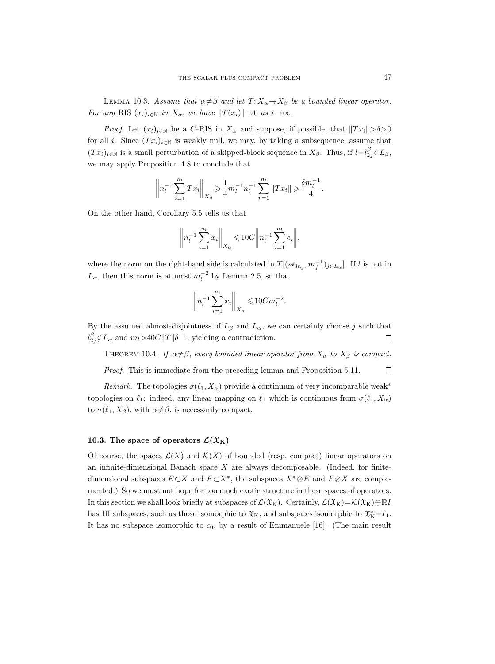LEMMA 10.3. Assume that  $\alpha \neq \beta$  and let  $T: X_{\alpha} \rightarrow X_{\beta}$  be a bounded linear operator. For any RIS  $(x_i)_{i\in\mathbb{N}}$  in  $X_\alpha$ , we have  $||T(x_i)|| \rightarrow 0$  as  $i\rightarrow\infty$ .

*Proof.* Let  $(x_i)_{i\in\mathbb{N}}$  be a C-RIS in  $X_\alpha$  and suppose, if possible, that  $||Tx_i|| > \delta > 0$ for all *i*. Since  $(Tx_i)_{i\in\mathbb{N}}$  is weakly null, we may, by taking a subsequence, assume that  $(Tx_i)_{i\in\mathbb{N}}$  is a small perturbation of a skipped-block sequence in  $X_\beta$ . Thus, if  $l=l_{2j}^{\beta} \in L_\beta$ , we may apply Proposition 4.8 to conclude that

$$
\left\| n_l^{-1} \sum_{i=1}^{n_l} Tx_i \right\|_{X_\beta} \geq \frac{1}{4} m_l^{-1} n_l^{-1} \sum_{r=1}^{n_l} \|Tx_i\| \geq \frac{\delta m_l^{-1}}{4}.
$$

On the other hand, Corollary 5.5 tells us that

$$
\left\| n_l^{-1} \sum_{i=1}^{n_l} x_i \right\|_{X_\alpha} \leq 10C \left\| n_l^{-1} \sum_{i=1}^{n_l} e_i \right\|,
$$

where the norm on the right-hand side is calculated in  $T[(\mathscr{A}_{3n_j}, m_j^{-1})_{j\in L_\alpha}]$ . If l is not in  $L_{\alpha}$ , then this norm is at most  $m_l^{-2}$  by Lemma 2.5, so that

$$
\left\| n_l^{-1} \sum_{i=1}^{n_l} x_i \right\|_{X_\alpha} \leq 10 C m_l^{-2}.
$$

By the assumed almost-disjointness of  $L_\beta$  and  $L_\alpha$ , we can certainly choose j such that  $l_{2j}^{\beta} \notin L_{\alpha}$  and  $m_l > 40C||T||\delta^{-1}$ , yielding a contradiction.  $\Box$ 

THEOREM 10.4. If  $\alpha \neq \beta$ , every bounded linear operator from  $X_{\alpha}$  to  $X_{\beta}$  is compact.

Proof. This is immediate from the preceding lemma and Proposition 5.11.  $\Box$ 

Remark. The topologies  $\sigma(\ell_1, X_\alpha)$  provide a continuum of very incomparable weak<sup>\*</sup> topologies on  $\ell_1$ : indeed, any linear mapping on  $\ell_1$  which is continuous from  $\sigma(\ell_1, X_\alpha)$ to  $\sigma(\ell_1, X_\beta)$ , with  $\alpha \neq \beta$ , is necessarily compact.

# 10.3. The space of operators  $\mathcal{L}(\mathfrak{X}_K)$

Of course, the spaces  $\mathcal{L}(X)$  and  $\mathcal{K}(X)$  of bounded (resp. compact) linear operators on an infinite-dimensional Banach space  $X$  are always decomposable. (Indeed, for finitedimensional subspaces  $E \subset X$  and  $F \subset X^*$ , the subspaces  $X^* \otimes E$  and  $F \otimes X$  are complemented.) So we must not hope for too much exotic structure in these spaces of operators. In this section we shall look briefly at subspaces of  $\mathcal{L}(\mathfrak{X}_K)$ . Certainly,  $\mathcal{L}(\mathfrak{X}_K)=\mathcal{K}(\mathfrak{X}_K)\oplus \mathbb{R}I$ has HI subspaces, such as those isomorphic to  $\mathfrak{X}_K$ , and subspaces isomorphic to  $\mathfrak{X}_K^* = \ell_1$ . It has no subspace isomorphic to  $c_0$ , by a result of Emmanuele [16]. (The main result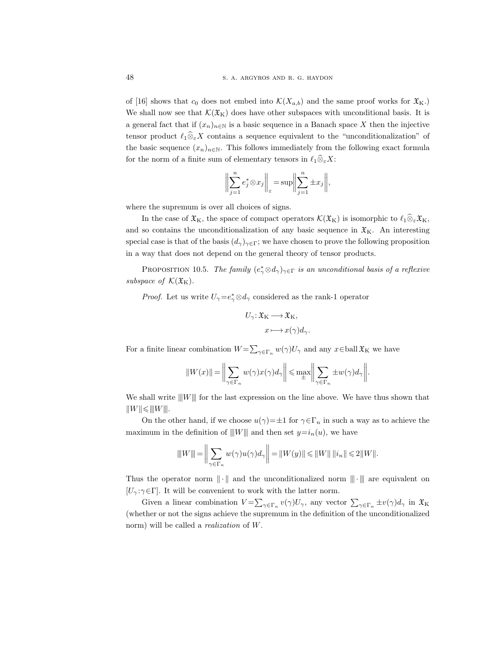of [16] shows that  $c_0$  does not embed into  $\mathcal{K}(X_{a,b})$  and the same proof works for  $\mathfrak{X}_{\mathbf{K}}$ . We shall now see that  $\mathcal{K}(\mathfrak{X}_K)$  does have other subspaces with unconditional basis. It is a general fact that if  $(x_n)_{n\in\mathbb{N}}$  is a basic sequence in a Banach space X then the injective tensor product  $\ell_1\widehat{\otimes}_{\varepsilon}X$  contains a sequence equivalent to the "unconditionalization" of the basic sequence  $(x_n)_{n\in\mathbb{N}}$ . This follows immediately from the following exact formula for the norm of a finite sum of elementary tensors in  $\ell_1 \widehat{\otimes}_{\varepsilon} X$ :

$$
\bigg\|\sum_{j=1}^n e_j^*\otimes x_j\bigg\|_{\varepsilon}=\sup\bigg\|\sum_{j=1}^n \pm x_j\bigg\|,
$$

where the supremum is over all choices of signs.

In the case of  $\mathfrak{X}_K$ , the space of compact operators  $\mathcal{K}(\mathfrak{X}_K)$  is isomorphic to  $\ell_1\widehat{\otimes}_{\varepsilon}\mathfrak{X}_K$ , and so contains the unconditionalization of any basic sequence in  $\mathfrak{X}_K$ . An interesting special case is that of the basis  $(d_{\gamma})_{\gamma \in \Gamma}$ ; we have chosen to prove the following proposition in a way that does not depend on the general theory of tensor products.

PROPOSITION 10.5. The family  $(e^*_{\gamma} \otimes d_{\gamma})_{\gamma \in \Gamma}$  is an unconditional basis of a reflexive subspace of  $\mathcal{K}(\mathfrak{X}_K)$ .

*Proof.* Let us write  $U_{\gamma} = e_{\gamma}^* \otimes d_{\gamma}$  considered as the rank-1 operator

$$
U_{\gamma}: \mathfrak{X}_{K} \longrightarrow \mathfrak{X}_{K},
$$

$$
x \longmapsto x(\gamma)d_{\gamma}.
$$

For a finite linear combination  $W = \sum_{\gamma \in \Gamma_n} w(\gamma) U_{\gamma}$  and any  $x \in$  ball  $\mathfrak{X}_K$  we have

$$
||W(x)|| = \bigg\|\sum_{\gamma \in \Gamma_n} w(\gamma)x(\gamma)d_{\gamma}\bigg\| \le \max_{\pm} \bigg\|\sum_{\gamma \in \Gamma_n} \pm w(\gamma)d_{\gamma}\bigg\|.
$$

We shall write  $||W||$  for the last expression on the line above. We have thus shown that  $||W|| \leq ||W||.$ 

On the other hand, if we choose  $u(\gamma) = \pm 1$  for  $\gamma \in \Gamma_n$  in such a way as to achieve the maximum in the definition of  $||W||$  and then set  $y=i_n(u)$ , we have

$$
\|W\| = \left\| \sum_{\gamma \in \Gamma_n} w(\gamma) u(\gamma) d_{\gamma} \right\| = \|W(y)\| \le \|W\| \|i_n\| \le 2 \|W\|.
$$

Thus the operator norm  $\|\cdot\|$  and the unconditionalized norm  $\|\cdot\|$  are equivalent on  $[U_\gamma : \gamma \in \Gamma]$ . It will be convenient to work with the latter norm.

Given a linear combination  $V = \sum_{\gamma \in \Gamma_n} v(\gamma) U_{\gamma}$ , any vector  $\sum_{\gamma \in \Gamma_n} \pm v(\gamma) d_{\gamma}$  in  $\mathfrak{X}_{\mathcal{K}}$ (whether or not the signs achieve the supremum in the definition of the unconditionalized norm) will be called a realization of W.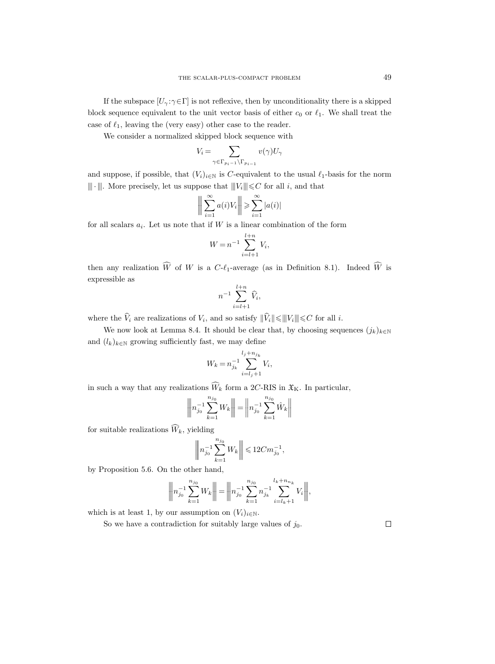If the subspace  $[U_\gamma : \gamma \in \Gamma]$  is not reflexive, then by unconditionality there is a skipped block sequence equivalent to the unit vector basis of either  $c_0$  or  $\ell_1$ . We shall treat the case of  $\ell_1$ , leaving the (very easy) other case to the reader.

We consider a normalized skipped block sequence with

$$
V_i = \sum_{\gamma \in \Gamma_{p_i-1} \backslash \Gamma_{p_{i-1}}} v(\gamma) U_{\gamma}
$$

and suppose, if possible, that  $(V_i)_{i\in\mathbb{N}}$  is C-equivalent to the usual  $\ell_1$ -basis for the norm  $|\!|\!|\cdot|\!|\!|$  . More precisely, let us suppose that  $|\!|\!| V_i|\!|\!|\!| \leqslant C$  for all  $i,$  and that

$$
\bigg\|\sum_{i=1}^{\infty}a(i)V_i\bigg\| \geqslant \sum_{i=1}^{\infty}|a(i)|
$$

for all scalars  $a_i$ . Let us note that if W is a linear combination of the form

$$
W = n^{-1} \sum_{i=l+1}^{l+n} V_i,
$$

then any realization  $\widehat{W}$  of W is a C- $\ell_1$ -average (as in Definition 8.1). Indeed  $\widehat{W}$  is expressible as

$$
n^{-1} \sum_{i=l+1}^{l+n} \widehat{V}_i,
$$

where the  $\hat{V}_i$  are realizations of  $V_i$ , and so satisfy  $\|\hat{V}_i\| \leq \||V_i\|| \leq C$  for all i.

We now look at Lemma 8.4. It should be clear that, by choosing sequences  $(j_k)_{k\in\mathbb{N}}$ and  $(l_k)_{k \in \mathbb{N}}$  growing sufficiently fast, we may define

$$
W_k = n_{j_k}^{-1} \sum_{i=l_j+1}^{l_j + n_{j_k}} V_i,
$$

in such a way that any realizations  $\widehat{W}_k$  form a 2C-RIS in  $\mathfrak{X}_K$ . In particular,

$$
\left\| \left\| n_{j_0}^{-1} \sum_{k=1}^{n_{j_0}} W_k \right\| \right| = \left\| n_{j_0}^{-1} \sum_{k=1}^{n_{j_0}} \hat{W}_k \right\|
$$

for suitable realizations  $\widehat{W}_k$ , yielding

$$
\left\| \boldsymbol{n}_{j_0}^{-1} \sum_{k=1}^{n_{j_0}} W_k \right\| \leqslant 12 C m_{j_0}^{-1},
$$

by Proposition 5.6. On the other hand,

$$
\left\| n_{j_0}^{-1} \sum_{k=1}^{n_{j_0}} W_k \right\| = \left\| n_{j_0}^{-1} \sum_{k=1}^{n_{j_0}} n_{j_k}^{-1} \sum_{i=l_k+1}^{l_k+n_{n_k}} V_i \right\|,
$$

which is at least 1, by our assumption on  $(V_i)_{i\in\mathbb{N}}$ .

So we have a contradiction for suitably large values of  $j_0$ .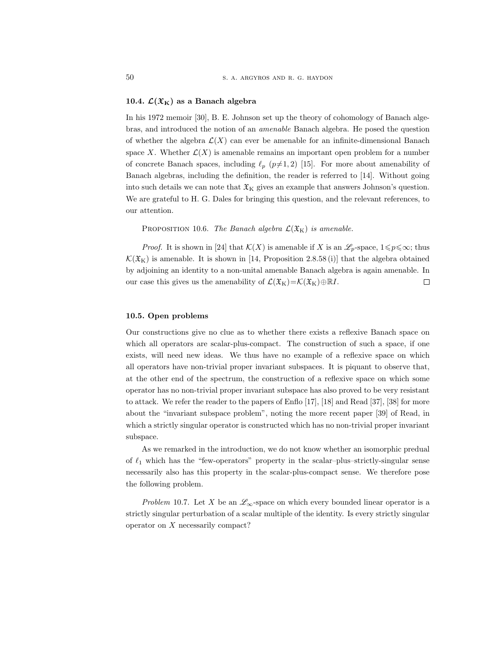## 10.4.  $\mathcal{L}(\mathfrak{X}_K)$  as a Banach algebra

In his 1972 memoir [30], B. E. Johnson set up the theory of cohomology of Banach algebras, and introduced the notion of an amenable Banach algebra. He posed the question of whether the algebra  $\mathcal{L}(X)$  can ever be amenable for an infinite-dimensional Banach space X. Whether  $\mathcal{L}(X)$  is amenable remains an important open problem for a number of concrete Banach spaces, including  $\ell_p$  ( $p\neq 1, 2$ ) [15]. For more about amenability of Banach algebras, including the definition, the reader is referred to [14]. Without going into such details we can note that  $\mathfrak{X}_{\mathbf{K}}$  gives an example that answers Johnson's question. We are grateful to H. G. Dales for bringing this question, and the relevant references, to our attention.

PROPOSITION 10.6. The Banach algebra  $\mathcal{L}(\mathfrak{X}_K)$  is amenable.

*Proof.* It is shown in [24] that  $\mathcal{K}(X)$  is amenable if X is an  $\mathscr{L}_p$ -space,  $1 \leq p \leq \infty$ ; thus  $\mathcal{K}(\mathfrak{X}_{\mathrm{K}})$  is amenable. It is shown in [14, Proposition 2.8.58(i)] that the algebra obtained by adjoining an identity to a non-unital amenable Banach algebra is again amenable. In our case this gives us the amenability of  $\mathcal{L}(\mathfrak{X}_K)=\mathcal{K}(\mathfrak{X}_K)\oplus \mathbb{R}I$ .  $\Box$ 

## 10.5. Open problems

Our constructions give no clue as to whether there exists a reflexive Banach space on which all operators are scalar-plus-compact. The construction of such a space, if one exists, will need new ideas. We thus have no example of a reflexive space on which all operators have non-trivial proper invariant subspaces. It is piquant to observe that, at the other end of the spectrum, the construction of a reflexive space on which some operator has no non-trivial proper invariant subspace has also proved to be very resistant to attack. We refer the reader to the papers of Enflo [17], [18] and Read [37], [38] for more about the "invariant subspace problem", noting the more recent paper [39] of Read, in which a strictly singular operator is constructed which has no non-trivial proper invariant subspace.

As we remarked in the introduction, we do not know whether an isomorphic predual of  $\ell_1$  which has the "few-operators" property in the scalar–plus–strictly-singular sense necessarily also has this property in the scalar-plus-compact sense. We therefore pose the following problem.

Problem 10.7. Let X be an  $\mathscr{L}_{\infty}$ -space on which every bounded linear operator is a strictly singular perturbation of a scalar multiple of the identity. Is every strictly singular operator on X necessarily compact?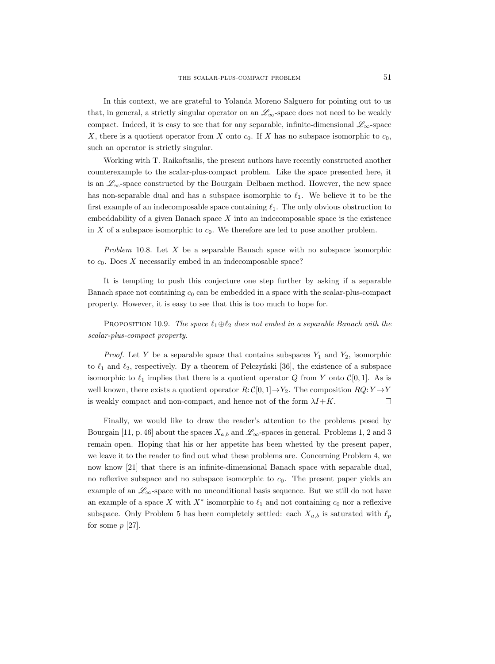In this context, we are grateful to Yolanda Moreno Salguero for pointing out to us that, in general, a strictly singular operator on an  $\mathscr{L}_{\infty}$ -space does not need to be weakly compact. Indeed, it is easy to see that for any separable, infinite-dimensional  $\mathscr{L}_{\infty}$ -space X, there is a quotient operator from X onto  $c_0$ . If X has no subspace isomorphic to  $c_0$ , such an operator is strictly singular.

Working with T. Raikoftsalis, the present authors have recently constructed another counterexample to the scalar-plus-compact problem. Like the space presented here, it is an  $\mathscr{L}_{\infty}$ -space constructed by the Bourgain–Delbaen method. However, the new space has non-separable dual and has a subspace isomorphic to  $\ell_1$ . We believe it to be the first example of an indecomposable space containing  $\ell_1$ . The only obvious obstruction to embeddability of a given Banach space  $X$  into an indecomposable space is the existence in X of a subspace isomorphic to  $c_0$ . We therefore are led to pose another problem.

Problem 10.8. Let  $X$  be a separable Banach space with no subspace isomorphic to  $c_0$ . Does  $X$  necessarily embed in an indecomposable space?

It is tempting to push this conjecture one step further by asking if a separable Banach space not containing  $c_0$  can be embedded in a space with the scalar-plus-compact property. However, it is easy to see that this is too much to hope for.

PROPOSITION 10.9. The space  $\ell_1 \oplus \ell_2$  does not embed in a separable Banach with the scalar-plus-compact property.

*Proof.* Let Y be a separable space that contains subspaces  $Y_1$  and  $Y_2$ , isomorphic to  $\ell_1$  and  $\ell_2$ , respectively. By a theorem of Pełczyński [36], the existence of a subspace isomorphic to  $\ell_1$  implies that there is a quotient operator Q from Y onto  $\mathcal{C}[0, 1]$ . As is well known, there exists a quotient operator  $R: \mathcal{C}[0,1] \rightarrow Y_2$ . The composition  $RQ: Y \rightarrow Y$ is weakly compact and non-compact, and hence not of the form  $\lambda I + K$ .  $\Box$ 

Finally, we would like to draw the reader's attention to the problems posed by Bourgain [11, p. 46] about the spaces  $X_{a,b}$  and  $\mathscr{L}_{\infty}$ -spaces in general. Problems 1, 2 and 3 remain open. Hoping that his or her appetite has been whetted by the present paper, we leave it to the reader to find out what these problems are. Concerning Problem 4, we now know [21] that there is an infinite-dimensional Banach space with separable dual, no reflexive subspace and no subspace isomorphic to  $c_0$ . The present paper yields an example of an  $\mathscr{L}_{\infty}$ -space with no unconditional basis sequence. But we still do not have an example of a space X with  $X^*$  isomorphic to  $\ell_1$  and not containing  $c_0$  nor a reflexive subspace. Only Problem 5 has been completely settled: each  $X_{a,b}$  is saturated with  $\ell_p$ for some  $p$  [27].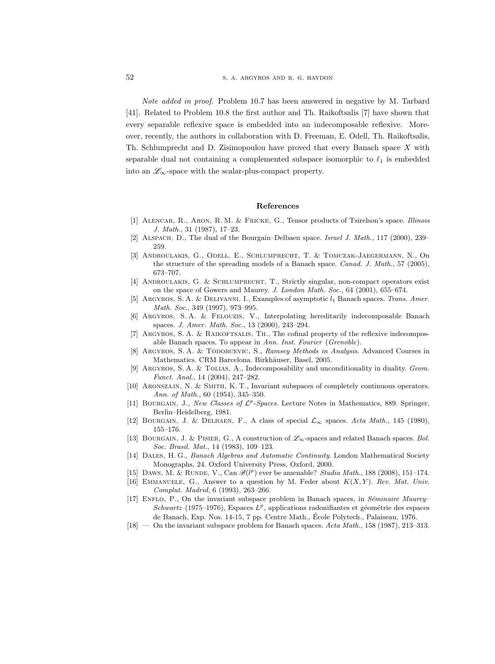Note added in proof. Problem 10.7 has been answered in negative by M. Tarbard [41]. Related to Problem 10.8 the first author and Th. Raikoftsalis [7] have shown that every separable reflexive space is embedded into an indecomposable reflexive. Moreover, recently, the authors in collaboration with D. Freeman, E. Odell, Th. Raikoftsalis, Th. Schlumprecht and D. Zisimopoulou have proved that every Banach space X with separable dual not containing a complemented subspace isomorphic to  $\ell_1$  is embedded into an  $\mathscr{L}_{\infty}$ -space with the scalar-plus-compact property.

### References

- [1] Alencar, R., Aron, R. M. & Fricke, G., Tensor products of Tsirelson's space. Illinois J. Math., 31 (1987), 17–23.
- [2] ALSPACH, D., The dual of the Bourgain–Delbaen space. Israel J. Math., 117 (2000), 239– 259.
- [3] Androulakis, G., Odell, E., Schlumprecht, T. & Tomczak-Jaegermann, N., On the structure of the spreading models of a Banach space. Canad. J. Math., 57 (2005), 673–707.
- [4] Androulakis, G. & Schlumprecht, T., Strictly singular, non-compact operators exist on the space of Gowers and Maurey. J. London Math. Soc., 64 (2001), 655–674.
- [5] ARGYROS, S. A. & DELIYANNI, I., Examples of asymptotic  $l_1$  Banach spaces. Trans. Amer. Math. Soc., 349 (1997), 973–995.
- [6] Argyros, S. A. & Felouzis, V., Interpolating hereditarily indecomposable Banach spaces. J. Amer. Math. Soc., 13 (2000), 243–294.
- [7] ARGYROS, S. A. & RAIKOFTSALIS, TH., The cofinal property of the reflexive indecomposable Banach spaces. To appear in Ann. Inst. Fourier (Grenoble).
- [8] ARGYROS, S. A. & TODORCEVIC, S., Ramsey Methods in Analysis. Advanced Courses in Mathematics. CRM Barcelona. Birkhäuser, Basel, 2005.
- [9] Argyros, S. A. & Tolias, A., Indecomposability and unconditionality in duality. Geom. Funct. Anal., 14 (2004), 247–282.
- [10] Aronszajn, N. & Smith, K. T., Invariant subspaces of completely continuous operators. Ann. of Math., 60 (1954), 345–350.
- [11] BOURGAIN, J., New Classes of  $\mathcal{L}^p$ -Spaces. Lecture Notes in Mathematics, 889. Springer, Berlin–Heidelberg, 1981.
- [12] BOURGAIN, J. & DELBAEN, F., A class of special  $\mathcal{L}_{\infty}$  spaces. Acta Math., 145 (1980), 155–176.
- [13] BOURGAIN, J. & PISIER, G., A construction of  $\mathscr{L}_{\infty}$ -spaces and related Banach spaces. Bol. Soc. Brasil. Mat., 14 (1983), 109–123.
- [14] Dales, H. G., Banach Algebras and Automatic Continuity. London Mathematical Society Monographs, 24. Oxford University Press, Oxford, 2000.
- [15] DAWS, M. & RUNDE, V., Can  $\mathscr{B}(l^p)$  ever be amenable? Studia Math., 188 (2008), 151-174.
- [16] EMMANUELE, G., Answer to a question by M. Feder about  $K(X, Y)$ . Rev. Mat. Univ. Complut. Madrid, 6 (1993), 263–266.
- [17] ENFLO, P., On the invariant subspace problem in Banach spaces, in Séminaire Maurey– Schwartz (1975–1976), Espaces  $L^p$ , applications radonifiantes et géométrie des espaces de Banach, Exp. Nos. 14-15, 7 pp. Centre Math., Ecole Polytech., Palaiseau, 1976. ´
- $[18]$  On the invariant subspace problem for Banach spaces. Acta Math., 158 (1987), 213–313.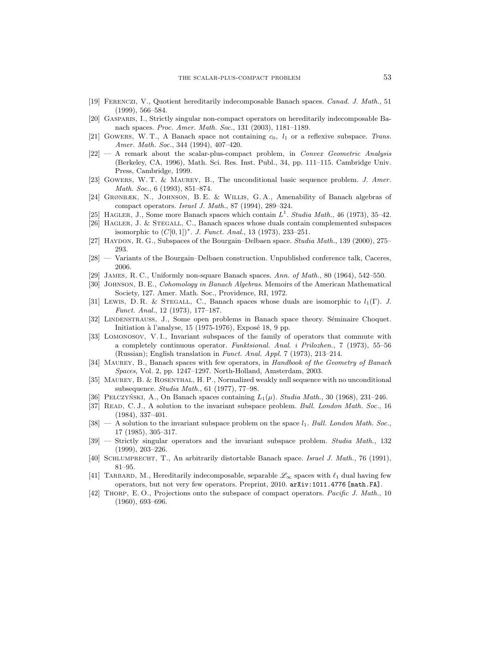- [19] Ferenczi, V., Quotient hereditarily indecomposable Banach spaces. Canad. J. Math., 51 (1999), 566–584.
- [20] Gasparis, I., Strictly singular non-compact operators on hereditarily indecomposable Banach spaces. Proc. Amer. Math. Soc., 131 (2003), 1181–1189.
- [21] GOWERS, W. T., A Banach space not containing  $c_0$ ,  $l_1$  or a reflexive subspace. Trans. Amer. Math. Soc., 344 (1994), 407–420.
- [22] A remark about the scalar-plus-compact problem, in Convex Geometric Analysis (Berkeley, CA, 1996), Math. Sci. Res. Inst. Publ., 34, pp. 111–115. Cambridge Univ. Press, Cambridge, 1999.
- [23] Gowers, W. T. & Maurey, B., The unconditional basic sequence problem. J. Amer. Math. Soc., 6 (1993), 851–874.
- [24] Grønbæk, N., Johnson, B. E. & Willis, G. A., Amenability of Banach algebras of compact operators. Israel J. Math., 87 (1994), 289–324.
- [25] HAGLER, J., Some more Banach spaces which contain  $L^1$ . Studia Math., 46 (1973), 35-42.
- [26] HAGLER, J. & STEGALL, C., Banach spaces whose duals contain complemented subspaces isomorphic to  $(C[0,1])^*$ . *J. Funct. Anal.*, 13 (1973), 233–251.
- [27] HAYDON, R. G., Subspaces of the Bourgain–Delbaen space. Studia Math., 139 (2000), 275– 293.
- [28] Variants of the Bourgain–Delbaen construction. Unpublished conference talk, Caceres, 2006.
- [29] James, R. C., Uniformly non-square Banach spaces. Ann. of Math., 80 (1964), 542–550.
- [30] Johnson, B. E., Cohomology in Banach Algebras. Memoirs of the American Mathematical
- Society, 127. Amer. Math. Soc., Providence, RI, 1972. [31] Lewis, D. R. & STEGALL, C., Banach spaces whose duals are isomorphic to  $l_1(\Gamma)$ . J. Funct. Anal., 12 (1973), 177–187.
- [32] LINDENSTRAUSS, J., Some open problems in Banach space theory. Séminaire Choquet. Initiation à l'analyse,  $15$  (1975-1976), Exposé 18, 9 pp.
- [33] Lomonosov, V. I., Invariant subspaces of the family of operators that commute with a completely continuous operator. Funktsional. Anal. i Prilozhen., 7 (1973), 55–56 (Russian); English translation in Funct. Anal. Appl. 7 (1973), 213–214.
- [34] MAUREY, B., Banach spaces with few operators, in Handbook of the Geometry of Banach Spaces, Vol. 2, pp. 1247–1297. North-Holland, Amsterdam, 2003.
- [35] Maurey, B. & Rosenthal, H. P., Normalized weakly null sequence with no unconditional subsequence. Studia Math., 61 (1977), 77–98.
- [36] PELCZYŃSKI, A., On Banach spaces containing  $L_1(\mu)$ . Studia Math., 30 (1968), 231–246.
- [37] READ, C. J., A solution to the invariant subspace problem. Bull. London Math. Soc., 16 (1984), 337–401.
- [38]  $A$  solution to the invariant subspace problem on the space  $l_1$ . Bull. London Math. Soc., 17 (1985), 305–317.
- [39] Strictly singular operators and the invariant subspace problem. Studia Math., 132 (1999), 203–226.
- [40] Schlumprecht, T., An arbitrarily distortable Banach space. Israel J. Math., 76 (1991), 81–95.
- [41] TARBARD, M., Hereditarily indecomposable, separable  $\mathscr{L}_{\infty}$  spaces with  $\ell_1$  dual having few operators, but not very few operators. Preprint, 2010. arXiv:1011.4776 [math.FA].
- [42] THORP, E.O., Projections onto the subspace of compact operators. Pacific J. Math., 10 (1960), 693–696.